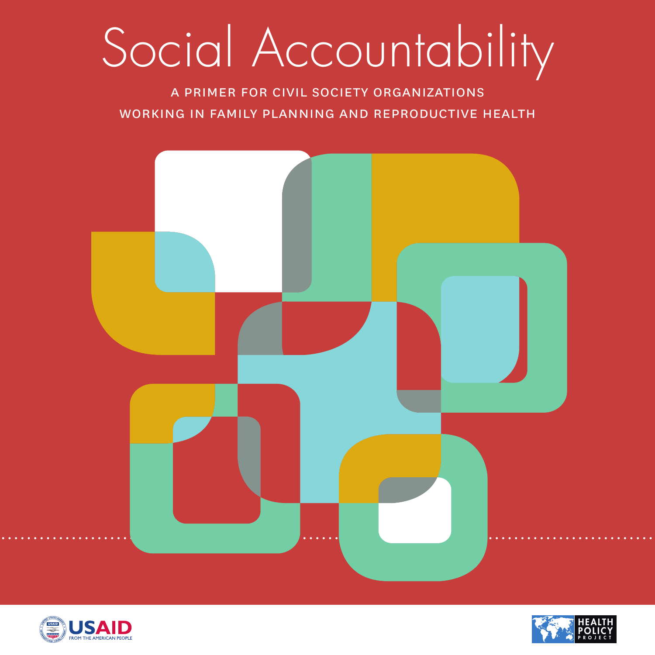# Social Accountability

a primer for civil society organizations working in family planning and reproductive health





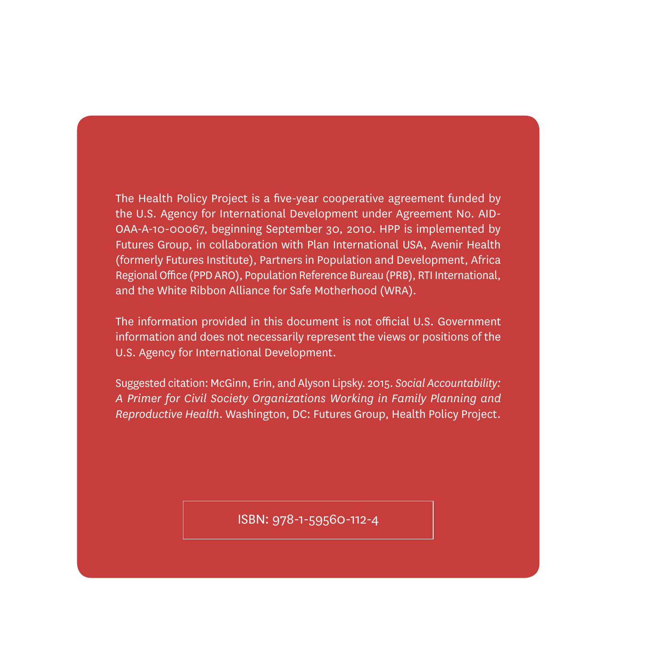The Health Policy Project is a five-year cooperative agreement funded by the U.S. Agency for International Development under Agreement No. AID-OAA-A-10-00067, beginning September 30, 2010. HPP is implemented by Futures Group, in collaboration with Plan International USA, Avenir Health (formerly Futures Institute), Partners in Population and Development, Africa Regional Office (PPD ARO), Population Reference Bureau (PRB), RTI International, and the White Ribbon Alliance for Safe Motherhood (WRA).

The information provided in this document is not official U.S. Government information and does not necessarily represent the views or positions of the U.S. Agency for International Development.

Suggested citation: McGinn, Erin, and Alyson Lipsky. 2015. *Social Accountability: A Primer for Civil Society Organizations Working in Family Planning and Reproductive Health*. Washington, DC: Futures Group, Health Policy Project.

ISBN: 978-1-59560-112-4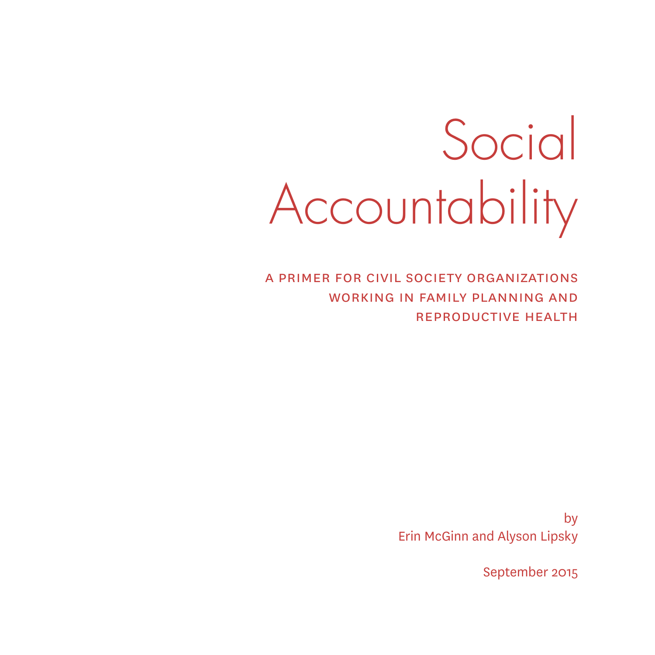Social Accountability

a primer for civil society organizations working in family planning and reproductive health

> by Erin McGinn and Alyson Lipsky

> > September 2015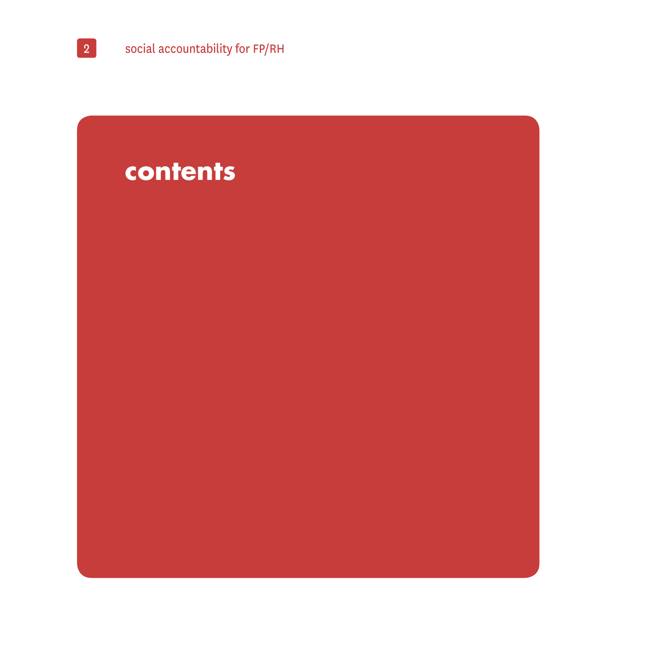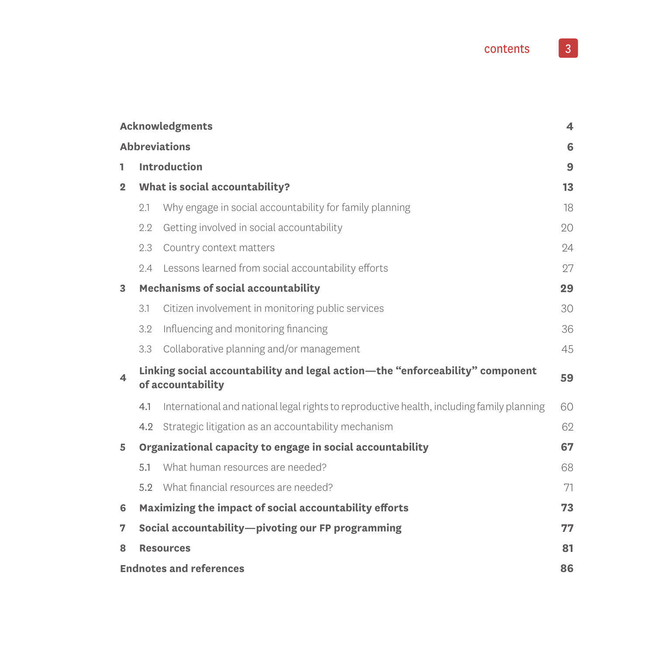| <b>Acknowledgments</b><br>$\overline{\mathbf{4}}$ |                                                                                                    |                                                                                           |    |  |  |
|---------------------------------------------------|----------------------------------------------------------------------------------------------------|-------------------------------------------------------------------------------------------|----|--|--|
| <b>Abbreviations</b><br>6                         |                                                                                                    |                                                                                           |    |  |  |
| 1.                                                | <b>Introduction</b><br>9                                                                           |                                                                                           |    |  |  |
| $\overline{2}$                                    | What is social accountability?<br>13                                                               |                                                                                           |    |  |  |
|                                                   | 2.1                                                                                                | Why engage in social accountability for family planning                                   | 18 |  |  |
|                                                   | 2.2                                                                                                | Getting involved in social accountability                                                 | 20 |  |  |
|                                                   | 2.3                                                                                                | Country context matters                                                                   | 94 |  |  |
|                                                   |                                                                                                    | 2.4 Lessons learned from social accountability efforts                                    | 27 |  |  |
| 3                                                 | <b>Mechanisms of social accountability</b>                                                         |                                                                                           |    |  |  |
|                                                   | 3.1                                                                                                | Citizen involvement in monitoring public services                                         | 30 |  |  |
|                                                   | 3.2                                                                                                | Influencing and monitoring financing                                                      | 36 |  |  |
|                                                   | 3.3                                                                                                | Collaborative planning and/or management                                                  | 45 |  |  |
| $\blacktriangle$                                  | Linking social accountability and legal action—the "enforceability" component<br>of accountability |                                                                                           |    |  |  |
|                                                   | 4.1                                                                                                | International and national legal rights to reproductive health, including family planning | 60 |  |  |
|                                                   | 4.2                                                                                                | Strategic litigation as an accountability mechanism                                       | 62 |  |  |
| 5                                                 | Organizational capacity to engage in social accountability                                         |                                                                                           |    |  |  |
|                                                   | 5.1                                                                                                | What human resources are needed?                                                          | 68 |  |  |
|                                                   |                                                                                                    | 5.2 What financial resources are needed?                                                  | 71 |  |  |
| 6                                                 |                                                                                                    | Maximizing the impact of social accountability efforts                                    | 73 |  |  |
| 7                                                 | Social accountability-pivoting our FP programming<br>77                                            |                                                                                           |    |  |  |
| 8                                                 | 81<br><b>Resources</b>                                                                             |                                                                                           |    |  |  |
|                                                   | <b>Endnotes and references</b><br>86                                                               |                                                                                           |    |  |  |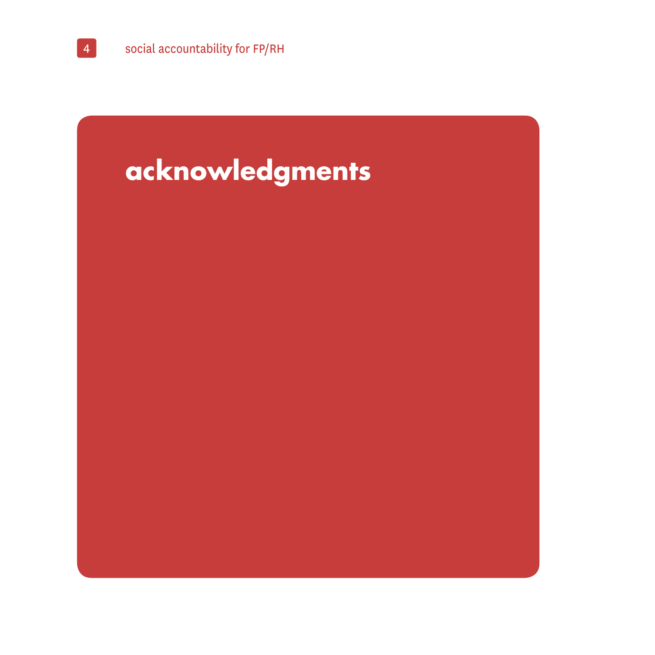## **acknowledgments**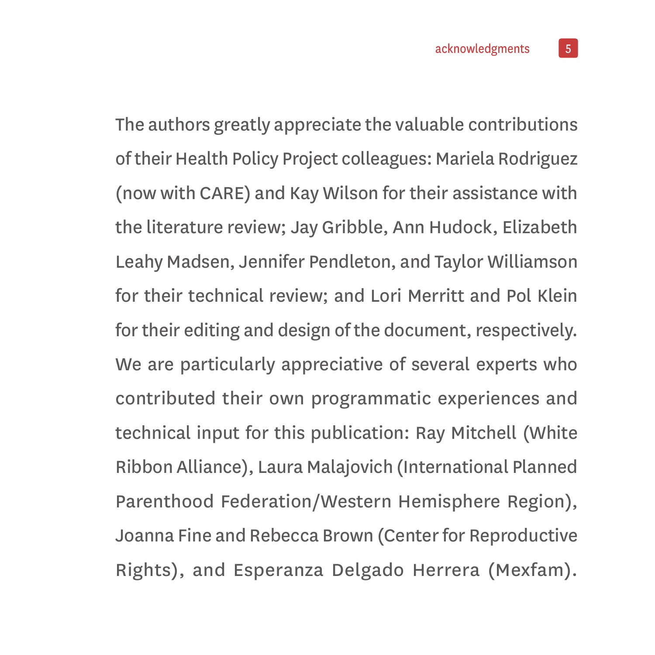The authors greatly appreciate the valuable contributions of their Health Policy Project colleagues: Mariela Rodriguez (now with CARE) and Kay Wilson for their assistance with the literature review; Jay Gribble, Ann Hudock, Elizabeth Leahy Madsen, Jennifer Pendleton, and Taylor Williamson for their technical review; and Lori Merritt and Pol Klein for their editing and design of the document, respectively. We are particularly appreciative of several experts who contributed their own programmatic experiences and technical input for this publication: Ray Mitchell (White Ribbon Alliance), Laura Malajovich (International Planned Parenthood Federation/Western Hemisphere Region), Joanna Fine and Rebecca Brown (Center for Reproductive Rights), and Esperanza Delgado Herrera (Mexfam).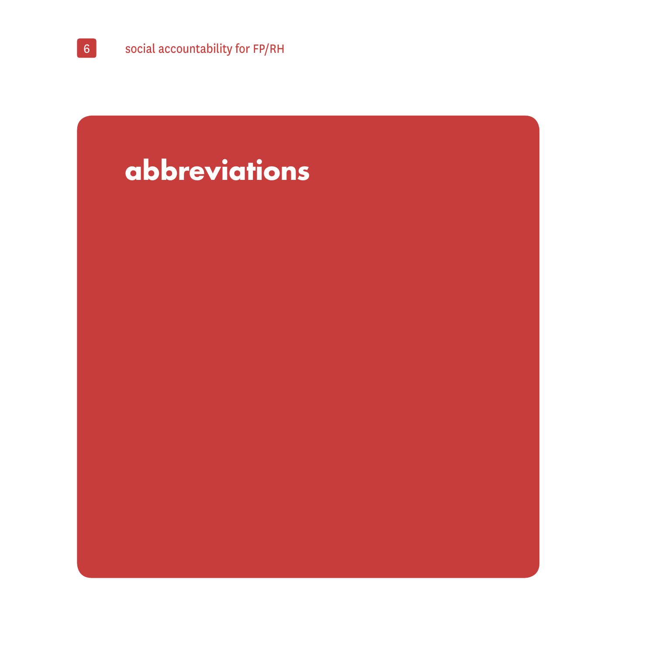## **abbreviations**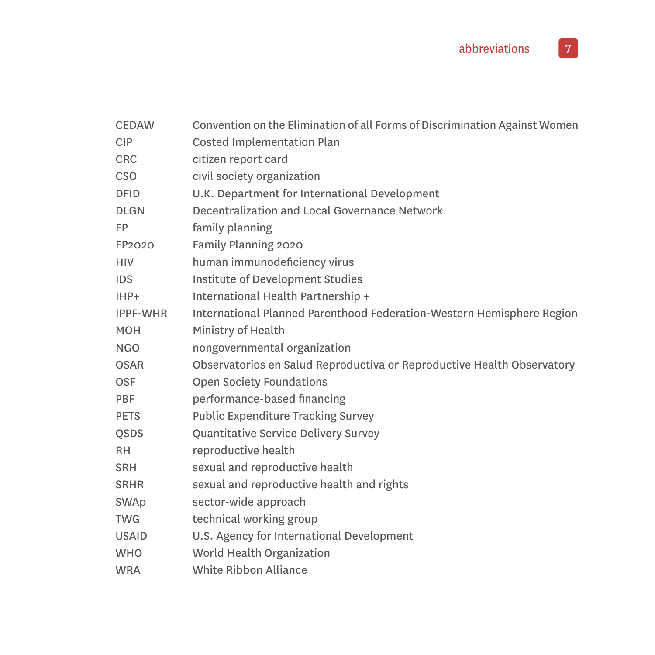| <b>CEDAW</b>    | Convention on the Elimination of all Forms of Discrimination Against Women |
|-----------------|----------------------------------------------------------------------------|
| <b>CIP</b>      | <b>Costed Implementation Plan</b>                                          |
| <b>CRC</b>      | citizen report card                                                        |
| <b>CSO</b>      | civil society organization                                                 |
| <b>DFID</b>     | U.K. Department for International Development                              |
| <b>DLGN</b>     | Decentralization and Local Governance Network                              |
| <b>FP</b>       | family planning                                                            |
| FP2020          | Family Planning 2020                                                       |
| <b>HIV</b>      | human immunodeficiency virus                                               |
| <b>IDS</b>      | Institute of Development Studies                                           |
| $IHP+$          | International Health Partnership +                                         |
| <b>IPPF-WHR</b> | International Planned Parenthood Federation-Western Hemisphere Region      |
| <b>MOH</b>      | Ministry of Health                                                         |
| <b>NGO</b>      | nongovernmental organization                                               |
| <b>OSAR</b>     | Observatorios en Salud Reproductiva or Reproductive Health Observatory     |
| <b>OSF</b>      | <b>Open Society Foundations</b>                                            |
| <b>PBF</b>      | performance-based financing                                                |
| <b>PETS</b>     | <b>Public Expenditure Tracking Survey</b>                                  |
| QSDS            | Quantitative Service Delivery Survey                                       |
| <b>RH</b>       | reproductive health                                                        |
| <b>SRH</b>      | sexual and reproductive health                                             |
| <b>SRHR</b>     | sexual and reproductive health and rights                                  |
| SWAp            | sector-wide approach                                                       |
| <b>TWG</b>      | technical working group                                                    |
| <b>USAID</b>    | U.S. Agency for International Development                                  |
| <b>WHO</b>      | World Health Organization                                                  |
| <b>WRA</b>      | White Ribbon Alliance                                                      |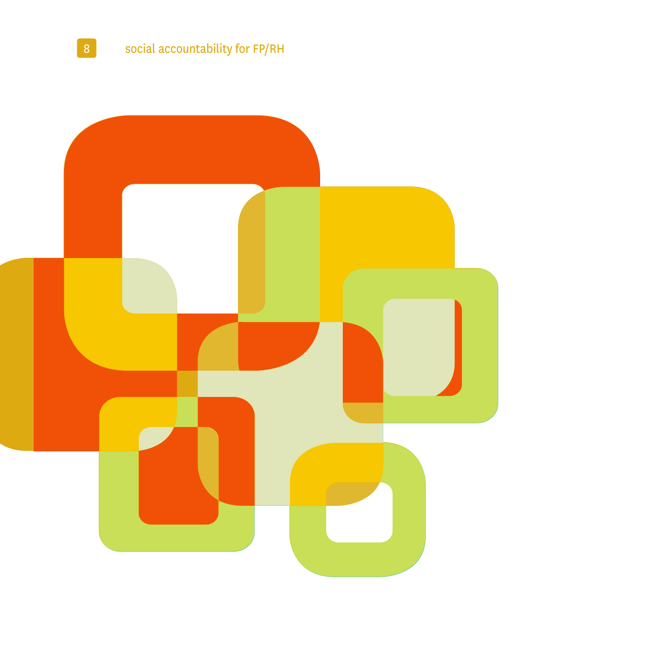

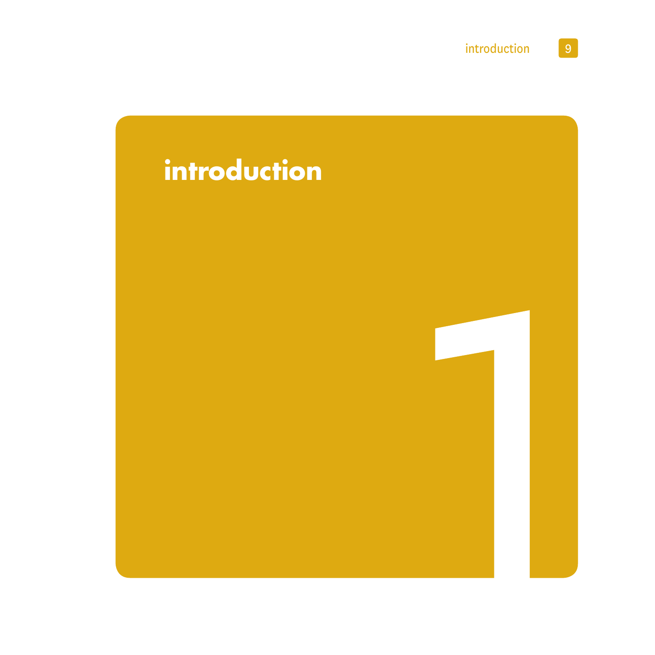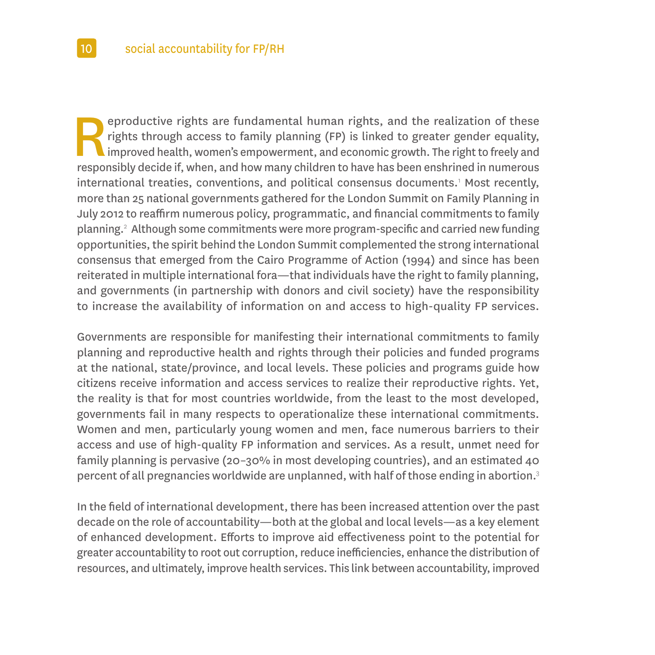eproductive rights are fundamental human rights, and the realization of these<br>rights through access to family planning (FP) is linked to greater gender equality,<br>improved health, women's empowerment, and economic growth. T rights through access to family planning (FP) is linked to greater gender equality,  $\blacksquare$  improved health, women's empowerment, and economic growth. The right to freely and responsibly decide if, when, and how many children to have has been enshrined in numerous international treaties, conventions, and political consensus documents.<sup>1</sup> Most recently, more than 25 national governments gathered for the London Summit on Family Planning in July 2012 to reaffirm numerous policy, programmatic, and financial commitments to family planning.<sup>2</sup> Although some commitments were more program-specific and carried new funding opportunities, the spirit behind the London Summit complemented the strong international consensus that emerged from the Cairo Programme of Action (1994) and since has been reiterated in multiple international fora—that individuals have the right to family planning, and governments (in partnership with donors and civil society) have the responsibility to increase the availability of information on and access to high-quality FP services.

Governments are responsible for manifesting their international commitments to family planning and reproductive health and rights through their policies and funded programs at the national, state/province, and local levels. These policies and programs guide how citizens receive information and access services to realize their reproductive rights. Yet, the reality is that for most countries worldwide, from the least to the most developed, governments fail in many respects to operationalize these international commitments. Women and men, particularly young women and men, face numerous barriers to their access and use of high-quality FP information and services. As a result, unmet need for family planning is pervasive (20–30% in most developing countries), and an estimated 40 percent of all pregnancies worldwide are unplanned, with half of those ending in abortion.<sup>3</sup>

In the field of international development, there has been increased attention over the past decade on the role of accountability—both at the global and local levels—as a key element of enhanced development. Efforts to improve aid effectiveness point to the potential for greater accountability to root out corruption, reduce inefficiencies, enhance the distribution of resources, and ultimately, improve health services. This link between accountability, improved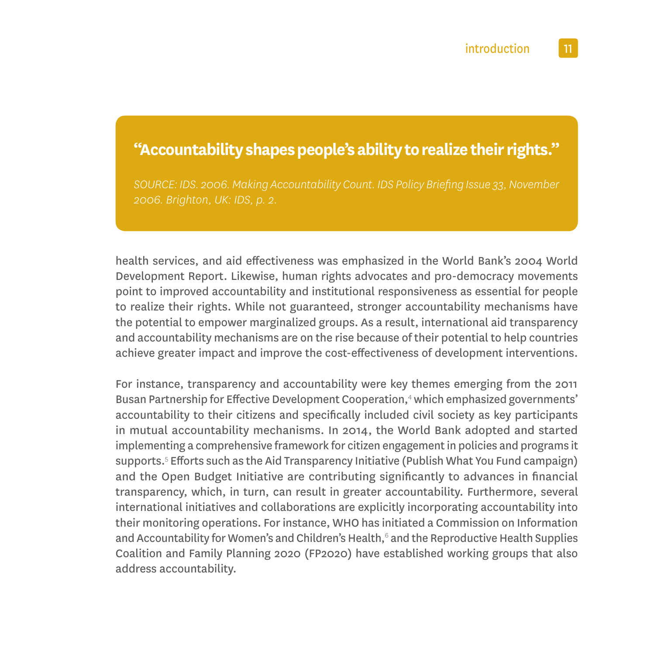#### **"Accountability shapes people's ability to realize their rights."**

*SOURCE: IDS. 2006. Making Accountability Count. IDS Policy Briefing Issue 33, November* 

health services, and aid effectiveness was emphasized in the World Bank's 2004 World Development Report. Likewise, human rights advocates and pro-democracy movements point to improved accountability and institutional responsiveness as essential for people to realize their rights. While not guaranteed, stronger accountability mechanisms have the potential to empower marginalized groups. As a result, international aid transparency and accountability mechanisms are on the rise because of their potential to help countries achieve greater impact and improve the cost-effectiveness of development interventions.

For instance, transparency and accountability were key themes emerging from the 2011 Busan Partnership for Effective Development Cooperation,<sup>4</sup> which emphasized governments' accountability to their citizens and specifically included civil society as key participants in mutual accountability mechanisms. In 2014, the World Bank adopted and started implementing a comprehensive framework for citizen engagement in policies and programs it supports.<sup>5</sup> Efforts such as the Aid Transparency Initiative (Publish What You Fund campaign) and the Open Budget Initiative are contributing significantly to advances in financial transparency, which, in turn, can result in greater accountability. Furthermore, several international initiatives and collaborations are explicitly incorporating accountability into their monitoring operations. For instance, WHO has initiated a Commission on Information and Accountability for Women's and Children's Health, $^{\circ}$  and the Reproductive Health Supplies Coalition and Family Planning 2020 (FP2020) have established working groups that also address accountability.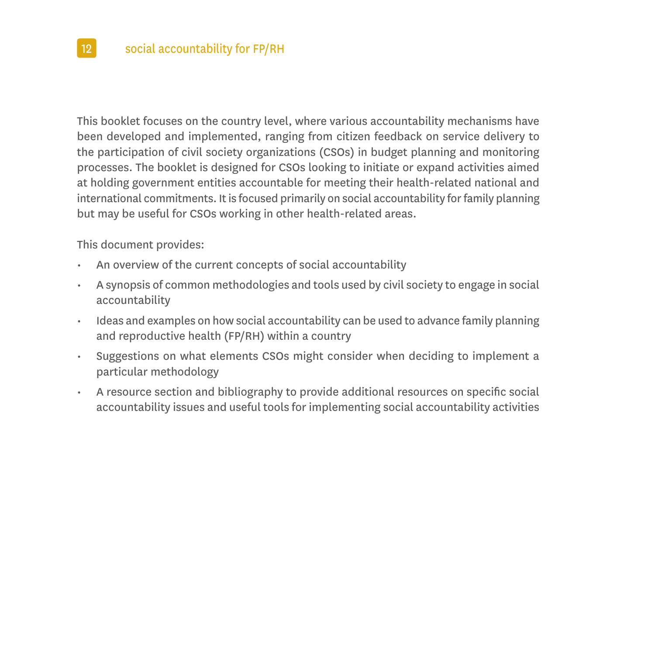This booklet focuses on the country level, where various accountability mechanisms have been developed and implemented, ranging from citizen feedback on service delivery to the participation of civil society organizations (CSOs) in budget planning and monitoring processes. The booklet is designed for CSOs looking to initiate or expand activities aimed at holding government entities accountable for meeting their health-related national and international commitments. It is focused primarily on social accountability for family planning but may be useful for CSOs working in other health-related areas.

This document provides:

- An overview of the current concepts of social accountability
- A synopsis of common methodologies and tools used by civil society to engage in social accountability
- Ideas and examples on how social accountability can be used to advance family planning and reproductive health (FP/RH) within a country
- Suggestions on what elements CSOs might consider when deciding to implement a particular methodology
- A resource section and bibliography to provide additional resources on specific social accountability issues and useful tools for implementing social accountability activities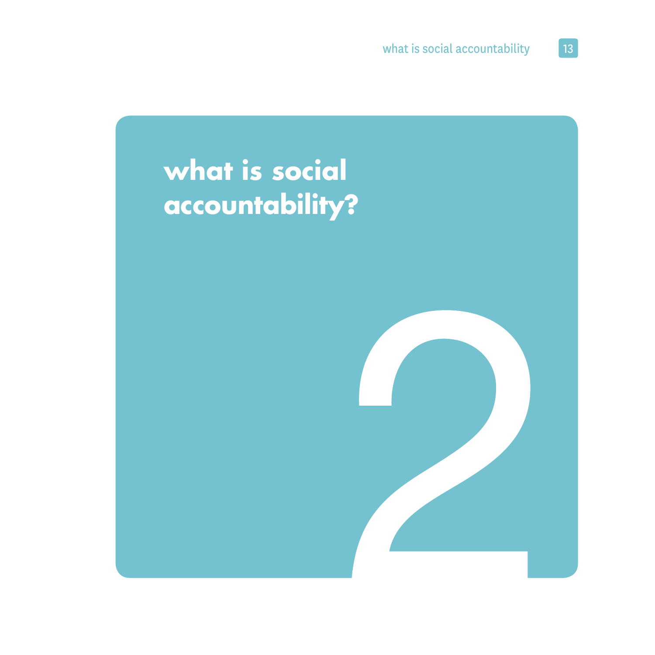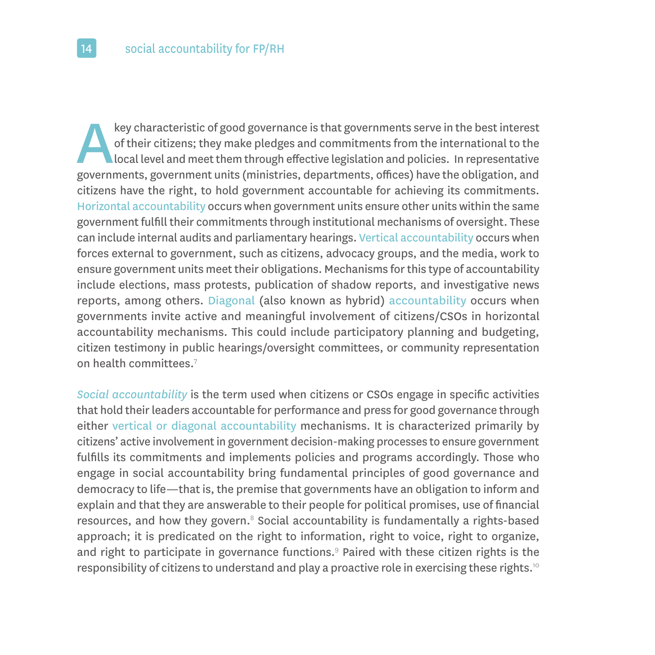key characteristic of good governance is that governments serve in the best interest<br>of their citizens; they make pledges and commitments from the international to the<br>local level and meet them through effective legislatio of their citizens; they make pledges and commitments from the international to the local level and meet them through effective legislation and policies. In representative governments, government units (ministries, departments, offices) have the obligation, and citizens have the right, to hold government accountable for achieving its commitments. Horizontal accountability occurs when government units ensure other units within the same government fulfill their commitments through institutional mechanisms of oversight. These can include internal audits and parliamentary hearings. Vertical accountability occurs when forces external to government, such as citizens, advocacy groups, and the media, work to ensure government units meet their obligations. Mechanisms for this type of accountability include elections, mass protests, publication of shadow reports, and investigative news reports, among others. Diagonal (also known as hybrid) accountability occurs when governments invite active and meaningful involvement of citizens/CSOs in horizontal accountability mechanisms. This could include participatory planning and budgeting, citizen testimony in public hearings/oversight committees, or community representation on health committees.<sup>7</sup>

*Social accountability* is the term used when citizens or CSOs engage in specific activities that hold their leaders accountable for performance and press for good governance through either vertical or diagonal accountability mechanisms. It is characterized primarily by citizens' active involvement in government decision-making processes to ensure government fulfills its commitments and implements policies and programs accordingly. Those who engage in social accountability bring fundamental principles of good governance and democracy to life—that is, the premise that governments have an obligation to inform and explain and that they are answerable to their people for political promises, use of financial resources, and how they govern.<sup>8</sup> Social accountability is fundamentally a rights-based approach; it is predicated on the right to information, right to voice, right to organize, and right to participate in governance functions.<sup>9</sup> Paired with these citizen rights is the responsibility of citizens to understand and play a proactive role in exercising these rights.<sup>10</sup>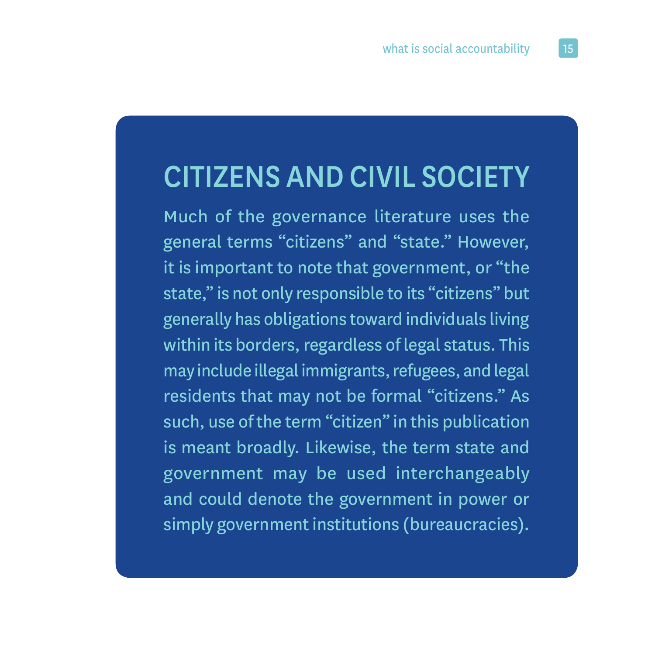## CITIZENS AND CIVIL SOCIETY

Much of the governance literature uses the general terms "citizens" and "state." However, it is important to note that government, or "the state," is not only responsible to its "citizens" but generally has obligations toward individuals living within its borders, regardless of legal status. This may include illegal immigrants, refugees, and legal residents that may not be formal "citizens." As such, use of the term "citizen" in this publication is meant broadly. Likewise, the term state and government may be used interchangeably and could denote the government in power or simply government institutions (bureaucracies).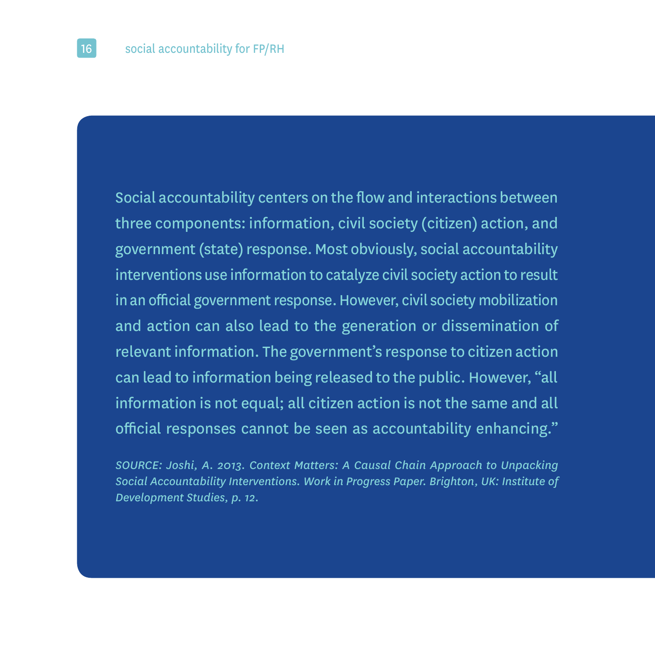Social accountability centers on the flow and interactions between three components: information, civil society (citizen) action, and government (state) response. Most obviously, social accountability interventions use information to catalyze civil society action to result in an official government response. However, civil society mobilization and action can also lead to the generation or dissemination of relevant information. The government's response to citizen action can lead to information being released to the public. However, "all information is not equal; all citizen action is not the same and all official responses cannot be seen as accountability enhancing."

*SOURCE: Joshi, A. 2013. Context Matters: A Causal Chain Approach to Unpacking Social Accountability Interventions. Work in Progress Paper. Brighton, UK: Institute of Development Studies, p. 12.*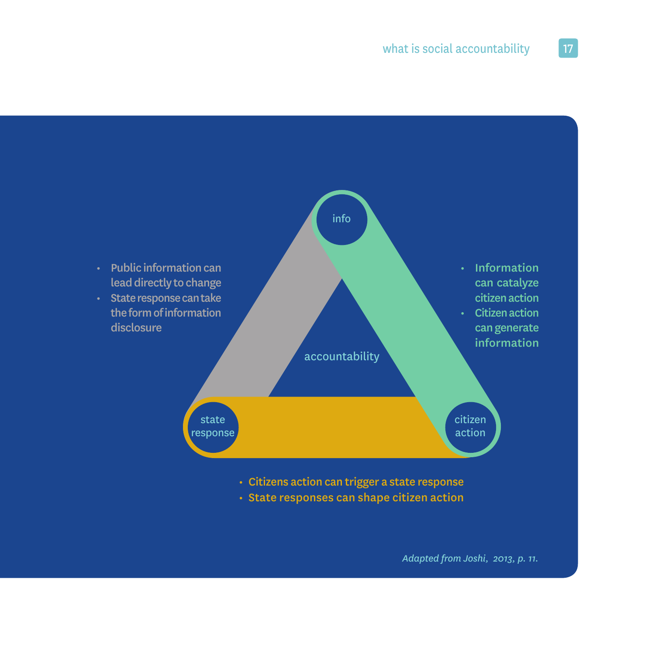

*Adapted from Joshi, 2013, p. 11.*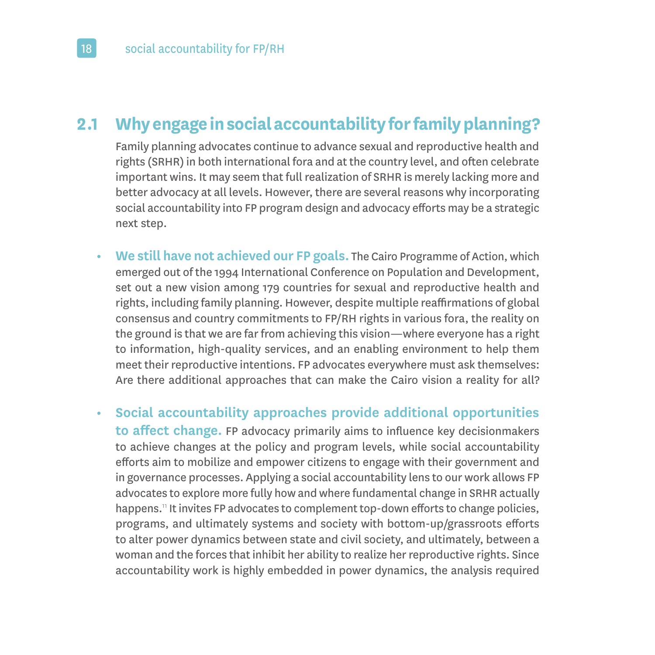#### **2.1 Why engage in social accountability for family planning?**

Family planning advocates continue to advance sexual and reproductive health and rights (SRHR) in both international fora and at the country level, and often celebrate important wins. It may seem that full realization of SRHR is merely lacking more and better advocacy at all levels. However, there are several reasons why incorporating social accountability into FP program design and advocacy efforts may be a strategic next step.

- **• We still have not achieved our FP goals.** The Cairo Programme of Action, which emerged out of the 1994 International Conference on Population and Development, set out a new vision among 179 countries for sexual and reproductive health and rights, including family planning. However, despite multiple reaffirmations of global consensus and country commitments to FP/RH rights in various fora, the reality on the ground is that we are far from achieving this vision—where everyone has a right to information, high-quality services, and an enabling environment to help them meet their reproductive intentions. FP advocates everywhere must ask themselves: Are there additional approaches that can make the Cairo vision a reality for all?
- **• Social accountability approaches provide additional opportunities to affect change.** FP advocacy primarily aims to influence key decisionmakers to achieve changes at the policy and program levels, while social accountability efforts aim to mobilize and empower citizens to engage with their government and in governance processes. Applying a social accountability lens to our work allows FP advocates to explore more fully how and where fundamental change in SRHR actually happens.<sup>11</sup> It invites FP advocates to complement top-down efforts to change policies, programs, and ultimately systems and society with bottom-up/grassroots efforts to alter power dynamics between state and civil society, and ultimately, between a woman and the forces that inhibit her ability to realize her reproductive rights. Since accountability work is highly embedded in power dynamics, the analysis required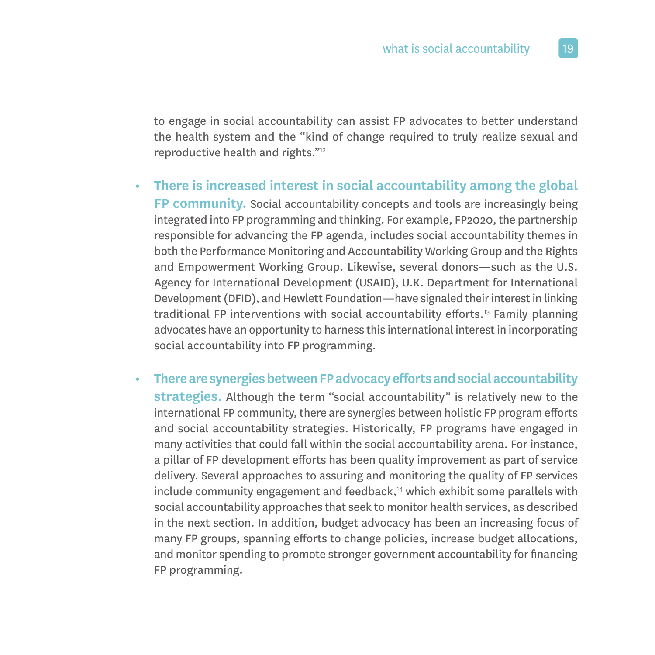to engage in social accountability can assist FP advocates to better understand the health system and the "kind of change required to truly realize sexual and reproductive health and rights."<sup>12</sup>

- **• There is increased interest in social accountability among the global FP community.** Social accountability concepts and tools are increasingly being integrated into FP programming and thinking. For example, FP2020, the partnership responsible for advancing the FP agenda, includes social accountability themes in both the Performance Monitoring and Accountability Working Group and the Rights and Empowerment Working Group. Likewise, several donors—such as the U.S. Agency for International Development (USAID), U.K. Department for International Development (DFID), and Hewlett Foundation—have signaled their interest in linking traditional FP interventions with social accountability efforts.<sup>13</sup> Family planning advocates have an opportunity to harness this international interest in incorporating social accountability into FP programming.
- **• There are synergies between FP advocacy efforts and social accountability strategies.** Although the term "social accountability" is relatively new to the international FP community, there are synergies between holistic FP program efforts and social accountability strategies. Historically, FP programs have engaged in many activities that could fall within the social accountability arena. For instance, a pillar of FP development efforts has been quality improvement as part of service delivery. Several approaches to assuring and monitoring the quality of FP services include community engagement and feedback, $14$  which exhibit some parallels with social accountability approaches that seek to monitor health services, as described in the next section. In addition, budget advocacy has been an increasing focus of many FP groups, spanning efforts to change policies, increase budget allocations, and monitor spending to promote stronger government accountability for financing FP programming.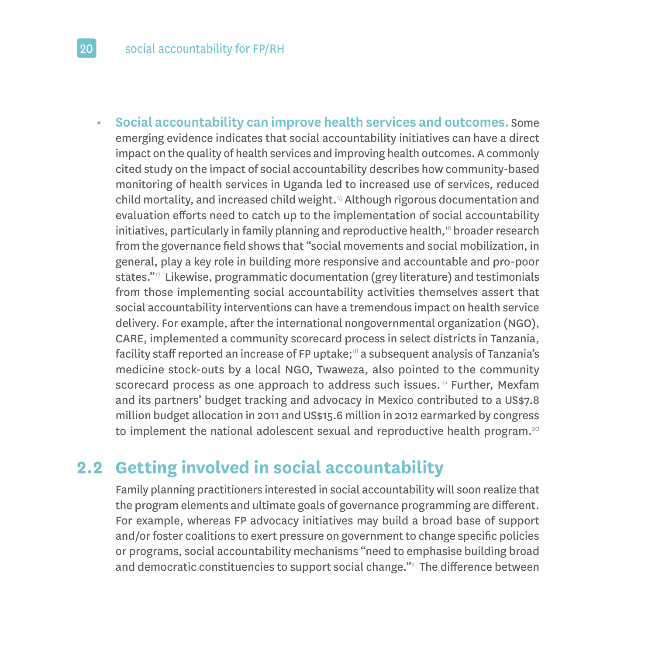**• Social accountability can improve health services and outcomes.** Some emerging evidence indicates that social accountability initiatives can have a direct impact on the quality of health services and improving health outcomes. A commonly cited study on the impact of social accountability describes how community-based monitoring of health services in Uganda led to increased use of services, reduced child mortality, and increased child weight.15 Although rigorous documentation and evaluation efforts need to catch up to the implementation of social accountability initiatives, particularly in family planning and reproductive health, $16$  broader research from the governance field shows that "social movements and social mobilization, in general, play a key role in building more responsive and accountable and pro-poor states. $\cdot$ <sup>77</sup> Likewise, programmatic documentation (grey literature) and testimonials from those implementing social accountability activities themselves assert that social accountability interventions can have a tremendous impact on health service delivery. For example, after the international nongovernmental organization (NGO), CARE, implemented a community scorecard process in select districts in Tanzania, facility staff reported an increase of FP uptake;<sup>18</sup> a subsequent analysis of Tanzania's medicine stock-outs by a local NGO, Twaweza, also pointed to the community scorecard process as one approach to address such issues.<sup>19</sup> Further, Mexfam and its partners' budget tracking and advocacy in Mexico contributed to a US\$7.8 million budget allocation in 2011 and US\$15.6 million in 2012 earmarked by congress to implement the national adolescent sexual and reproductive health program.<sup>20</sup>

#### **2.2 Getting involved in social accountability**

Family planning practitioners interested in social accountability will soon realize that the program elements and ultimate goals of governance programming are different. For example, whereas FP advocacy initiatives may build a broad base of support and/or foster coalitions to exert pressure on government to change specific policies or programs, social accountability mechanisms "need to emphasise building broad and democratic constituencies to support social change."<sup>21</sup> The difference between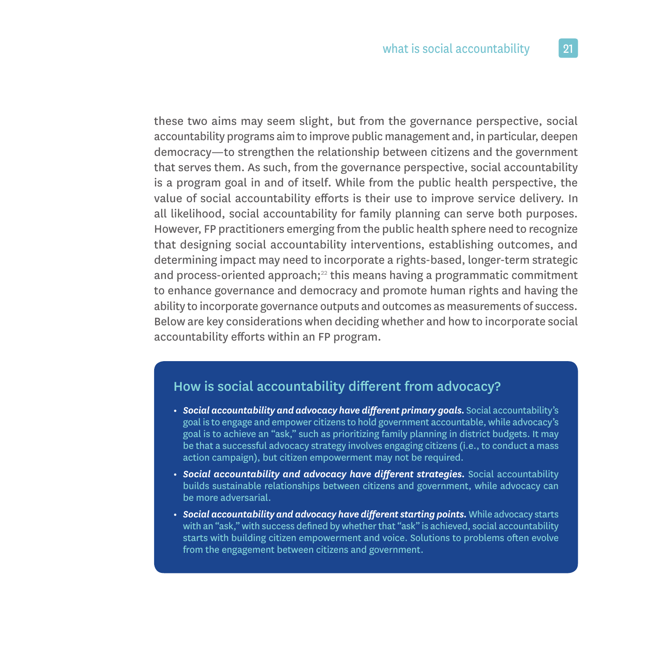these two aims may seem slight, but from the governance perspective, social accountability programs aim to improve public management and, in particular, deepen democracy—to strengthen the relationship between citizens and the government that serves them. As such, from the governance perspective, social accountability is a program goal in and of itself. While from the public health perspective, the value of social accountability efforts is their use to improve service delivery. In all likelihood, social accountability for family planning can serve both purposes. However, FP practitioners emerging from the public health sphere need to recognize that designing social accountability interventions, establishing outcomes, and determining impact may need to incorporate a rights-based, longer-term strategic and process-oriented approach;<sup>22</sup> this means having a programmatic commitment to enhance governance and democracy and promote human rights and having the ability to incorporate governance outputs and outcomes as measurements of success. Below are key considerations when deciding whether and how to incorporate social accountability efforts within an FP program.

#### How is social accountability different from advocacy?

- *• Social accountability and advocacy have different primary goals.* Social accountability's goal is to engage and empower citizens to hold government accountable, while advocacy's goal is to achieve an "ask," such as prioritizing family planning in district budgets. It may be that a successful advocacy strategy involves engaging citizens (i.e., to conduct a mass action campaign), but citizen empowerment may not be required.
- *• Social accountability and advocacy have different strategies.* Social accountability builds sustainable relationships between citizens and government, while advocacy can be more adversarial.
- *• Social accountability and advocacy have different starting points.* While advocacy starts with an "ask," with success defined by whether that "ask" is achieved, social accountability starts with building citizen empowerment and voice. Solutions to problems often evolve from the engagement between citizens and government.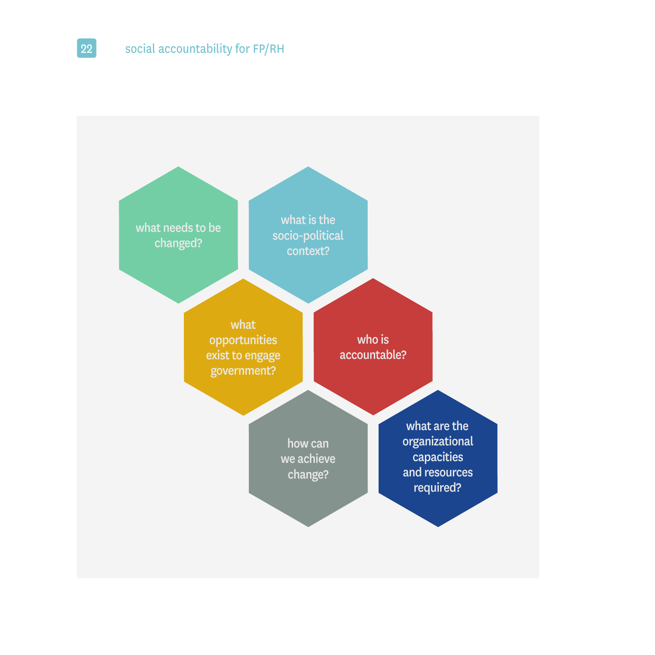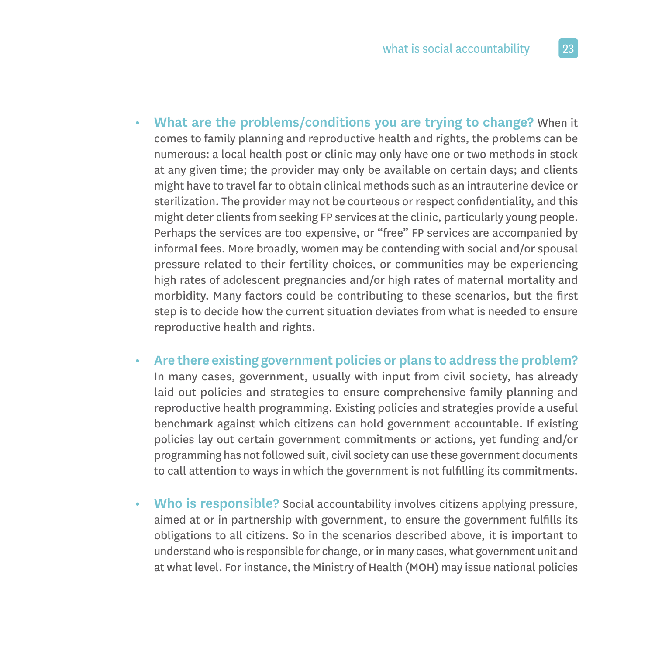- **• What are the problems/conditions you are trying to change?** When it comes to family planning and reproductive health and rights, the problems can be numerous: a local health post or clinic may only have one or two methods in stock at any given time; the provider may only be available on certain days; and clients might have to travel far to obtain clinical methods such as an intrauterine device or sterilization. The provider may not be courteous or respect confidentiality, and this might deter clients from seeking FP services at the clinic, particularly young people. Perhaps the services are too expensive, or "free" FP services are accompanied by informal fees. More broadly, women may be contending with social and/or spousal pressure related to their fertility choices, or communities may be experiencing high rates of adolescent pregnancies and/or high rates of maternal mortality and morbidity. Many factors could be contributing to these scenarios, but the first step is to decide how the current situation deviates from what is needed to ensure reproductive health and rights.
- **• Are there existing government policies or plans to address the problem?** In many cases, government, usually with input from civil society, has already laid out policies and strategies to ensure comprehensive family planning and reproductive health programming. Existing policies and strategies provide a useful benchmark against which citizens can hold government accountable. If existing policies lay out certain government commitments or actions, yet funding and/or programming has not followed suit, civil society can use these government documents to call attention to ways in which the government is not fulfilling its commitments.
- **• Who is responsible?** Social accountability involves citizens applying pressure, aimed at or in partnership with government, to ensure the government fulfills its obligations to all citizens. So in the scenarios described above, it is important to understand who is responsible for change, or in many cases, what government unit and at what level. For instance, the Ministry of Health (MOH) may issue national policies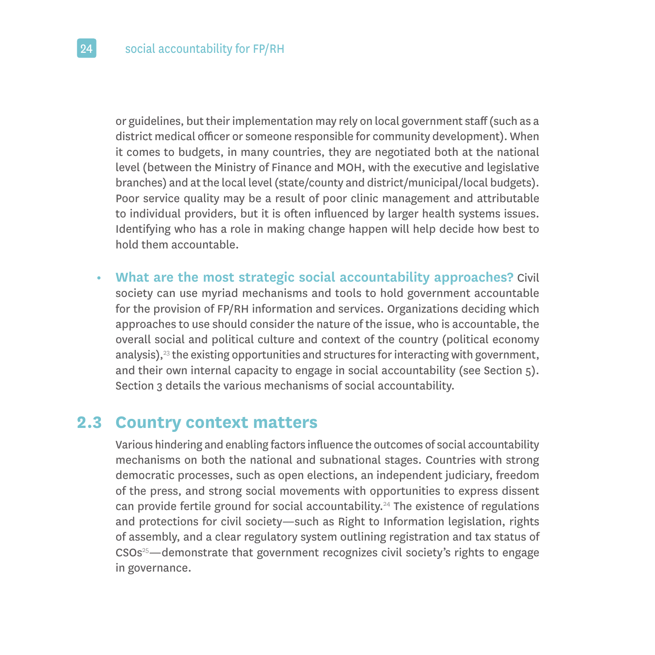or guidelines, but their implementation may rely on local government staff (such as a district medical officer or someone responsible for community development). When it comes to budgets, in many countries, they are negotiated both at the national level (between the Ministry of Finance and MOH, with the executive and legislative branches) and at the local level (state/county and district/municipal/local budgets). Poor service quality may be a result of poor clinic management and attributable to individual providers, but it is often influenced by larger health systems issues. Identifying who has a role in making change happen will help decide how best to hold them accountable.

**• What are the most strategic social accountability approaches?** Civil society can use myriad mechanisms and tools to hold government accountable for the provision of FP/RH information and services. Organizations deciding which approaches to use should consider the nature of the issue, who is accountable, the overall social and political culture and context of the country (political economy analysis), $23$  the existing opportunities and structures for interacting with government, and their own internal capacity to engage in social accountability (see Section 5). Section 3 details the various mechanisms of social accountability.

#### **2.3 Country context matters**

Various hindering and enabling factors influence the outcomes of social accountability mechanisms on both the national and subnational stages. Countries with strong democratic processes, such as open elections, an independent judiciary, freedom of the press, and strong social movements with opportunities to express dissent can provide fertile ground for social accountability.<sup>24</sup> The existence of regulations and protections for civil society—such as Right to Information legislation, rights of assembly, and a clear regulatory system outlining registration and tax status of  $CSOs<sup>25</sup>$ —demonstrate that government recognizes civil society's rights to engage in governance.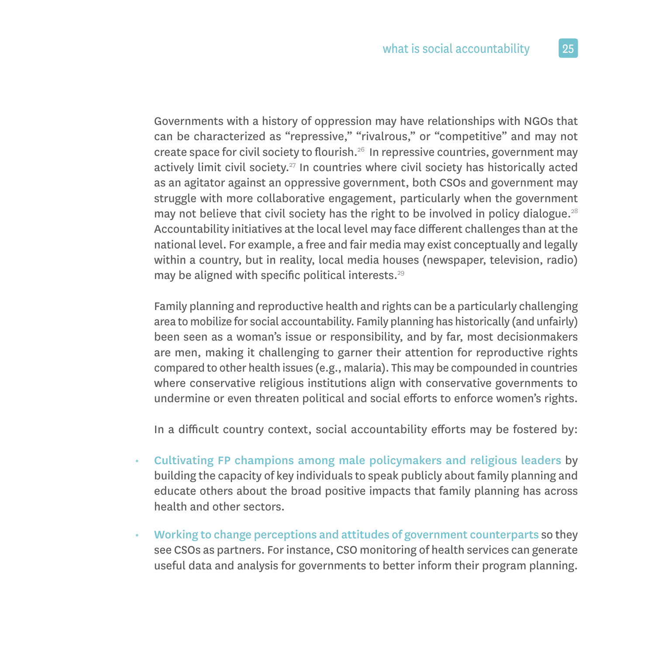Governments with a history of oppression may have relationships with NGOs that can be characterized as "repressive," "rivalrous," or "competitive" and may not create space for civil society to flourish. $^{26}$  In repressive countries, government may actively limit civil society. $27$  In countries where civil society has historically acted as an agitator against an oppressive government, both CSOs and government may struggle with more collaborative engagement, particularly when the government may not believe that civil society has the right to be involved in policy dialogue.<sup>28</sup> Accountability initiatives at the local level may face different challenges than at the national level. For example, a free and fair media may exist conceptually and legally within a country, but in reality, local media houses (newspaper, television, radio) may be aligned with specific political interests.<sup>29</sup>

Family planning and reproductive health and rights can be a particularly challenging area to mobilize for social accountability. Family planning has historically (and unfairly) been seen as a woman's issue or responsibility, and by far, most decisionmakers are men, making it challenging to garner their attention for reproductive rights compared to other health issues (e.g., malaria). This may be compounded in countries where conservative religious institutions align with conservative governments to undermine or even threaten political and social efforts to enforce women's rights.

In a difficult country context, social accountability efforts may be fostered by:

- Cultivating FP champions among male policymakers and religious leaders by building the capacity of key individuals to speak publicly about family planning and educate others about the broad positive impacts that family planning has across health and other sectors.
- Working to change perceptions and attitudes of government counterparts so they see CSOs as partners. For instance, CSO monitoring of health services can generate useful data and analysis for governments to better inform their program planning.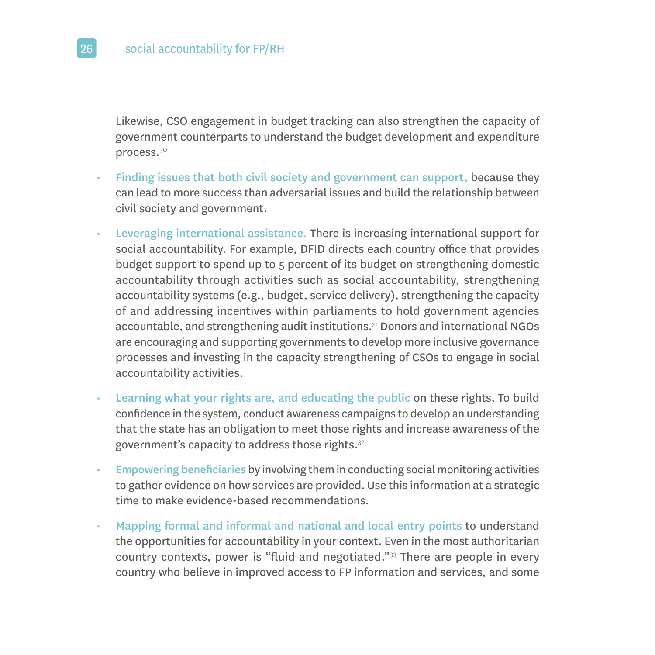Likewise, CSO engagement in budget tracking can also strengthen the capacity of government counterparts to understand the budget development and expenditure process.<sup>30</sup>

- Finding issues that both civil society and government can support, because they can lead to more success than adversarial issues and build the relationship between civil society and government.
- Leveraging international assistance. There is increasing international support for social accountability. For example, DFID directs each country office that provides budget support to spend up to 5 percent of its budget on strengthening domestic accountability through activities such as social accountability, strengthening accountability systems (e.g., budget, service delivery), strengthening the capacity of and addressing incentives within parliaments to hold government agencies accountable, and strengthening audit institutions.31 Donors and international NGOs are encouraging and supporting governments to develop more inclusive governance processes and investing in the capacity strengthening of CSOs to engage in social accountability activities.
- Learning what your rights are, and educating the public on these rights. To build confidence in the system, conduct awareness campaigns to develop an understanding that the state has an obligation to meet those rights and increase awareness of the government's capacity to address those rights.<sup>32</sup>
- Empowering beneficiaries by involving them in conducting social monitoring activities to gather evidence on how services are provided. Use this information at a strategic time to make evidence-based recommendations.
- Mapping formal and informal and national and local entry points to understand the opportunities for accountability in your context. Even in the most authoritarian country contexts, power is "fluid and negotiated."33 There are people in every country who believe in improved access to FP information and services, and some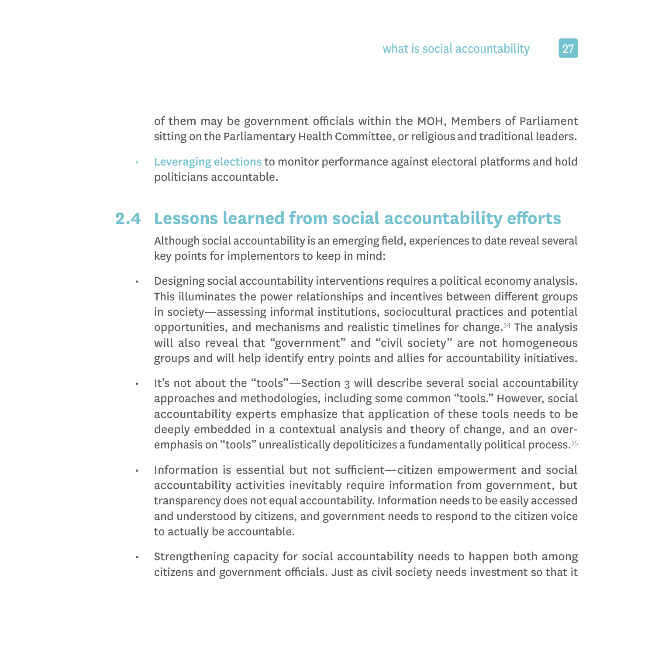of them may be government officials within the MOH, Members of Parliament sitting on the Parliamentary Health Committee, or religious and traditional leaders.

• Leveraging elections to monitor performance against electoral platforms and hold politicians accountable.

### **2.4 Lessons learned from social accountability efforts**

Although social accountability is an emerging field, experiences to date reveal several key points for implementors to keep in mind:

- Designing social accountability interventions requires a political economy analysis. This illuminates the power relationships and incentives between different groups in society—assessing informal institutions, sociocultural practices and potential opportunities, and mechanisms and realistic timelines for change.34 The analysis will also reveal that "government" and "civil society" are not homogeneous groups and will help identify entry points and allies for accountability initiatives.
- It's not about the "tools"—Section 3 will describe several social accountability approaches and methodologies, including some common "tools." However, social accountability experts emphasize that application of these tools needs to be deeply embedded in a contextual analysis and theory of change, and an overemphasis on "tools" unrealistically depoliticizes a fundamentally political process. 35
- Information is essential but not sufficient—citizen empowerment and social accountability activities inevitably require information from government, but transparency does not equal accountability. Information needs to be easily accessed and understood by citizens, and government needs to respond to the citizen voice to actually be accountable.
- Strengthening capacity for social accountability needs to happen both among citizens and government officials. Just as civil society needs investment so that it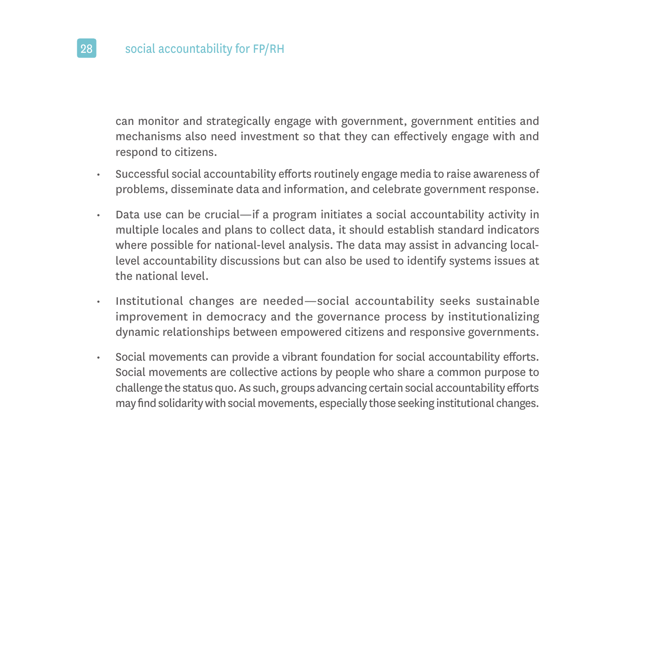can monitor and strategically engage with government, government entities and mechanisms also need investment so that they can effectively engage with and respond to citizens.

- Successful social accountability efforts routinely engage media to raise awareness of problems, disseminate data and information, and celebrate government response.
- Data use can be crucial—if a program initiates a social accountability activity in multiple locales and plans to collect data, it should establish standard indicators where possible for national-level analysis. The data may assist in advancing locallevel accountability discussions but can also be used to identify systems issues at the national level.
- Institutional changes are needed—social accountability seeks sustainable improvement in democracy and the governance process by institutionalizing dynamic relationships between empowered citizens and responsive governments.
- Social movements can provide a vibrant foundation for social accountability efforts. Social movements are collective actions by people who share a common purpose to challenge the status quo. As such, groups advancing certain social accountability efforts may find solidarity with social movements, especially those seeking institutional changes.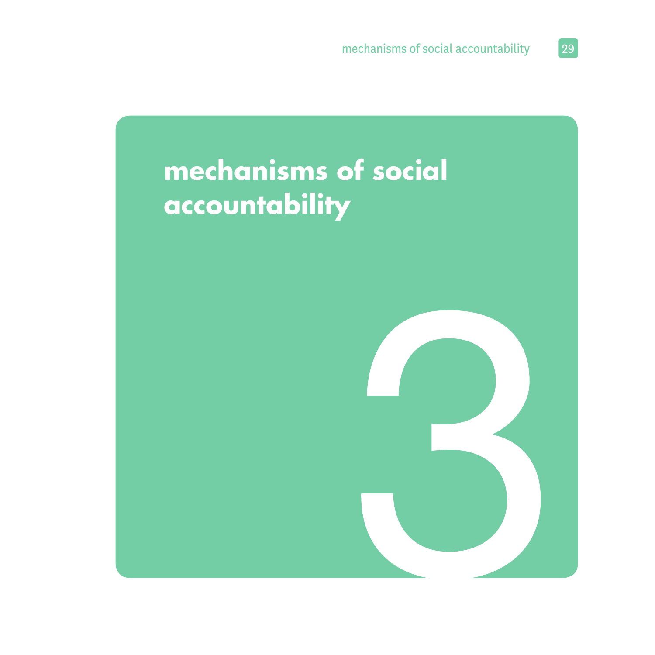

## **mechanisms of social accountability**

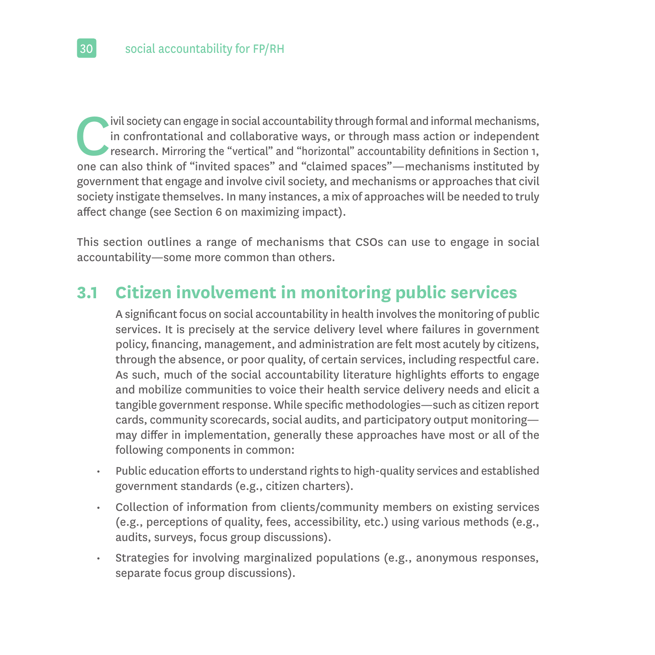ivil society can engage in social accountability through formal and informal mechanisms,<br>in confrontational and collaborative ways, or through mass action or independent<br>research. Mirroring the "vertical" and "horizontal" in confrontational and collaborative ways, or through mass action or independent research. Mirroring the "vertical" and "horizontal" accountability definitions in Section 1, one can also think of "invited spaces" and "claimed spaces"—mechanisms instituted by government that engage and involve civil society, and mechanisms or approaches that civil society instigate themselves. In many instances, a mix of approaches will be needed to truly affect change (see Section 6 on maximizing impact).

This section outlines a range of mechanisms that CSOs can use to engage in social accountability—some more common than others.

### **3.1 Citizen involvement in monitoring public services**

A significant focus on social accountability in health involves the monitoring of public services. It is precisely at the service delivery level where failures in government policy, financing, management, and administration are felt most acutely by citizens, through the absence, or poor quality, of certain services, including respectful care. As such, much of the social accountability literature highlights efforts to engage and mobilize communities to voice their health service delivery needs and elicit a tangible government response. While specific methodologies—such as citizen report cards, community scorecards, social audits, and participatory output monitoring may differ in implementation, generally these approaches have most or all of the following components in common:

- Public education efforts to understand rights to high-quality services and established government standards (e.g., citizen charters).
- Collection of information from clients/community members on existing services (e.g., perceptions of quality, fees, accessibility, etc.) using various methods (e.g., audits, surveys, focus group discussions).
- Strategies for involving marginalized populations (e.g., anonymous responses, separate focus group discussions).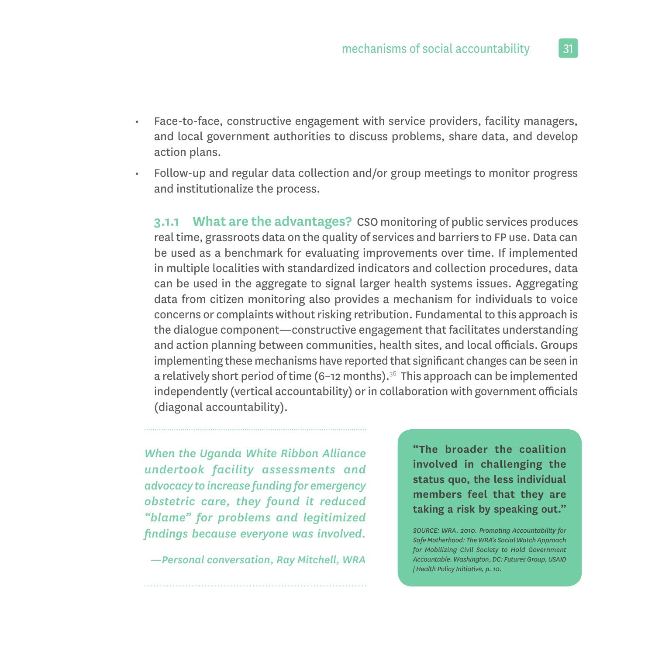- Face-to-face, constructive engagement with service providers, facility managers, and local government authorities to discuss problems, share data, and develop action plans.
- Follow-up and regular data collection and/or group meetings to monitor progress and institutionalize the process.

**3.1.1 What are the advantages?** CSO monitoring of public services produces real time, grassroots data on the quality of services and barriers to FP use. Data can be used as a benchmark for evaluating improvements over time. If implemented in multiple localities with standardized indicators and collection procedures, data can be used in the aggregate to signal larger health systems issues. Aggregating data from citizen monitoring also provides a mechanism for individuals to voice concerns or complaints without risking retribution. Fundamental to this approach is the dialogue component—constructive engagement that facilitates understanding and action planning between communities, health sites, and local officials. Groups implementing these mechanisms have reported that significant changes can be seen in a relatively short period of time (6-12 months).<sup>36</sup> This approach can be implemented independently (vertical accountability) or in collaboration with government officials (diagonal accountability).

*When the Uganda White Ribbon Alliance undertook facility assessments and advocacy to increase funding for emergency obstetric care, they found it reduced "blame" for problems and legitimized findings because everyone was involved.*

*—Personal conversation, Ray Mitchell, WRA*

**"The broader the coalition involved in challenging the status quo, the less individual members feel that they are taking a risk by speaking out."**

*SOURCE: WRA. 2010. Promoting Accountability for Safe Motherhood: The WRA's Social Watch Approach for Mobilizing Civil Society to Hold Government Accountable. Washington, DC: Futures Group, USAID | Health Policy Initiative, p. 10.*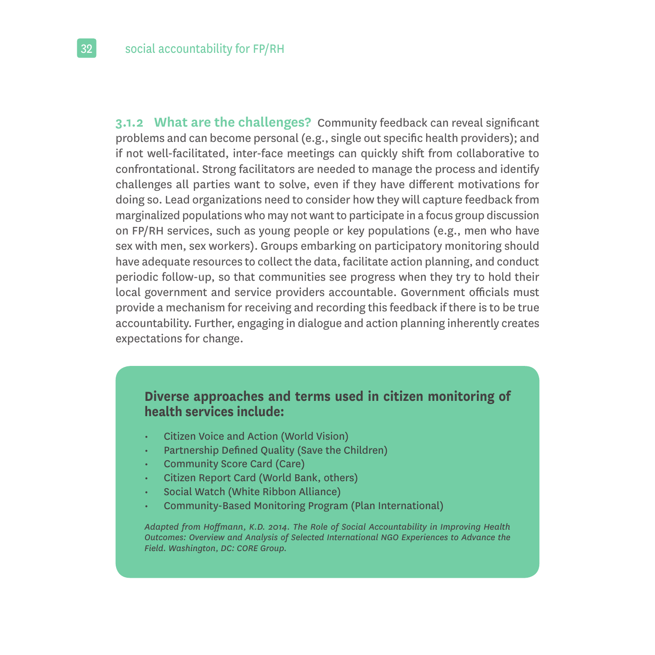**3.1.2 What are the challenges?** Community feedback can reveal significant problems and can become personal (e.g., single out specific health providers); and if not well-facilitated, inter-face meetings can quickly shift from collaborative to confrontational. Strong facilitators are needed to manage the process and identify challenges all parties want to solve, even if they have different motivations for doing so. Lead organizations need to consider how they will capture feedback from marginalized populations who may not want to participate in a focus group discussion on FP/RH services, such as young people or key populations (e.g., men who have sex with men, sex workers). Groups embarking on participatory monitoring should have adequate resources to collect the data, facilitate action planning, and conduct periodic follow-up, so that communities see progress when they try to hold their local government and service providers accountable. Government officials must provide a mechanism for receiving and recording this feedback if there is to be true accountability. Further, engaging in dialogue and action planning inherently creates expectations for change.

#### **Diverse approaches and terms used in citizen monitoring of health services include:**

- Citizen Voice and Action (World Vision)
- Partnership Defined Quality (Save the Children)
- Community Score Card (Care)
- Citizen Report Card (World Bank, others)
- Social Watch (White Ribbon Alliance)
- Community-Based Monitoring Program (Plan International)

*Adapted from Hoffmann, K.D. 2014. The Role of Social Accountability in Improving Health Outcomes: Overview and Analysis of Selected International NGO Experiences to Advance the Field. Washington, DC: CORE Group.*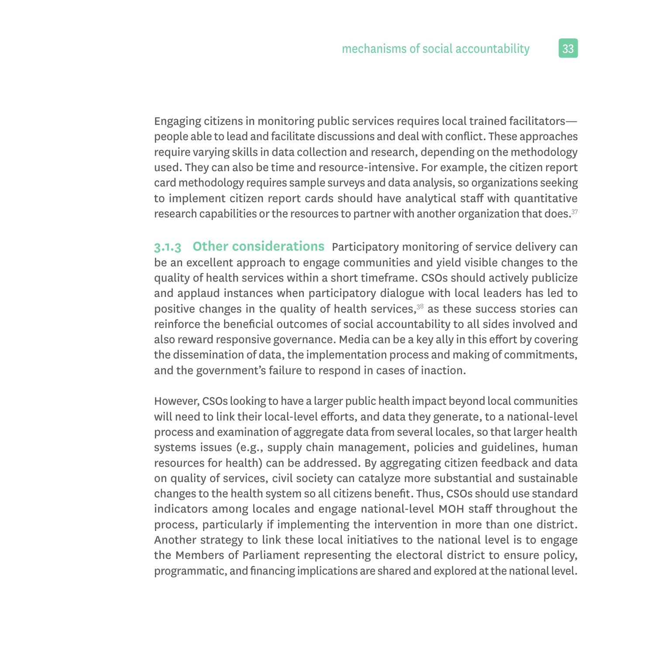Engaging citizens in monitoring public services requires local trained facilitators people able to lead and facilitate discussions and deal with conflict. These approaches require varying skills in data collection and research, depending on the methodology used. They can also be time and resource-intensive. For example, the citizen report card methodology requires sample surveys and data analysis, so organizations seeking to implement citizen report cards should have analytical staff with quantitative research capabilities or the resources to partner with another organization that does. $37$ 

**3.1.3 Other considerations** Participatory monitoring of service delivery can be an excellent approach to engage communities and yield visible changes to the quality of health services within a short timeframe. CSOs should actively publicize and applaud instances when participatory dialogue with local leaders has led to positive changes in the quality of health services, $38$  as these success stories can reinforce the beneficial outcomes of social accountability to all sides involved and also reward responsive governance. Media can be a key ally in this effort by covering the dissemination of data, the implementation process and making of commitments, and the government's failure to respond in cases of inaction.

However, CSOs looking to have a larger public health impact beyond local communities will need to link their local-level efforts, and data they generate, to a national-level process and examination of aggregate data from several locales, so that larger health systems issues (e.g., supply chain management, policies and guidelines, human resources for health) can be addressed. By aggregating citizen feedback and data on quality of services, civil society can catalyze more substantial and sustainable changes to the health system so all citizens benefit. Thus, CSOs should use standard indicators among locales and engage national-level MOH staff throughout the process, particularly if implementing the intervention in more than one district. Another strategy to link these local initiatives to the national level is to engage the Members of Parliament representing the electoral district to ensure policy, programmatic, and financing implications are shared and explored at the national level.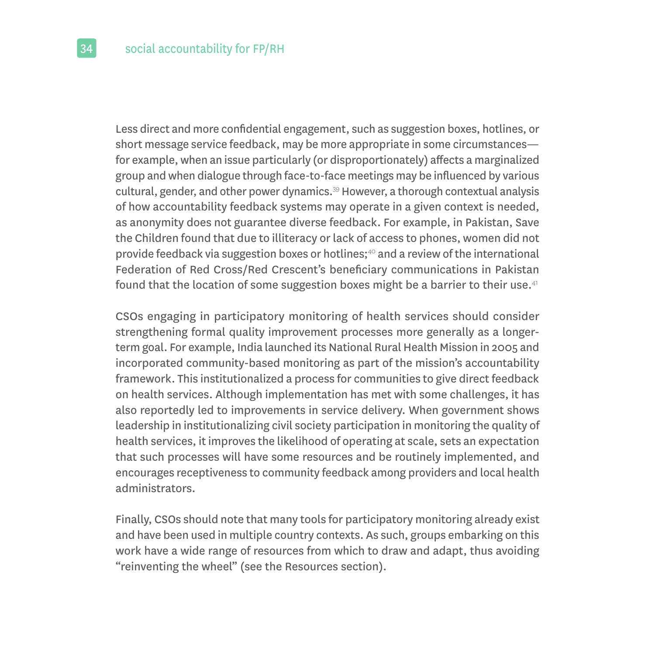Less direct and more confidential engagement, such as suggestion boxes, hotlines, or short message service feedback, may be more appropriate in some circumstances for example, when an issue particularly (or disproportionately) affects a marginalized group and when dialogue through face-to-face meetings may be influenced by various cultural, gender, and other power dynamics.<sup>39</sup> However, a thorough contextual analysis of how accountability feedback systems may operate in a given context is needed, as anonymity does not guarantee diverse feedback. For example, in Pakistan, Save the Children found that due to illiteracy or lack of access to phones, women did not provide feedback via suggestion boxes or hotlines;<sup>40</sup> and a review of the international Federation of Red Cross/Red Crescent's beneficiary communications in Pakistan found that the location of some suggestion boxes might be a barrier to their use.<sup>41</sup>

CSOs engaging in participatory monitoring of health services should consider strengthening formal quality improvement processes more generally as a longerterm goal. For example, India launched its National Rural Health Mission in 2005 and incorporated community-based monitoring as part of the mission's accountability framework. This institutionalized a process for communities to give direct feedback on health services. Although implementation has met with some challenges, it has also reportedly led to improvements in service delivery. When government shows leadership in institutionalizing civil society participation in monitoring the quality of health services, it improves the likelihood of operating at scale, sets an expectation that such processes will have some resources and be routinely implemented, and encourages receptiveness to community feedback among providers and local health administrators.

Finally, CSOs should note that many tools for participatory monitoring already exist and have been used in multiple country contexts. As such, groups embarking on this work have a wide range of resources from which to draw and adapt, thus avoiding "reinventing the wheel" (see the Resources section).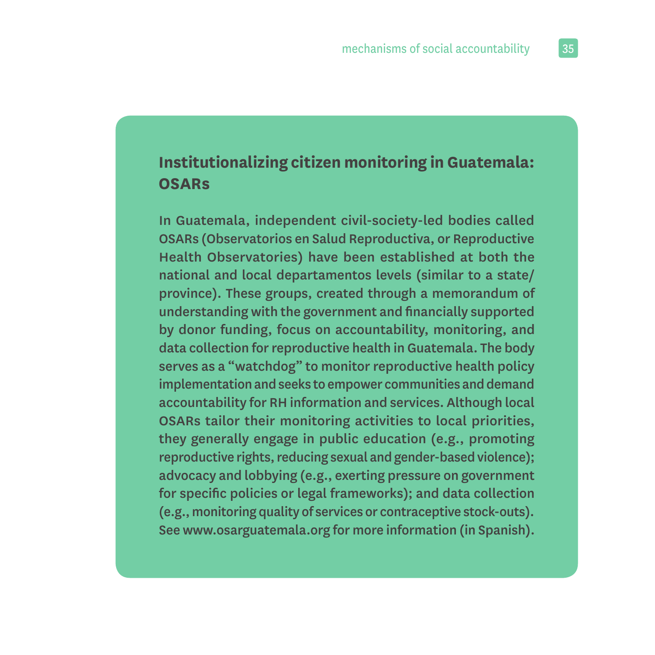## **Institutionalizing citizen monitoring in Guatemala: OSARs**

In Guatemala, independent civil-society-led bodies called OSARs (Observatorios en Salud Reproductiva, or Reproductive Health Observatories) have been established at both the national and local departamentos levels (similar to a state/ province). These groups, created through a memorandum of understanding with the government and financially supported by donor funding, focus on accountability, monitoring, and data collection for reproductive health in Guatemala. The body serves as a "watchdog" to monitor reproductive health policy implementation and seeks to empower communities and demand accountability for RH information and services. Although local OSARs tailor their monitoring activities to local priorities, they generally engage in public education (e.g., promoting reproductive rights, reducing sexual and gender-based violence); advocacy and lobbying (e.g., exerting pressure on government for specific policies or legal frameworks); and data collection (e.g., monitoring quality of services or contraceptive stock-outs). See www.osarguatemala.org for more information (in Spanish).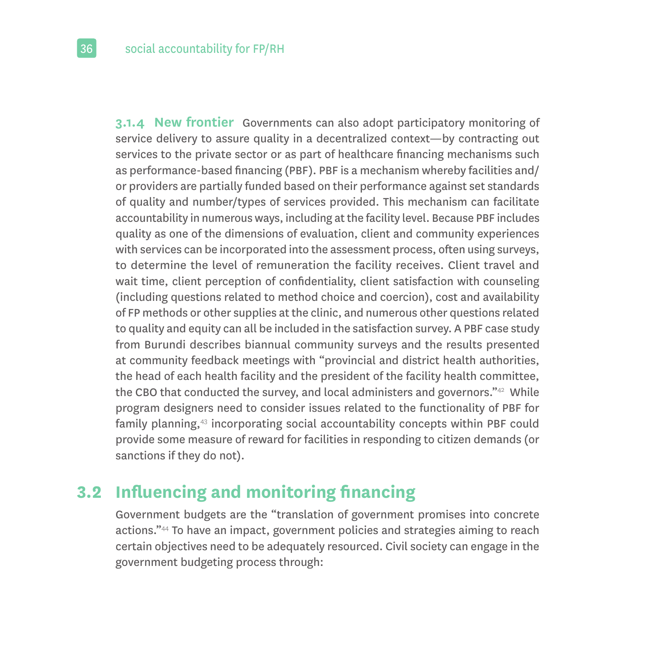**3.1.4 New frontier** Governments can also adopt participatory monitoring of service delivery to assure quality in a decentralized context—by contracting out services to the private sector or as part of healthcare financing mechanisms such as performance-based financing (PBF). PBF is a mechanism whereby facilities and/ or providers are partially funded based on their performance against set standards of quality and number/types of services provided. This mechanism can facilitate accountability in numerous ways, including at the facility level. Because PBF includes quality as one of the dimensions of evaluation, client and community experiences with services can be incorporated into the assessment process, often using surveys, to determine the level of remuneration the facility receives. Client travel and wait time, client perception of confidentiality, client satisfaction with counseling (including questions related to method choice and coercion), cost and availability of FP methods or other supplies at the clinic, and numerous other questions related to quality and equity can all be included in the satisfaction survey. A PBF case study from Burundi describes biannual community surveys and the results presented at community feedback meetings with "provincial and district health authorities, the head of each health facility and the president of the facility health committee, the CBO that conducted the survey, and local administers and governors."<sup>42</sup> While program designers need to consider issues related to the functionality of PBF for family planning,<sup>43</sup> incorporating social accountability concepts within PBF could provide some measure of reward for facilities in responding to citizen demands (or sanctions if they do not).

## **3.2 Influencing and monitoring financing**

Government budgets are the "translation of government promises into concrete actions."44 To have an impact, government policies and strategies aiming to reach certain objectives need to be adequately resourced. Civil society can engage in the government budgeting process through: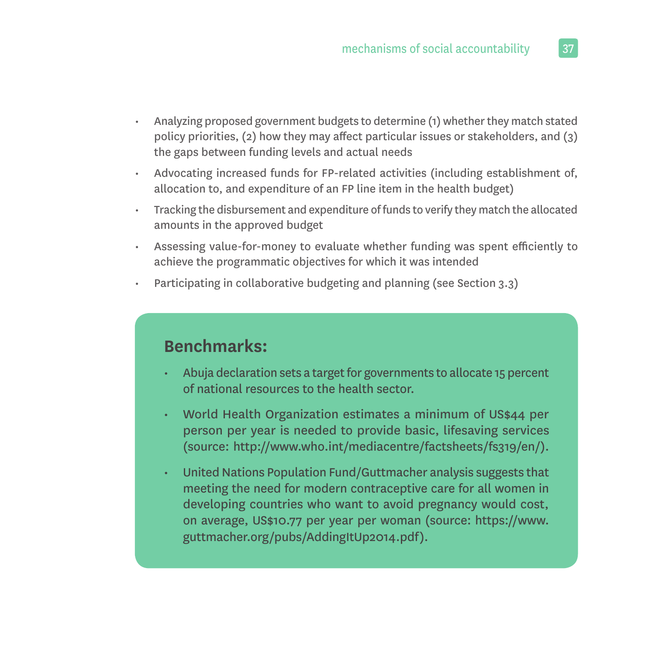- Analyzing proposed government budgets to determine (1) whether they match stated policy priorities, (2) how they may affect particular issues or stakeholders, and (3) the gaps between funding levels and actual needs
- Advocating increased funds for FP-related activities (including establishment of, allocation to, and expenditure of an FP line item in the health budget)
- Tracking the disbursement and expenditure of funds to verify they match the allocated amounts in the approved budget
- Assessing value-for-money to evaluate whether funding was spent efficiently to achieve the programmatic objectives for which it was intended
- Participating in collaborative budgeting and planning (see Section 3.3)

## **Benchmarks:**

- Abuja declaration sets a target for governments to allocate 15 percent of national resources to the health sector.
- World Health Organization estimates a minimum of US\$44 per person per year is needed to provide basic, lifesaving services (source: http://www.who.int/mediacentre/factsheets/fs319/en/).
- United Nations Population Fund/Guttmacher analysis suggests that meeting the need for modern contraceptive care for all women in developing countries who want to avoid pregnancy would cost, on average, US\$10.77 per year per woman (source: https://www. guttmacher.org/pubs/AddingItUp2014.pdf).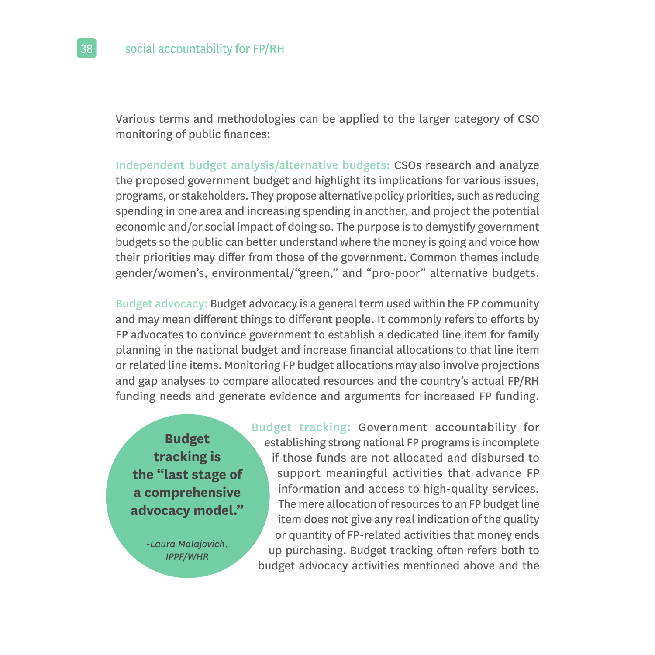Various terms and methodologies can be applied to the larger category of CSO monitoring of public finances:

Independent budget analysis/alternative budgets: CSOs research and analyze the proposed government budget and highlight its implications for various issues, programs, or stakeholders. They propose alternative policy priorities, such as reducing spending in one area and increasing spending in another, and project the potential economic and/or social impact of doing so. The purpose is to demystify government budgets so the public can better understand where the money is going and voice how their priorities may differ from those of the government. Common themes include gender/women's, environmental/"green," and "pro-poor" alternative budgets.

Budget advocacy: Budget advocacy is a general term used within the FP community and may mean different things to different people. It commonly refers to efforts by FP advocates to convince government to establish a dedicated line item for family planning in the national budget and increase financial allocations to that line item or related line items. Monitoring FP budget allocations may also involve projections and gap analyses to compare allocated resources and the country's actual FP/RH funding needs and generate evidence and arguments for increased FP funding.

**Budget tracking is the "last stage of a comprehensive advocacy model."**

> *-Laura Malajovich, IPPF/WHR*

Budget tracking: Government accountability for establishing strong national FP programs is incomplete if those funds are not allocated and disbursed to support meaningful activities that advance FP information and access to high-quality services. The mere allocation of resources to an FP budget line item does not give any real indication of the quality or quantity of FP-related activities that money ends up purchasing. Budget tracking often refers both to budget advocacy activities mentioned above and the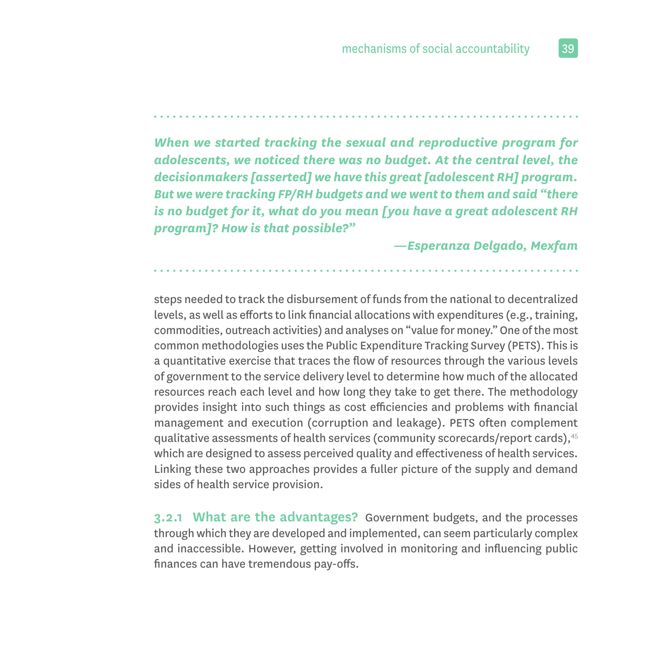*When we started tracking the sexual and reproductive program for adolescents, we noticed there was no budget. At the central level, the decisionmakers [asserted] we have this great [adolescent RH] program. But we were tracking FP/RH budgets and we went to them and said "there is no budget for it, what do you mean [you have a great adolescent RH program]? How is that possible?"*

*—Esperanza Delgado, Mexfam* 

steps needed to track the disbursement of funds from the national to decentralized levels, as well as efforts to link financial allocations with expenditures (e.g., training, commodities, outreach activities) and analyses on "value for money." One of the most common methodologies uses the Public Expenditure Tracking Survey (PETS). This is a quantitative exercise that traces the flow of resources through the various levels of government to the service delivery level to determine how much of the allocated resources reach each level and how long they take to get there. The methodology provides insight into such things as cost efficiencies and problems with financial management and execution (corruption and leakage). PETS often complement qualitative assessments of health services (community scorecards/report cards),<sup>45</sup> which are designed to assess perceived quality and effectiveness of health services. Linking these two approaches provides a fuller picture of the supply and demand sides of health service provision.

**3.2.1 What are the advantages?** Government budgets, and the processes through which they are developed and implemented, can seem particularly complex and inaccessible. However, getting involved in monitoring and influencing public finances can have tremendous pay-offs.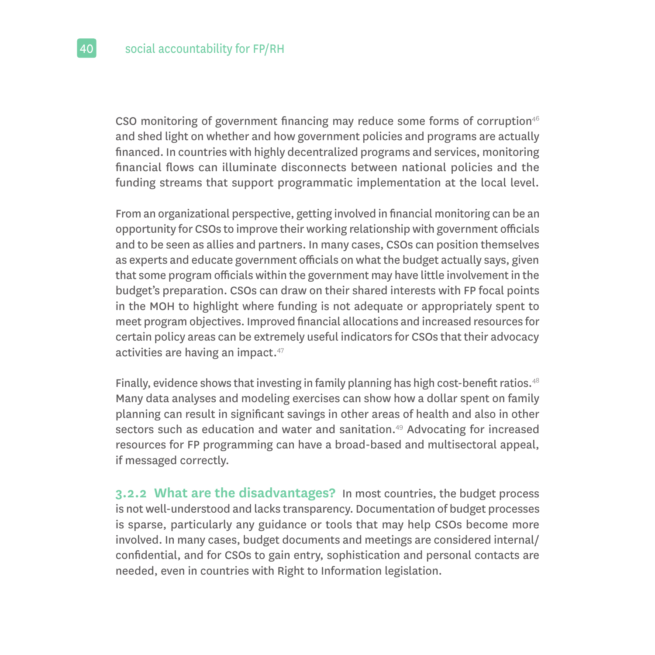CSO monitoring of government financing may reduce some forms of corruption<sup>46</sup> and shed light on whether and how government policies and programs are actually financed. In countries with highly decentralized programs and services, monitoring financial flows can illuminate disconnects between national policies and the funding streams that support programmatic implementation at the local level.

From an organizational perspective, getting involved in financial monitoring can be an opportunity for CSOs to improve their working relationship with government officials and to be seen as allies and partners. In many cases, CSOs can position themselves as experts and educate government officials on what the budget actually says, given that some program officials within the government may have little involvement in the budget's preparation. CSOs can draw on their shared interests with FP focal points in the MOH to highlight where funding is not adequate or appropriately spent to meet program objectives. Improved financial allocations and increased resources for certain policy areas can be extremely useful indicators for CSOs that their advocacy activities are having an impact.<sup>47</sup>

Finally, evidence shows that investing in family planning has high cost-benefit ratios.<sup>48</sup> Many data analyses and modeling exercises can show how a dollar spent on family planning can result in significant savings in other areas of health and also in other sectors such as education and water and sanitation.<sup>49</sup> Advocating for increased resources for FP programming can have a broad-based and multisectoral appeal, if messaged correctly.

**3.2.2 What are the disadvantages?** In most countries, the budget process is not well-understood and lacks transparency. Documentation of budget processes is sparse, particularly any guidance or tools that may help CSOs become more involved. In many cases, budget documents and meetings are considered internal/ confidential, and for CSOs to gain entry, sophistication and personal contacts are needed, even in countries with Right to Information legislation.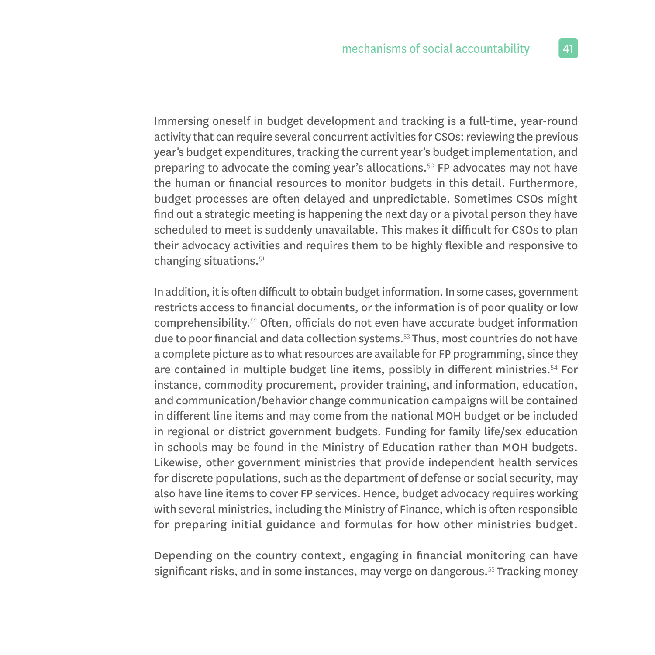Immersing oneself in budget development and tracking is a full-time, year-round activity that can require several concurrent activities for CSOs: reviewing the previous year's budget expenditures, tracking the current year's budget implementation, and preparing to advocate the coming year's allocations.<sup>50</sup> FP advocates may not have the human or financial resources to monitor budgets in this detail. Furthermore, budget processes are often delayed and unpredictable. Sometimes CSOs might find out a strategic meeting is happening the next day or a pivotal person they have scheduled to meet is suddenly unavailable. This makes it difficult for CSOs to plan their advocacy activities and requires them to be highly flexible and responsive to changing situations.<sup>51</sup>

In addition, it is often difficult to obtain budget information. In some cases, government restricts access to financial documents, or the information is of poor quality or low comprehensibility.52 Often, officials do not even have accurate budget information due to poor financial and data collection systems.<sup>53</sup> Thus, most countries do not have a complete picture as to what resources are available for FP programming, since they are contained in multiple budget line items, possibly in different ministries.54 For instance, commodity procurement, provider training, and information, education, and communication/behavior change communication campaigns will be contained in different line items and may come from the national MOH budget or be included in regional or district government budgets. Funding for family life/sex education in schools may be found in the Ministry of Education rather than MOH budgets. Likewise, other government ministries that provide independent health services for discrete populations, such as the department of defense or social security, may also have line items to cover FP services. Hence, budget advocacy requires working with several ministries, including the Ministry of Finance, which is often responsible for preparing initial guidance and formulas for how other ministries budget.

Depending on the country context, engaging in financial monitoring can have significant risks, and in some instances, may verge on dangerous.<sup>55</sup> Tracking money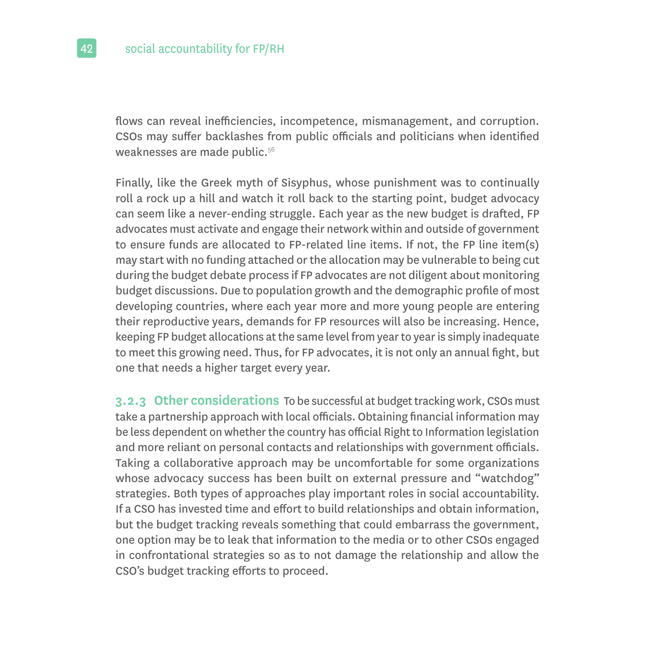flows can reveal inefficiencies, incompetence, mismanagement, and corruption. CSOs may suffer backlashes from public officials and politicians when identified weaknesses are made public.<sup>56</sup>

Finally, like the Greek myth of Sisyphus, whose punishment was to continually roll a rock up a hill and watch it roll back to the starting point, budget advocacy can seem like a never-ending struggle. Each year as the new budget is drafted, FP advocates must activate and engage their network within and outside of government to ensure funds are allocated to FP-related line items. If not, the FP line item(s) may start with no funding attached or the allocation may be vulnerable to being cut during the budget debate process if FP advocates are not diligent about monitoring budget discussions. Due to population growth and the demographic profile of most developing countries, where each year more and more young people are entering their reproductive years, demands for FP resources will also be increasing. Hence, keeping FP budget allocations at the same level from year to year is simply inadequate to meet this growing need. Thus, for FP advocates, it is not only an annual fight, but one that needs a higher target every year.

**3.2.3 Other considerations** To be successful at budget tracking work, CSOs must take a partnership approach with local officials. Obtaining financial information may be less dependent on whether the country has official Right to Information legislation and more reliant on personal contacts and relationships with government officials. Taking a collaborative approach may be uncomfortable for some organizations whose advocacy success has been built on external pressure and "watchdog" strategies. Both types of approaches play important roles in social accountability. If a CSO has invested time and effort to build relationships and obtain information, but the budget tracking reveals something that could embarrass the government, one option may be to leak that information to the media or to other CSOs engaged in confrontational strategies so as to not damage the relationship and allow the CSO's budget tracking efforts to proceed.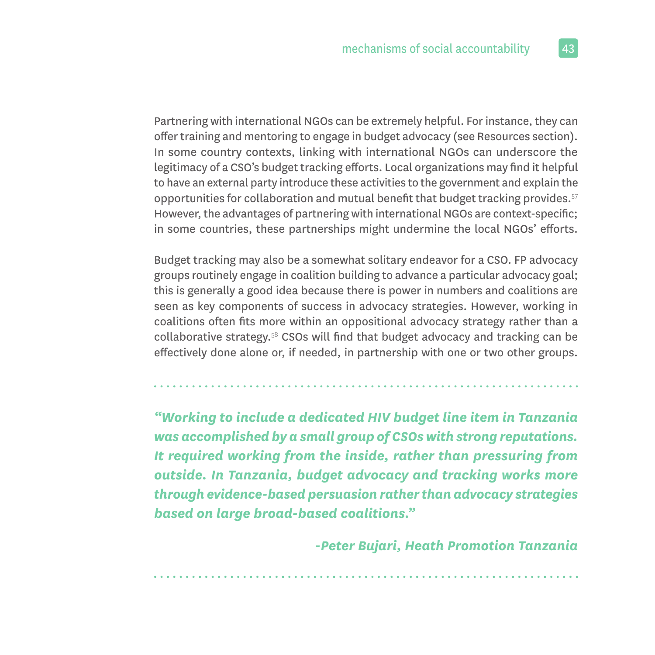Partnering with international NGOs can be extremely helpful. For instance, they can offer training and mentoring to engage in budget advocacy (see Resources section). In some country contexts, linking with international NGOs can underscore the legitimacy of a CSO's budget tracking efforts. Local organizations may find it helpful to have an external party introduce these activities to the government and explain the opportunities for collaboration and mutual benefit that budget tracking provides. $57$ However, the advantages of partnering with international NGOs are context-specific; in some countries, these partnerships might undermine the local NGOs' efforts.

Budget tracking may also be a somewhat solitary endeavor for a CSO. FP advocacy groups routinely engage in coalition building to advance a particular advocacy goal; this is generally a good idea because there is power in numbers and coalitions are seen as key components of success in advocacy strategies. However, working in coalitions often fits more within an oppositional advocacy strategy rather than a collaborative strategy.58 CSOs will find that budget advocacy and tracking can be effectively done alone or, if needed, in partnership with one or two other groups.

*"Working to include a dedicated HIV budget line item in Tanzania was accomplished by a small group of CSOs with strong reputations. It required working from the inside, rather than pressuring from outside. In Tanzania, budget advocacy and tracking works more through evidence-based persuasion rather than advocacy strategies based on large broad-based coalitions."*

*-Peter Bujari, Heath Promotion Tanzania*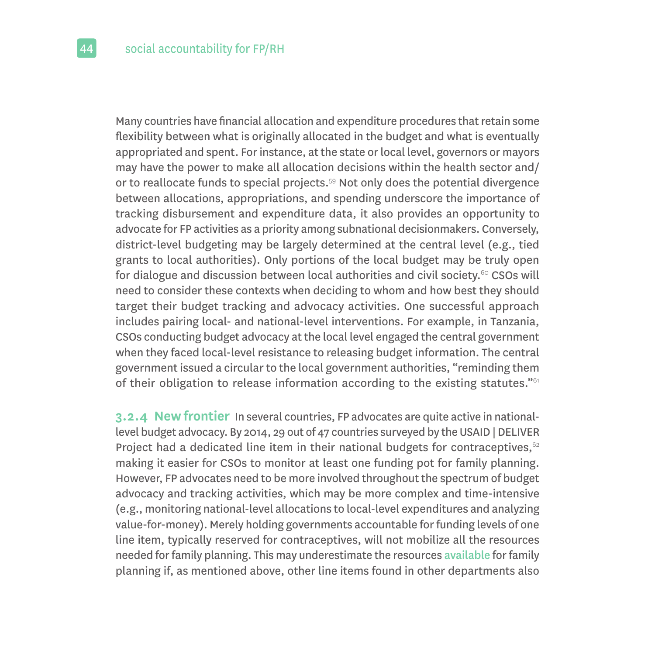Many countries have financial allocation and expenditure procedures that retain some flexibility between what is originally allocated in the budget and what is eventually appropriated and spent. For instance, at the state or local level, governors or mayors may have the power to make all allocation decisions within the health sector and/ or to reallocate funds to special projects.<sup>59</sup> Not only does the potential divergence between allocations, appropriations, and spending underscore the importance of tracking disbursement and expenditure data, it also provides an opportunity to advocate for FP activities as a priority among subnational decisionmakers. Conversely, district-level budgeting may be largely determined at the central level (e.g., tied grants to local authorities). Only portions of the local budget may be truly open for dialogue and discussion between local authorities and civil society.<sup>60</sup> CSOs will need to consider these contexts when deciding to whom and how best they should target their budget tracking and advocacy activities. One successful approach includes pairing local- and national-level interventions. For example, in Tanzania, CSOs conducting budget advocacy at the local level engaged the central government when they faced local-level resistance to releasing budget information. The central government issued a circular to the local government authorities, "reminding them of their obligation to release information according to the existing statutes."<sup>61</sup>

**3.2.4 New frontier** In several countries, FP advocates are quite active in nationallevel budget advocacy. By 2014, 29 out of 47 countries surveyed by the USAID | DELIVER Project had a dedicated line item in their national budgets for contraceptives, $62$ making it easier for CSOs to monitor at least one funding pot for family planning. However, FP advocates need to be more involved throughout the spectrum of budget advocacy and tracking activities, which may be more complex and time-intensive (e.g., monitoring national-level allocations to local-level expenditures and analyzing value-for-money). Merely holding governments accountable for funding levels of one line item, typically reserved for contraceptives, will not mobilize all the resources needed for family planning. This may underestimate the resources available for family planning if, as mentioned above, other line items found in other departments also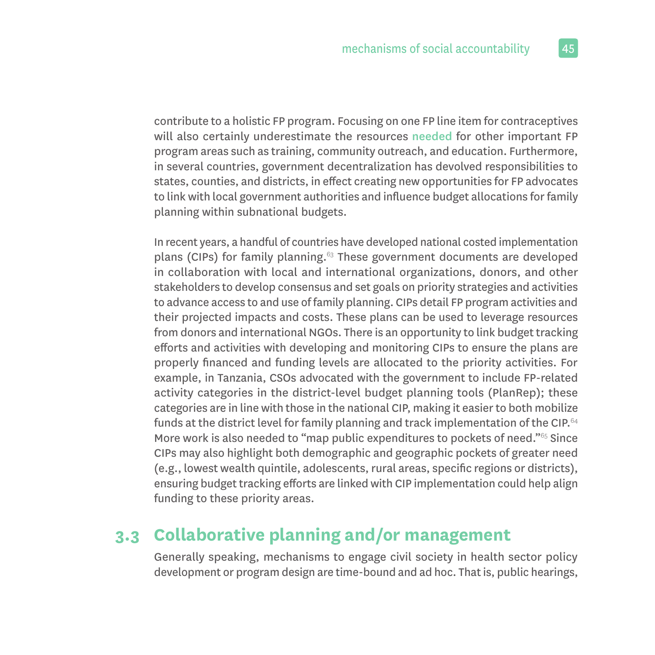contribute to a holistic FP program. Focusing on one FP line item for contraceptives will also certainly underestimate the resources needed for other important FP program areas such as training, community outreach, and education. Furthermore, in several countries, government decentralization has devolved responsibilities to states, counties, and districts, in effect creating new opportunities for FP advocates to link with local government authorities and influence budget allocations for family planning within subnational budgets.

In recent years, a handful of countries have developed national costed implementation plans (CIPs) for family planning.<sup>63</sup> These government documents are developed in collaboration with local and international organizations, donors, and other stakeholders to develop consensus and set goals on priority strategies and activities to advance access to and use of family planning. CIPs detail FP program activities and their projected impacts and costs. These plans can be used to leverage resources from donors and international NGOs. There is an opportunity to link budget tracking efforts and activities with developing and monitoring CIPs to ensure the plans are properly financed and funding levels are allocated to the priority activities. For example, in Tanzania, CSOs advocated with the government to include FP-related activity categories in the district-level budget planning tools (PlanRep); these categories are in line with those in the national CIP, making it easier to both mobilize funds at the district level for family planning and track implementation of the CIP. $64$ More work is also needed to "map public expenditures to pockets of need." $65$  Since CIPs may also highlight both demographic and geographic pockets of greater need (e.g., lowest wealth quintile, adolescents, rural areas, specific regions or districts), ensuring budget tracking efforts are linked with CIP implementation could help align funding to these priority areas.

## **3.3 Collaborative planning and/or management**

Generally speaking, mechanisms to engage civil society in health sector policy development or program design are time-bound and ad hoc. That is, public hearings,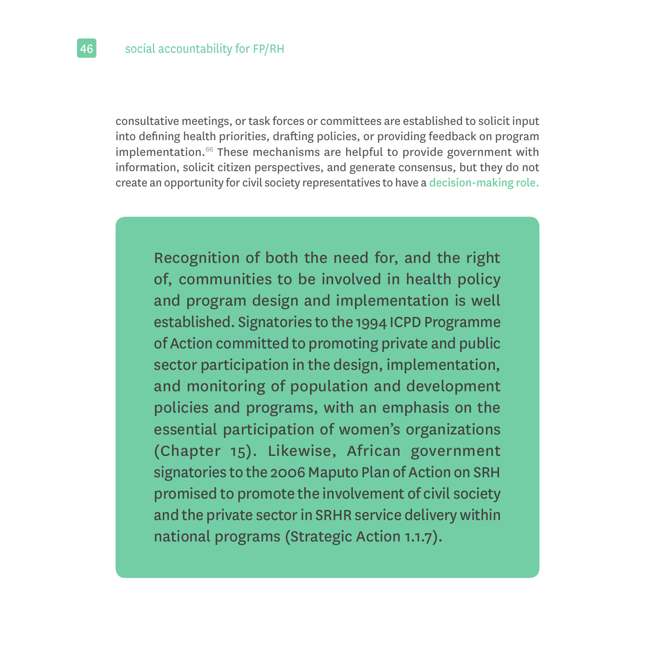consultative meetings, or task forces or committees are established to solicit input into defining health priorities, drafting policies, or providing feedback on program implementation. $66$  These mechanisms are helpful to provide government with information, solicit citizen perspectives, and generate consensus, but they do not create an opportunity for civil society representatives to have a decision-making role.

Recognition of both the need for, and the right of, communities to be involved in health policy and program design and implementation is well established. Signatories to the 1994 ICPD Programme of Action committed to promoting private and public sector participation in the design, implementation, and monitoring of population and development policies and programs, with an emphasis on the essential participation of women's organizations (Chapter 15). Likewise, African government signatories to the 2006 Maputo Plan of Action on SRH promised to promote the involvement of civil society and the private sector in SRHR service delivery within national programs (Strategic Action 1.1.7).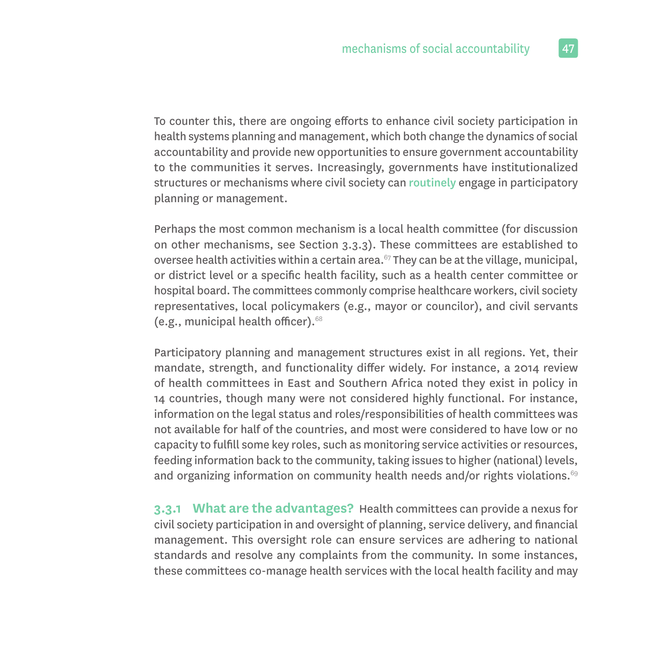To counter this, there are ongoing efforts to enhance civil society participation in health systems planning and management, which both change the dynamics of social accountability and provide new opportunities to ensure government accountability to the communities it serves. Increasingly, governments have institutionalized structures or mechanisms where civil society can routinely engage in participatory planning or management.

Perhaps the most common mechanism is a local health committee (for discussion on other mechanisms, see Section 3.3.3). These committees are established to oversee health activities within a certain area.<sup> $57$ </sup> They can be at the village, municipal, or district level or a specific health facility, such as a health center committee or hospital board. The committees commonly comprise healthcare workers, civil society representatives, local policymakers (e.g., mayor or councilor), and civil servants (e.g., municipal health officer).<sup>68</sup>

Participatory planning and management structures exist in all regions. Yet, their mandate, strength, and functionality differ widely. For instance, a 2014 review of health committees in East and Southern Africa noted they exist in policy in 14 countries, though many were not considered highly functional. For instance, information on the legal status and roles/responsibilities of health committees was not available for half of the countries, and most were considered to have low or no capacity to fulfill some key roles, such as monitoring service activities or resources, feeding information back to the community, taking issues to higher (national) levels, and organizing information on community health needs and/or rights violations. $69$ 

**3.3.1 What are the advantages?** Health committees can provide a nexus for civil society participation in and oversight of planning, service delivery, and financial management. This oversight role can ensure services are adhering to national standards and resolve any complaints from the community. In some instances, these committees co-manage health services with the local health facility and may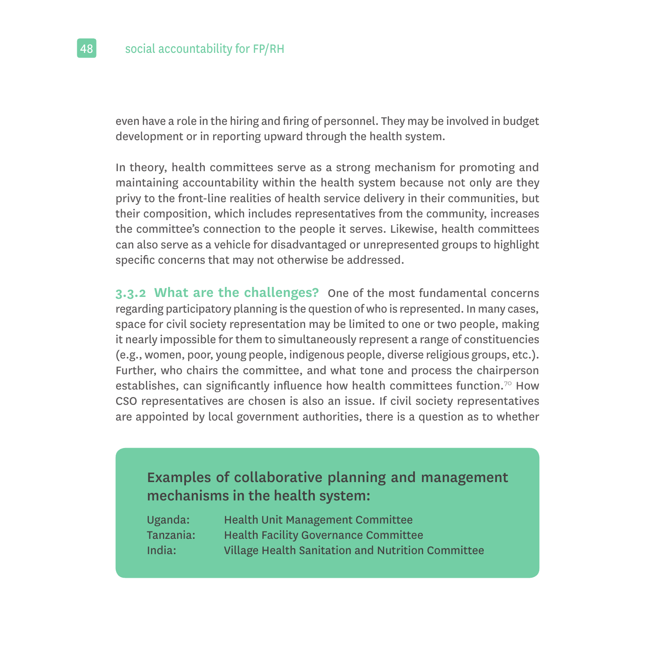even have a role in the hiring and firing of personnel. They may be involved in budget development or in reporting upward through the health system.

In theory, health committees serve as a strong mechanism for promoting and maintaining accountability within the health system because not only are they privy to the front-line realities of health service delivery in their communities, but their composition, which includes representatives from the community, increases the committee's connection to the people it serves. Likewise, health committees can also serve as a vehicle for disadvantaged or unrepresented groups to highlight specific concerns that may not otherwise be addressed.

**3.3.2 What are the challenges?** One of the most fundamental concerns regarding participatory planning is the question of who is represented. In many cases, space for civil society representation may be limited to one or two people, making it nearly impossible for them to simultaneously represent a range of constituencies (e.g., women, poor, young people, indigenous people, diverse religious groups, etc.). Further, who chairs the committee, and what tone and process the chairperson establishes, can significantly influence how health committees function.<sup>70</sup> How CSO representatives are chosen is also an issue. If civil society representatives are appointed by local government authorities, there is a question as to whether

#### Examples of collaborative planning and management mechanisms in the health system:

| Uganda:   | <b>Health Unit Management Committee</b>                  |
|-----------|----------------------------------------------------------|
| Tanzania: | <b>Health Facility Governance Committee</b>              |
| India:    | <b>Village Health Sanitation and Nutrition Committee</b> |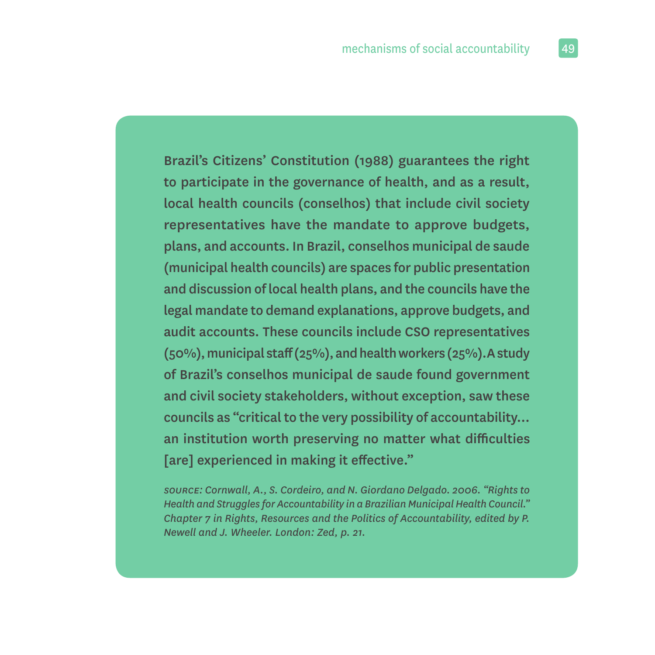Brazil's Citizens' Constitution (1988) guarantees the right to participate in the governance of health, and as a result, local health councils (conselhos) that include civil society representatives have the mandate to approve budgets, plans, and accounts. In Brazil, conselhos municipal de saude (municipal health councils) are spaces for public presentation and discussion of local health plans, and the councils have the legal mandate to demand explanations, approve budgets, and audit accounts. These councils include CSO representatives (50%), municipal staff (25%), and health workers (25%).A study of Brazil's conselhos municipal de saude found government and civil society stakeholders, without exception, saw these councils as "critical to the very possibility of accountability… an institution worth preserving no matter what difficulties [are] experienced in making it effective."

*source: Cornwall, A., S. Cordeiro, and N. Giordano Delgado. 2006. "Rights to Health and Struggles for Accountability in a Brazilian Municipal Health Council." Chapter 7 in Rights, Resources and the Politics of Accountability, edited by P. Newell and J. Wheeler. London: Zed, p. 21.*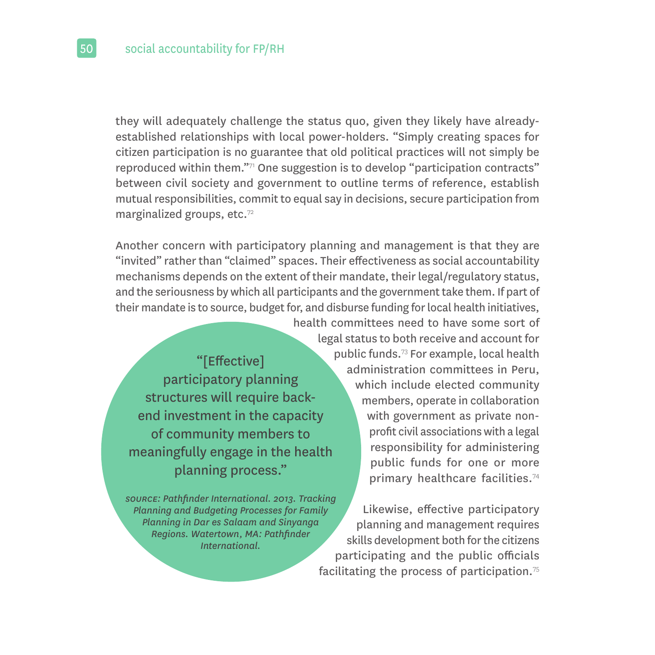they will adequately challenge the status quo, given they likely have alreadyestablished relationships with local power-holders. "Simply creating spaces for citizen participation is no guarantee that old political practices will not simply be reproduced within them."71 One suggestion is to develop "participation contracts" between civil society and government to outline terms of reference, establish mutual responsibilities, commit to equal say in decisions, secure participation from marginalized groups, etc.<sup>72</sup>

Another concern with participatory planning and management is that they are "invited" rather than "claimed" spaces. Their effectiveness as social accountability mechanisms depends on the extent of their mandate, their legal/regulatory status, and the seriousness by which all participants and the government take them. If part of their mandate is to source, budget for, and disburse funding for local health initiatives,

"[Effective] participatory planning structures will require backend investment in the capacity of community members to meaningfully engage in the health planning process."

*source: Pathfinder International. 2013. Tracking Planning and Budgeting Processes for Family Planning in Dar es Salaam and Sinyanga Regions. Watertown, MA: Pathfinder International.*

legal status to both receive and account for public funds.73 For example, local health administration committees in Peru, which include elected community members, operate in collaboration with government as private nonprofit civil associations with a legal responsibility for administering public funds for one or more primary healthcare facilities.<sup>74</sup>

health committees need to have some sort of

Likewise, effective participatory planning and management requires skills development both for the citizens participating and the public officials facilitating the process of participation.75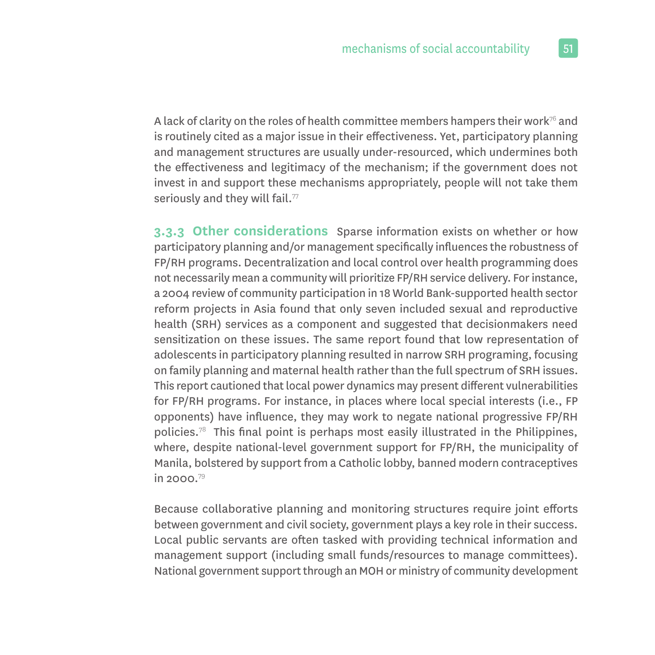A lack of clarity on the roles of health committee members hampers their work $76$  and is routinely cited as a major issue in their effectiveness. Yet, participatory planning and management structures are usually under-resourced, which undermines both the effectiveness and legitimacy of the mechanism; if the government does not invest in and support these mechanisms appropriately, people will not take them seriously and they will fail.<sup>77</sup>

**3.3.3 Other considerations** Sparse information exists on whether or how participatory planning and/or management specifically influences the robustness of FP/RH programs. Decentralization and local control over health programming does not necessarily mean a community will prioritize FP/RH service delivery. For instance, a 2004 review of community participation in 18 World Bank-supported health sector reform projects in Asia found that only seven included sexual and reproductive health (SRH) services as a component and suggested that decisionmakers need sensitization on these issues. The same report found that low representation of adolescents in participatory planning resulted in narrow SRH programing, focusing on family planning and maternal health rather than the full spectrum of SRH issues. This report cautioned that local power dynamics may present different vulnerabilities for FP/RH programs. For instance, in places where local special interests (i.e., FP opponents) have influence, they may work to negate national progressive FP/RH policies.78 This final point is perhaps most easily illustrated in the Philippines, where, despite national-level government support for FP/RH, the municipality of Manila, bolstered by support from a Catholic lobby, banned modern contraceptives in 2000.<sup>79</sup>

Because collaborative planning and monitoring structures require joint efforts between government and civil society, government plays a key role in their success. Local public servants are often tasked with providing technical information and management support (including small funds/resources to manage committees). National government support through an MOH or ministry of community development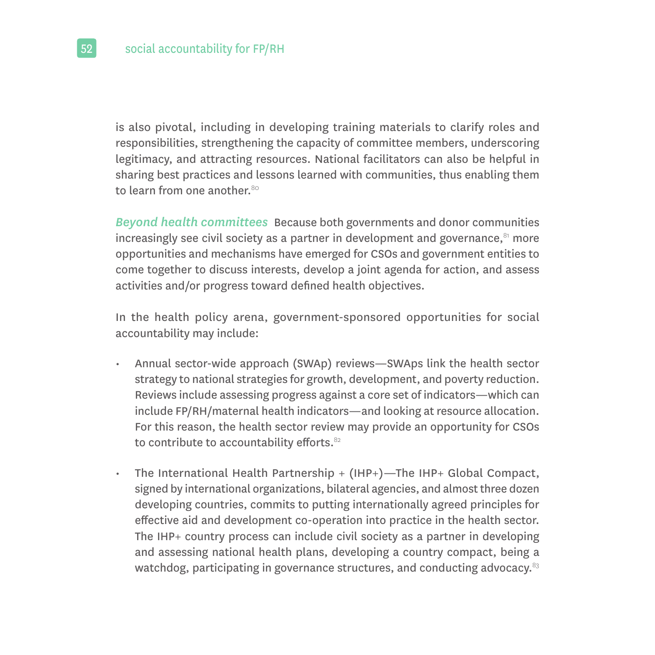is also pivotal, including in developing training materials to clarify roles and responsibilities, strengthening the capacity of committee members, underscoring legitimacy, and attracting resources. National facilitators can also be helpful in sharing best practices and lessons learned with communities, thus enabling them to learn from one another.<sup>80</sup>

*Beyond health committees* Because both governments and donor communities increasingly see civil society as a partner in development and governance, $s<sup>1</sup>$  more opportunities and mechanisms have emerged for CSOs and government entities to come together to discuss interests, develop a joint agenda for action, and assess activities and/or progress toward defined health objectives.

In the health policy arena, government-sponsored opportunities for social accountability may include:

- Annual sector-wide approach (SWAp) reviews—SWAps link the health sector strategy to national strategies for growth, development, and poverty reduction. Reviews include assessing progress against a core set of indicators—which can include FP/RH/maternal health indicators—and looking at resource allocation. For this reason, the health sector review may provide an opportunity for CSOs to contribute to accountability efforts.<sup>82</sup>
- The International Health Partnership + (IHP+)—The IHP+ Global Compact, signed by international organizations, bilateral agencies, and almost three dozen developing countries, commits to putting internationally agreed principles for effective aid and development co-operation into practice in the health sector. The IHP+ country process can include civil society as a partner in developing and assessing national health plans, developing a country compact, being a watchdog, participating in governance structures, and conducting advocacy.<sup>83</sup>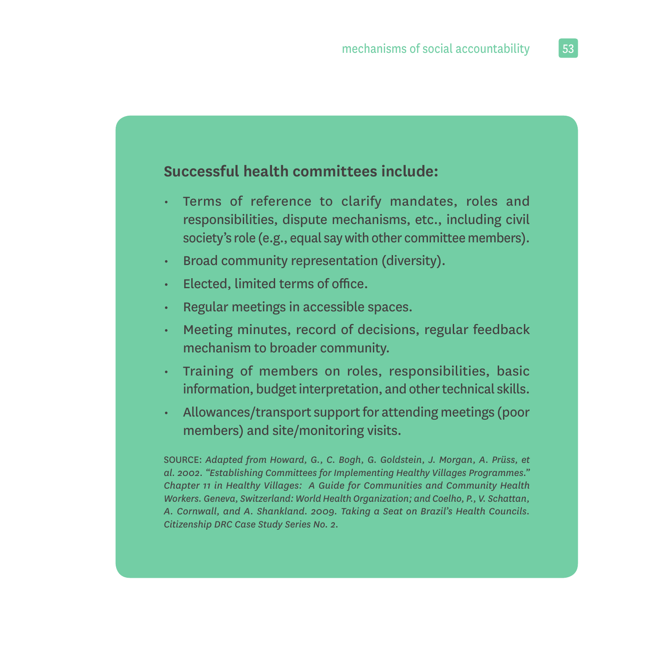#### **Successful health committees include:**

- Terms of reference to clarify mandates, roles and responsibilities, dispute mechanisms, etc., including civil society's role (e.g., equal say with other committee members).
- Broad community representation (diversity).
- Elected, limited terms of office.
- Regular meetings in accessible spaces.
- Meeting minutes, record of decisions, regular feedback mechanism to broader community.
- Training of members on roles, responsibilities, basic information, budget interpretation, and other technical skills.
- Allowances/transport support for attending meetings (poor members) and site/monitoring visits.

SOURCE: *Adapted from Howard, G., C. Bogh, G. Goldstein, J. Morgan, A. Prüss, et al. 2002. "Establishing Committees for Implementing Healthy Villages Programmes." Chapter 11 in Healthy Villages: A Guide for Communities and Community Health Workers. Geneva, Switzerland: World Health Organization; and Coelho, P., V. Schattan, A. Cornwall, and A. Shankland. 2009. Taking a Seat on Brazil's Health Councils. Citizenship DRC Case Study Series No. 2.*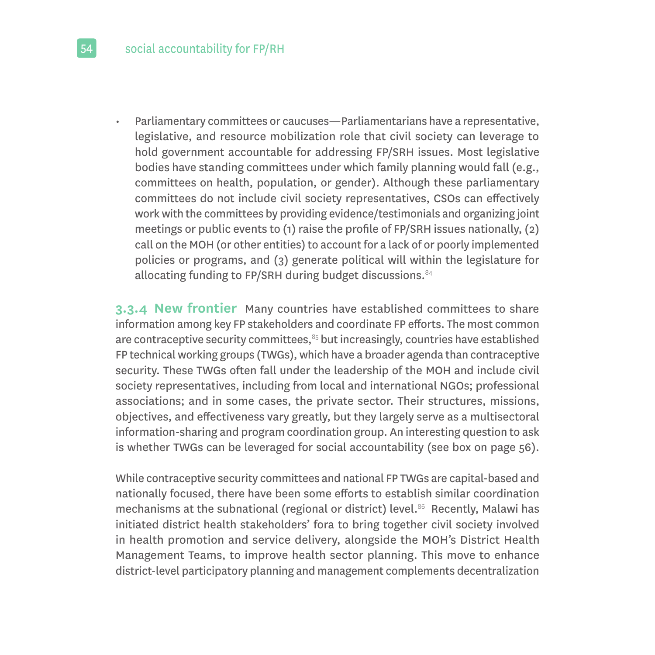• Parliamentary committees or caucuses—Parliamentarians have a representative, legislative, and resource mobilization role that civil society can leverage to hold government accountable for addressing FP/SRH issues. Most legislative bodies have standing committees under which family planning would fall (e.g., committees on health, population, or gender). Although these parliamentary committees do not include civil society representatives, CSOs can effectively work with the committees by providing evidence/testimonials and organizing joint meetings or public events to (1) raise the profile of FP/SRH issues nationally, (2) call on the MOH (or other entities) to account for a lack of or poorly implemented policies or programs, and (3) generate political will within the legislature for allocating funding to FP/SRH during budget discussions.<sup>84</sup>

**3.3.4 New frontier** Many countries have established committees to share information among key FP stakeholders and coordinate FP efforts. The most common are contraceptive security committees, $85$  but increasingly, countries have established FP technical working groups (TWGs), which have a broader agenda than contraceptive security. These TWGs often fall under the leadership of the MOH and include civil society representatives, including from local and international NGOs; professional associations; and in some cases, the private sector. Their structures, missions, objectives, and effectiveness vary greatly, but they largely serve as a multisectoral information-sharing and program coordination group. An interesting question to ask is whether TWGs can be leveraged for social accountability (see box on page 56).

While contraceptive security committees and national FP TWGs are capital-based and nationally focused, there have been some efforts to establish similar coordination mechanisms at the subnational (regional or district) level.<sup>86</sup> Recently, Malawi has initiated district health stakeholders' fora to bring together civil society involved in health promotion and service delivery, alongside the MOH's District Health Management Teams, to improve health sector planning. This move to enhance district-level participatory planning and management complements decentralization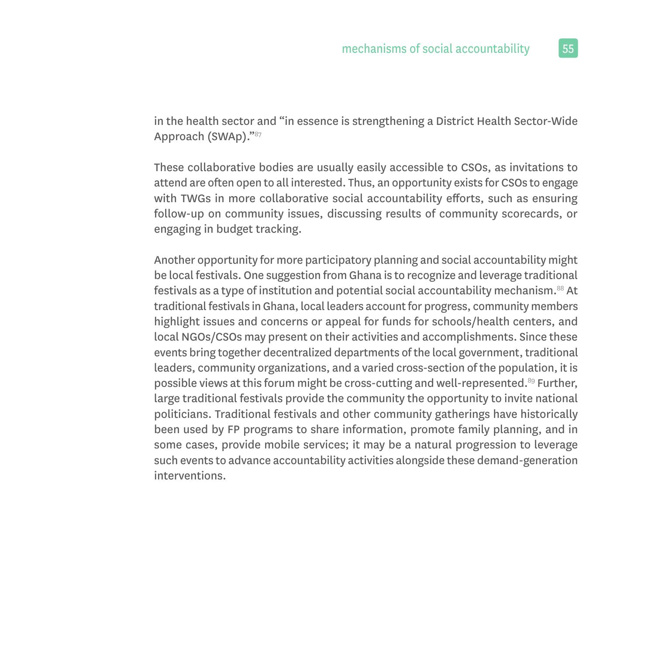in the health sector and "in essence is strengthening a District Health Sector-Wide Approach (SWAp)."<sup>87</sup>

These collaborative bodies are usually easily accessible to CSOs, as invitations to attend are often open to all interested. Thus, an opportunity exists for CSOs to engage with TWGs in more collaborative social accountability efforts, such as ensuring follow-up on community issues, discussing results of community scorecards, or engaging in budget tracking.

Another opportunity for more participatory planning and social accountability might be local festivals. One suggestion from Ghana is to recognize and leverage traditional festivals as a type of institution and potential social accountability mechanism.<sup>88</sup> At traditional festivals in Ghana, local leaders account for progress, community members highlight issues and concerns or appeal for funds for schools/health centers, and local NGOs/CSOs may present on their activities and accomplishments. Since these events bring together decentralized departments of the local government, traditional leaders, community organizations, and a varied cross-section of the population, it is possible views at this forum might be cross-cutting and well-represented.<sup>89</sup> Further, large traditional festivals provide the community the opportunity to invite national politicians. Traditional festivals and other community gatherings have historically been used by FP programs to share information, promote family planning, and in some cases, provide mobile services; it may be a natural progression to leverage such events to advance accountability activities alongside these demand-generation interventions.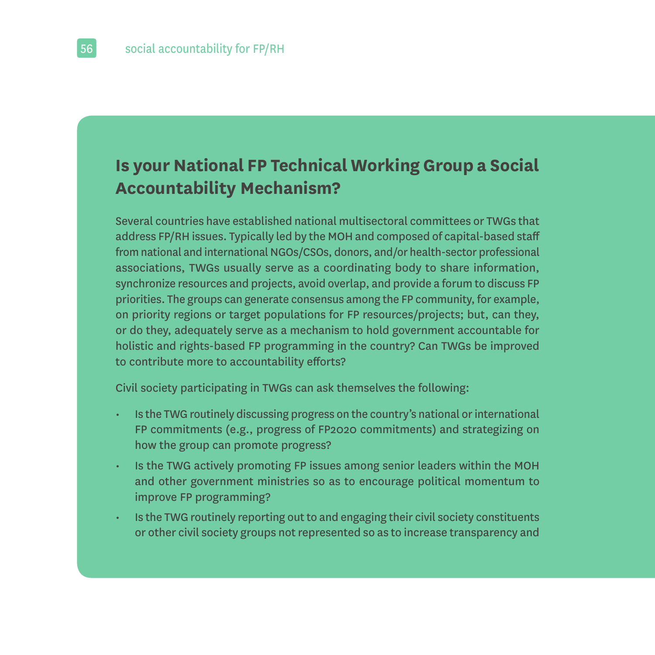# **Is your National FP Technical Working Group a Social Accountability Mechanism?**

Several countries have established national multisectoral committees or TWGs that address FP/RH issues. Typically led by the MOH and composed of capital-based staff from national and international NGOs/CSOs, donors, and/or health-sector professional associations, TWGs usually serve as a coordinating body to share information, synchronize resources and projects, avoid overlap, and provide a forum to discuss FP priorities. The groups can generate consensus among the FP community, for example, on priority regions or target populations for FP resources/projects; but, can they, or do they, adequately serve as a mechanism to hold government accountable for holistic and rights-based FP programming in the country? Can TWGs be improved to contribute more to accountability efforts?

Civil society participating in TWGs can ask themselves the following:

- Is the TWG routinely discussing progress on the country's national or international FP commitments (e.g., progress of FP2020 commitments) and strategizing on how the group can promote progress?
- Is the TWG actively promoting FP issues among senior leaders within the MOH and other government ministries so as to encourage political momentum to improve FP programming?
- Is the TWG routinely reporting out to and engaging their civil society constituents or other civil society groups not represented so as to increase transparency and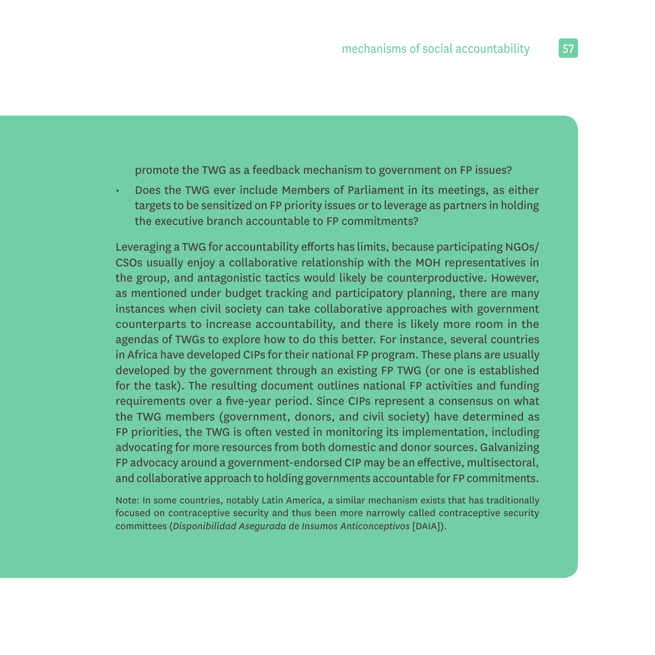promote the TWG as a feedback mechanism to government on FP issues?

• Does the TWG ever include Members of Parliament in its meetings, as either targets to be sensitized on FP priority issues or to leverage as partners in holding the executive branch accountable to FP commitments?

Leveraging a TWG for accountability efforts has limits, because participating NGOs/ CSOs usually enjoy a collaborative relationship with the MOH representatives in the group, and antagonistic tactics would likely be counterproductive. However, as mentioned under budget tracking and participatory planning, there are many instances when civil society can take collaborative approaches with government counterparts to increase accountability, and there is likely more room in the agendas of TWGs to explore how to do this better. For instance, several countries in Africa have developed CIPs for their national FP program. These plans are usually developed by the government through an existing FP TWG (or one is established for the task). The resulting document outlines national FP activities and funding requirements over a five-year period. Since CIPs represent a consensus on what the TWG members (government, donors, and civil society) have determined as FP priorities, the TWG is often vested in monitoring its implementation, including advocating for more resources from both domestic and donor sources. Galvanizing FP advocacy around a government-endorsed CIP may be an effective, multisectoral, and collaborative approach to holding governments accountable for FP commitments.

Note: In some countries, notably Latin America, a similar mechanism exists that has traditionally focused on contraceptive security and thus been more narrowly called contraceptive security committees (*Disponibilidad Asegurada de Insumos Anticonceptivos* [DAIA]).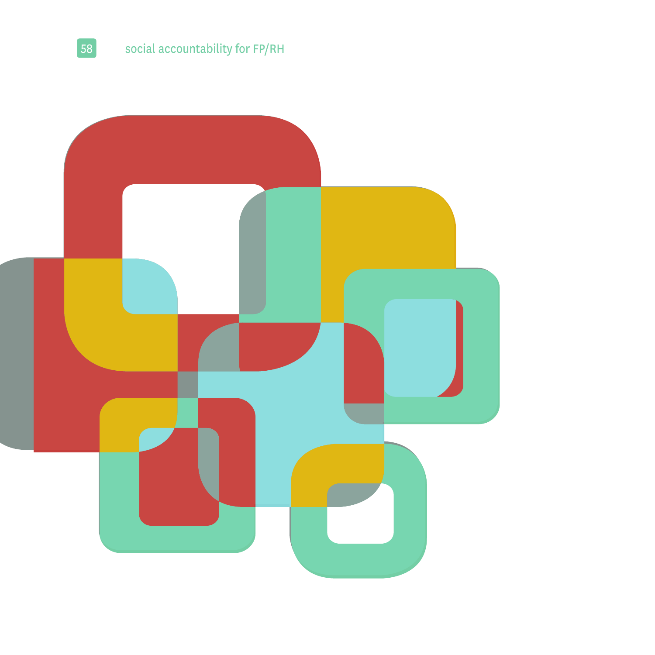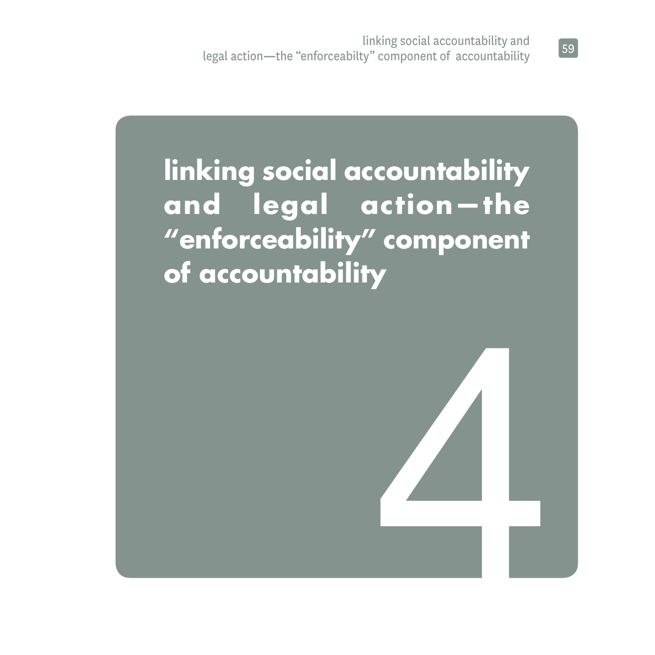# **linking social accountability and legal action—the "enforceability" component of accountability**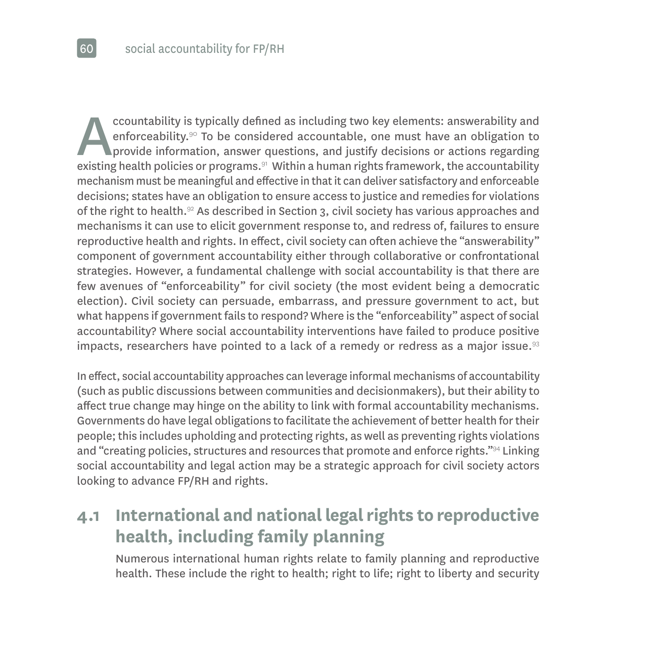countability is typically defined as including two key elements: answerability and<br>enforceability.<sup>90</sup> To be considered accountable, one must have an obligation to<br>provide information, answer questions, and justify decisio enforceability.90 To be considered accountable, one must have an obligation to provide information, answer questions, and justify decisions or actions regarding existing health policies or programs.<sup>91</sup> Within a human rights framework, the accountability mechanism must be meaningful and effective in that it can deliver satisfactory and enforceable decisions; states have an obligation to ensure access to justice and remedies for violations of the right to health.<sup>92</sup> As described in Section 3, civil society has various approaches and mechanisms it can use to elicit government response to, and redress of, failures to ensure reproductive health and rights. In effect, civil society can often achieve the "answerability" component of government accountability either through collaborative or confrontational strategies. However, a fundamental challenge with social accountability is that there are few avenues of "enforceability" for civil society (the most evident being a democratic election). Civil society can persuade, embarrass, and pressure government to act, but what happens if government fails to respond? Where is the "enforceability" aspect of social accountability? Where social accountability interventions have failed to produce positive impacts, researchers have pointed to a lack of a remedy or redress as a major issue.<sup>33</sup>

In effect, social accountability approaches can leverage informal mechanisms of accountability (such as public discussions between communities and decisionmakers), but their ability to affect true change may hinge on the ability to link with formal accountability mechanisms. Governments do have legal obligations to facilitate the achievement of better health for their people; this includes upholding and protecting rights, as well as preventing rights violations and "creating policies, structures and resources that promote and enforce rights."<sup>94</sup> Linking social accountability and legal action may be a strategic approach for civil society actors looking to advance FP/RH and rights.

# **4.1 International and national legal rights to reproductive health, including family planning**

Numerous international human rights relate to family planning and reproductive health. These include the right to health; right to life; right to liberty and security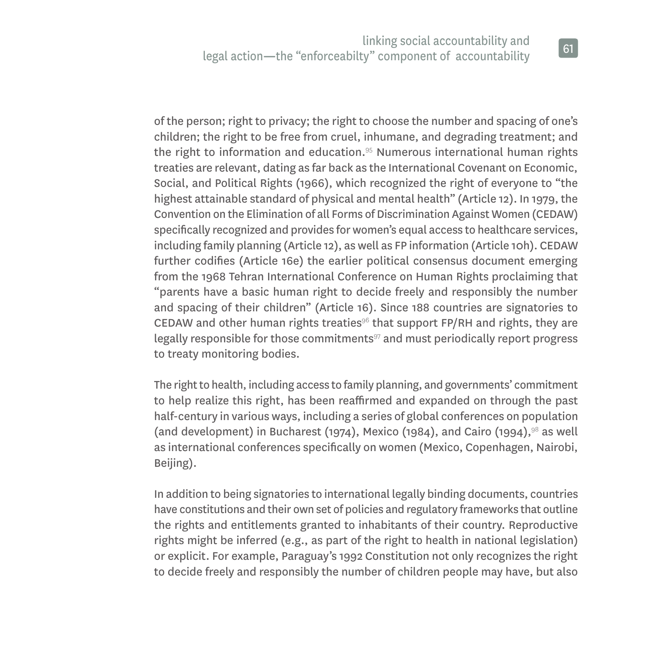of the person; right to privacy; the right to choose the number and spacing of one's children; the right to be free from cruel, inhumane, and degrading treatment; and the right to information and education.<sup>95</sup> Numerous international human rights treaties are relevant, dating as far back as the International Covenant on Economic, Social, and Political Rights (1966), which recognized the right of everyone to "the highest attainable standard of physical and mental health" (Article 12). In 1979, the Convention on the Elimination of all Forms of Discrimination Against Women (CEDAW) specifically recognized and provides for women's equal access to healthcare services, including family planning (Article 12), as well as FP information (Article 10h). CEDAW further codifies (Article 16e) the earlier political consensus document emerging from the 1968 Tehran International Conference on Human Rights proclaiming that "parents have a basic human right to decide freely and responsibly the number and spacing of their children" (Article 16). Since 188 countries are signatories to CEDAW and other human rights treaties<sup>96</sup> that support FP/RH and rights, they are legally responsible for those commitments $97$  and must periodically report progress to treaty monitoring bodies.

The right to health, including access to family planning, and governments' commitment to help realize this right, has been reaffirmed and expanded on through the past half-century in various ways, including a series of global conferences on population (and development) in Bucharest (1974), Mexico (1984), and Cairo (1994),<sup>98</sup> as well as international conferences specifically on women (Mexico, Copenhagen, Nairobi, Beijing).

In addition to being signatories to international legally binding documents, countries have constitutions and their own set of policies and regulatory frameworks that outline the rights and entitlements granted to inhabitants of their country. Reproductive rights might be inferred (e.g., as part of the right to health in national legislation) or explicit. For example, Paraguay's 1992 Constitution not only recognizes the right to decide freely and responsibly the number of children people may have, but also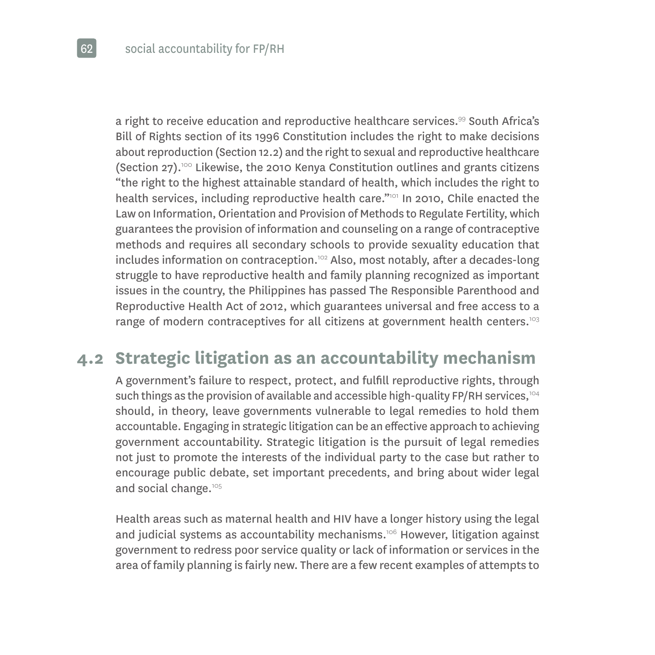a right to receive education and reproductive healthcare services.<sup>99</sup> South Africa's Bill of Rights section of its 1996 Constitution includes the right to make decisions about reproduction (Section 12.2) and the right to sexual and reproductive healthcare (Section 27).<sup>100</sup> Likewise, the 2010 Kenya Constitution outlines and grants citizens "the right to the highest attainable standard of health, which includes the right to health services, including reproductive health care."<sup>101</sup> In 2010, Chile enacted the Law on Information, Orientation and Provision of Methods to Regulate Fertility, which guarantees the provision of information and counseling on a range of contraceptive methods and requires all secondary schools to provide sexuality education that includes information on contraception.<sup>102</sup> Also, most notably, after a decades-long struggle to have reproductive health and family planning recognized as important issues in the country, the Philippines has passed The Responsible Parenthood and Reproductive Health Act of 2012, which guarantees universal and free access to a range of modern contraceptives for all citizens at government health centers.<sup>103</sup>

## **4.2 Strategic litigation as an accountability mechanism**

A government's failure to respect, protect, and fulfill reproductive rights, through such things as the provision of available and accessible high-quality FP/RH services,<sup>104</sup> should, in theory, leave governments vulnerable to legal remedies to hold them accountable. Engaging in strategic litigation can be an effective approach to achieving government accountability. Strategic litigation is the pursuit of legal remedies not just to promote the interests of the individual party to the case but rather to encourage public debate, set important precedents, and bring about wider legal and social change.<sup>105</sup>

Health areas such as maternal health and HIV have a longer history using the legal and judicial systems as accountability mechanisms.<sup>106</sup> However, litigation against government to redress poor service quality or lack of information or services in the area of family planning is fairly new. There are a few recent examples of attempts to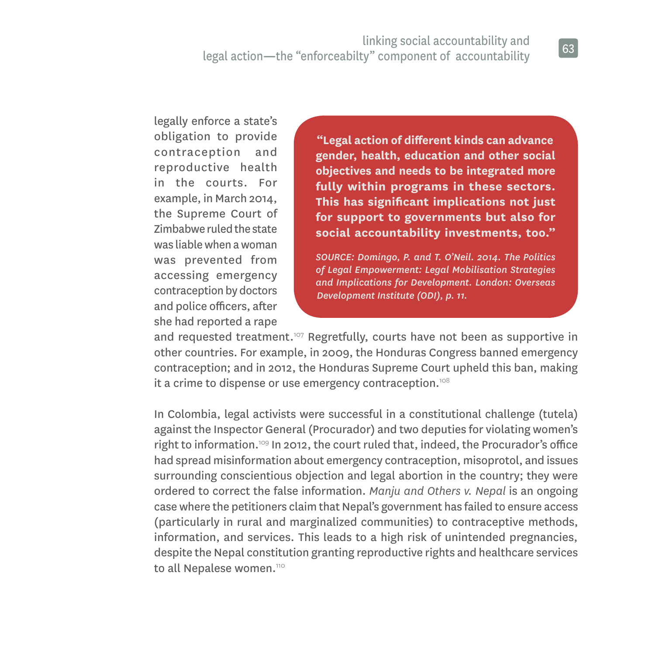legally enforce a state's obligation to provide contraception and reproductive health in the courts. For example, in March 2014, the Supreme Court of Zimbabwe ruled the state was liable when a woman was prevented from accessing emergency contraception by doctors and police officers, after she had reported a rape

**"Legal action of different kinds can advance gender, health, education and other social objectives and needs to be integrated more fully within programs in these sectors. This has significant implications not just for support to governments but also for social accountability investments, too."**

*SOURCE: Domingo, P. and T. O'Neil. 2014. The Politics of Legal Empowerment: Legal Mobilisation Strategies and Implications for Development. London: Overseas Development Institute (ODI), p. 11.* 

and requested treatment.<sup>107</sup> Regretfully, courts have not been as supportive in other countries. For example, in 2009, the Honduras Congress banned emergency contraception; and in 2012, the Honduras Supreme Court upheld this ban, making it a crime to dispense or use emergency contraception.<sup>108</sup>

In Colombia, legal activists were successful in a constitutional challenge (tutela) against the Inspector General (Procurador) and two deputies for violating women's right to information.<sup>109</sup> In 2012, the court ruled that, indeed, the Procurador's office had spread misinformation about emergency contraception, misoprotol, and issues surrounding conscientious objection and legal abortion in the country; they were ordered to correct the false information. *Manju and Others v. Nepal* is an ongoing case where the petitioners claim that Nepal's government has failed to ensure access (particularly in rural and marginalized communities) to contraceptive methods, information, and services. This leads to a high risk of unintended pregnancies, despite the Nepal constitution granting reproductive rights and healthcare services to all Nepalese women.<sup>110</sup>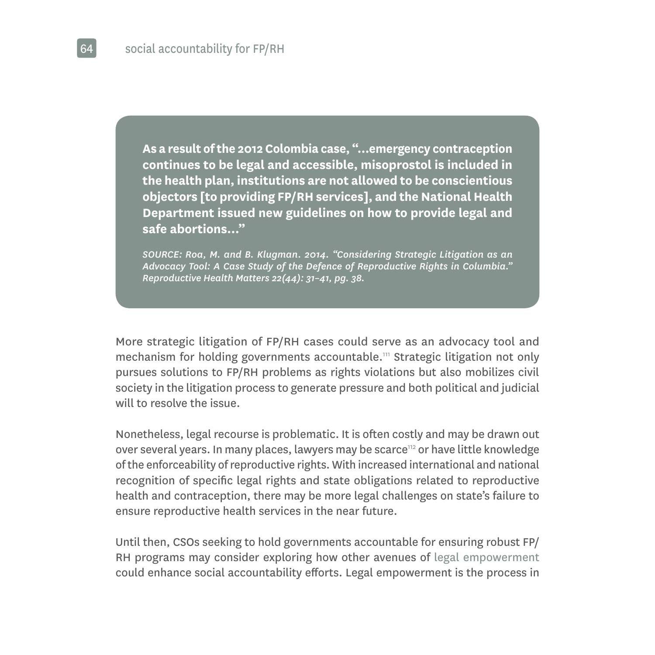**As a result of the 2012 Colombia case, "…emergency contraception continues to be legal and accessible, misoprostol is included in the health plan, institutions are not allowed to be conscientious objectors [to providing FP/RH services], and the National Health Department issued new guidelines on how to provide legal and safe abortions…"**

*SOURCE: Roa, M. and B. Klugman. 2014. "Considering Strategic Litigation as an Advocacy Tool: A Case Study of the Defence of Reproductive Rights in Columbia." Reproductive Health Matters 22(44): 31–41, pg. 38.*

More strategic litigation of FP/RH cases could serve as an advocacy tool and mechanism for holding governments accountable.<sup>111</sup> Strategic litigation not only pursues solutions to FP/RH problems as rights violations but also mobilizes civil society in the litigation process to generate pressure and both political and judicial will to resolve the issue.

Nonetheless, legal recourse is problematic. It is often costly and may be drawn out over several years. In many places, lawyers may be scarce<sup>112</sup> or have little knowledge of the enforceability of reproductive rights. With increased international and national recognition of specific legal rights and state obligations related to reproductive health and contraception, there may be more legal challenges on state's failure to ensure reproductive health services in the near future.

Until then, CSOs seeking to hold governments accountable for ensuring robust FP/ RH programs may consider exploring how other avenues of legal empowerment could enhance social accountability efforts. Legal empowerment is the process in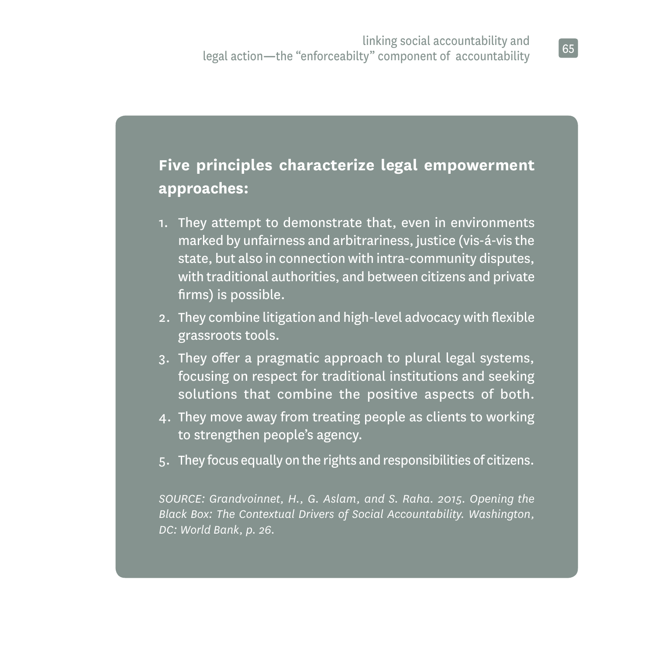## **Five principles characterize legal empowerment approaches:**

- 1. They attempt to demonstrate that, even in environments marked by unfairness and arbitrariness, justice (vis-á-vis the state, but also in connection with intra-community disputes, with traditional authorities, and between citizens and private firms) is possible.
- 2. They combine litigation and high-level advocacy with flexible grassroots tools.
- 3. They offer a pragmatic approach to plural legal systems, focusing on respect for traditional institutions and seeking solutions that combine the positive aspects of both.
- 4. They move away from treating people as clients to working to strengthen people's agency.
- 5. They focus equally on the rights and responsibilities of citizens.

*SOURCE: Grandvoinnet, H., G. Aslam, and S. Raha. 2015. Opening the Black Box: The Contextual Drivers of Social Accountability. Washington, DC: World Bank, p. 26.*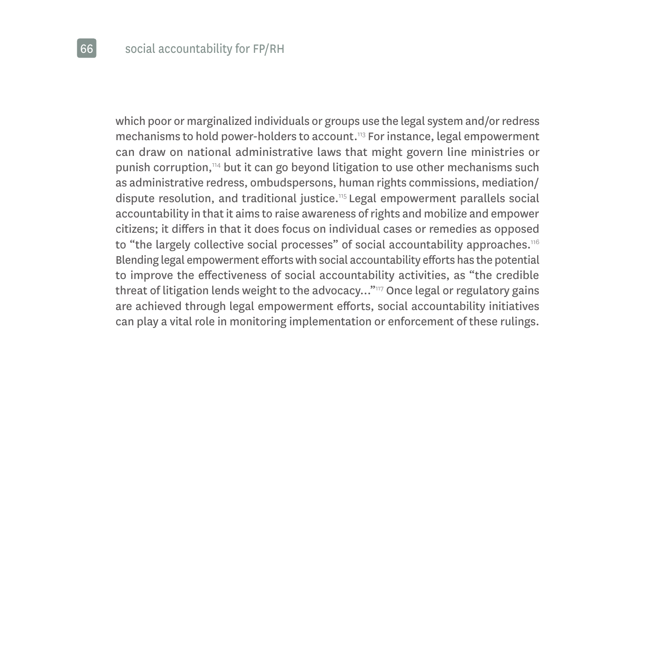which poor or marginalized individuals or groups use the legal system and/or redress mechanisms to hold power-holders to account.113 For instance, legal empowerment can draw on national administrative laws that might govern line ministries or punish corruption,<sup>114</sup> but it can go beyond litigation to use other mechanisms such as administrative redress, ombudspersons, human rights commissions, mediation/ dispute resolution, and traditional justice.<sup>115</sup> Legal empowerment parallels social accountability in that it aims to raise awareness of rights and mobilize and empower citizens; it differs in that it does focus on individual cases or remedies as opposed to "the largely collective social processes" of social accountability approaches.<sup>116</sup> Blending legal empowerment efforts with social accountability efforts has the potential to improve the effectiveness of social accountability activities, as "the credible threat of litigation lends weight to the advocacy..."<sup>117</sup> Once legal or regulatory gains are achieved through legal empowerment efforts, social accountability initiatives can play a vital role in monitoring implementation or enforcement of these rulings.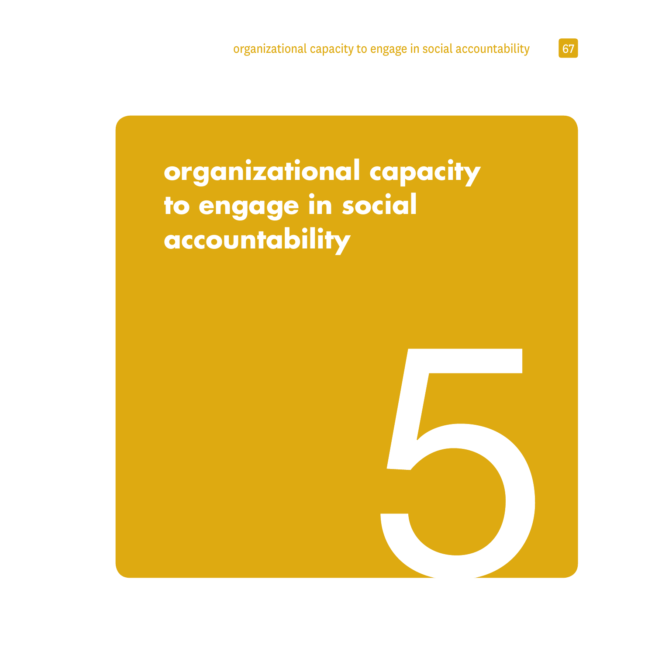# **organizational capacity to engage in social accountability**

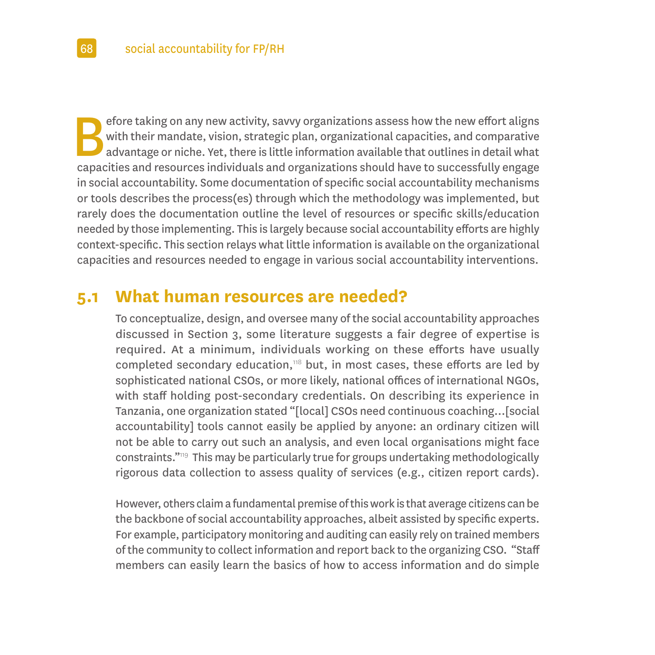efore taking on any new activity, savvy organizations assess how the new effort aligns<br>with their mandate, vision, strategic plan, organizational capacities, and comparative<br>advantage or niche. Yet, there is little informa with their mandate, vision, strategic plan, organizational capacities, and comparative advantage or niche. Yet, there is little information available that outlines in detail what capacities and resources individuals and organizations should have to successfully engage in social accountability. Some documentation of specific social accountability mechanisms or tools describes the process(es) through which the methodology was implemented, but rarely does the documentation outline the level of resources or specific skills/education needed by those implementing. This is largely because social accountability efforts are highly context-specific. This section relays what little information is available on the organizational capacities and resources needed to engage in various social accountability interventions.

### **5.1 What human resources are needed?**

To conceptualize, design, and oversee many of the social accountability approaches discussed in Section 3, some literature suggests a fair degree of expertise is required. At a minimum, individuals working on these efforts have usually completed secondary education, $118}$  but, in most cases, these efforts are led by sophisticated national CSOs, or more likely, national offices of international NGOs, with staff holding post-secondary credentials. On describing its experience in Tanzania, one organization stated "[local] CSOs need continuous coaching…[social accountability] tools cannot easily be applied by anyone: an ordinary citizen will not be able to carry out such an analysis, and even local organisations might face constraints."<sup>119</sup> This may be particularly true for groups undertaking methodologically rigorous data collection to assess quality of services (e.g., citizen report cards).

However, others claim a fundamental premise of this work is that average citizens can be the backbone of social accountability approaches, albeit assisted by specific experts. For example, participatory monitoring and auditing can easily rely on trained members of the community to collect information and report back to the organizing CSO. "Staff members can easily learn the basics of how to access information and do simple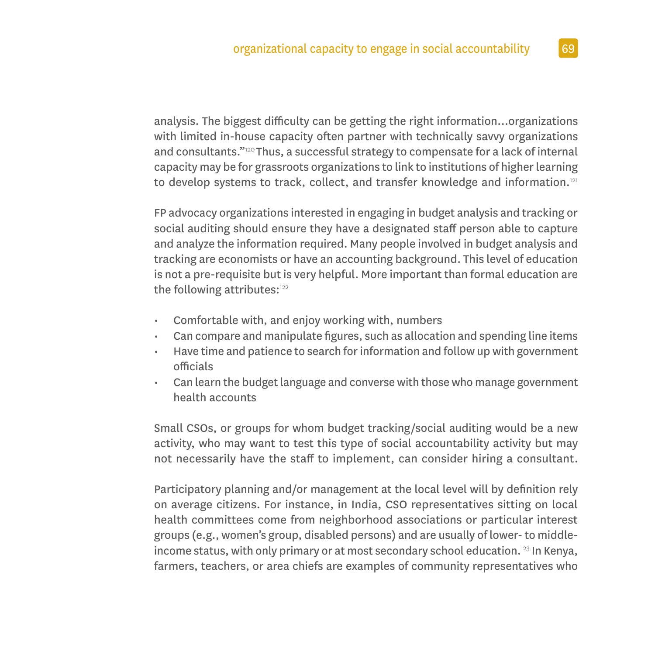analysis. The biggest difficulty can be getting the right information…organizations with limited in-house capacity often partner with technically savvy organizations and consultants."<sup>120</sup> Thus, a successful strategy to compensate for a lack of internal capacity may be for grassroots organizations to link to institutions of higher learning to develop systems to track, collect, and transfer knowledge and information. $121$ 

FP advocacy organizations interested in engaging in budget analysis and tracking or social auditing should ensure they have a designated staff person able to capture and analyze the information required. Many people involved in budget analysis and tracking are economists or have an accounting background. This level of education is not a pre-requisite but is very helpful. More important than formal education are the following attributes:<sup>122</sup>

- Comfortable with, and enjoy working with, numbers
- Can compare and manipulate figures, such as allocation and spending line items
- Have time and patience to search for information and follow up with government officials
- Can learn the budget language and converse with those who manage government health accounts

Small CSOs, or groups for whom budget tracking/social auditing would be a new activity, who may want to test this type of social accountability activity but may not necessarily have the staff to implement, can consider hiring a consultant.

Participatory planning and/or management at the local level will by definition rely on average citizens. For instance, in India, CSO representatives sitting on local health committees come from neighborhood associations or particular interest groups (e.g., women's group, disabled persons) and are usually of lower- to middleincome status, with only primary or at most secondary school education.<sup>123</sup> In Kenya, farmers, teachers, or area chiefs are examples of community representatives who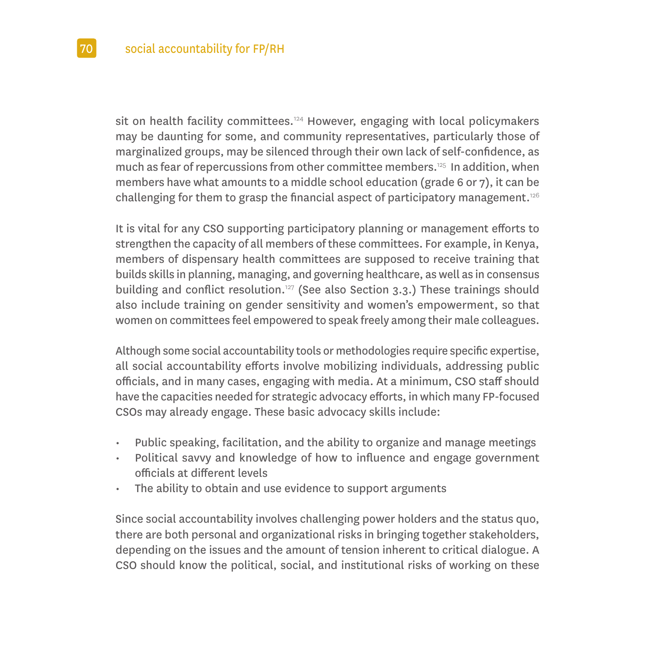sit on health facility committees.<sup>124</sup> However, engaging with local policymakers may be daunting for some, and community representatives, particularly those of marginalized groups, may be silenced through their own lack of self-confidence, as much as fear of repercussions from other committee members.<sup>125</sup> In addition, when members have what amounts to a middle school education (grade 6 or 7), it can be challenging for them to grasp the financial aspect of participatory management.<sup>126</sup>

It is vital for any CSO supporting participatory planning or management efforts to strengthen the capacity of all members of these committees. For example, in Kenya, members of dispensary health committees are supposed to receive training that builds skills in planning, managing, and governing healthcare, as well as in consensus building and conflict resolution.<sup>127</sup> (See also Section 3.3.) These trainings should also include training on gender sensitivity and women's empowerment, so that women on committees feel empowered to speak freely among their male colleagues.

Although some social accountability tools or methodologies require specific expertise, all social accountability efforts involve mobilizing individuals, addressing public officials, and in many cases, engaging with media. At a minimum, CSO staff should have the capacities needed for strategic advocacy efforts, in which many FP-focused CSOs may already engage. These basic advocacy skills include:

- Public speaking, facilitation, and the ability to organize and manage meetings
- Political savvy and knowledge of how to influence and engage government officials at different levels
- The ability to obtain and use evidence to support arguments

Since social accountability involves challenging power holders and the status quo, there are both personal and organizational risks in bringing together stakeholders, depending on the issues and the amount of tension inherent to critical dialogue. A CSO should know the political, social, and institutional risks of working on these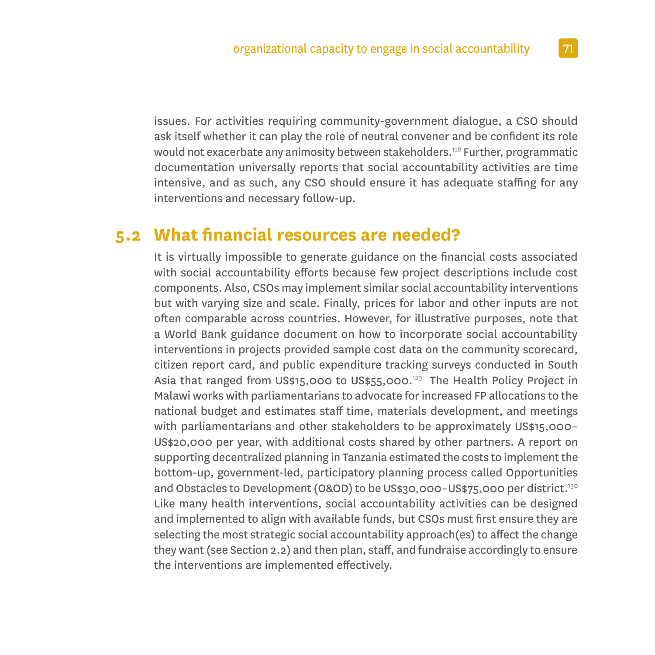issues. For activities requiring community-government dialogue, a CSO should ask itself whether it can play the role of neutral convener and be confident its role would not exacerbate any animosity between stakeholders.<sup>128</sup> Further, programmatic documentation universally reports that social accountability activities are time intensive, and as such, any CSO should ensure it has adequate staffing for any interventions and necessary follow-up.

### **5.2 What financial resources are needed?**

It is virtually impossible to generate guidance on the financial costs associated with social accountability efforts because few project descriptions include cost components. Also, CSOs may implement similar social accountability interventions but with varying size and scale. Finally, prices for labor and other inputs are not often comparable across countries. However, for illustrative purposes, note that a World Bank guidance document on how to incorporate social accountability interventions in projects provided sample cost data on the community scorecard, citizen report card, and public expenditure tracking surveys conducted in South Asia that ranged from US\$15,000 to US\$55,000.129 The Health Policy Project in Malawi works with parliamentarians to advocate for increased FP allocations to the national budget and estimates staff time, materials development, and meetings with parliamentarians and other stakeholders to be approximately US\$15,000– US\$20,000 per year, with additional costs shared by other partners. A report on supporting decentralized planning in Tanzania estimated the costs to implement the bottom-up, government-led, participatory planning process called Opportunities and Obstacles to Development (O&OD) to be US\$30,000-US\$75,000 per district.<sup>130</sup> Like many health interventions, social accountability activities can be designed and implemented to align with available funds, but CSOs must first ensure they are selecting the most strategic social accountability approach(es) to affect the change they want (see Section 2.2) and then plan, staff, and fundraise accordingly to ensure the interventions are implemented effectively.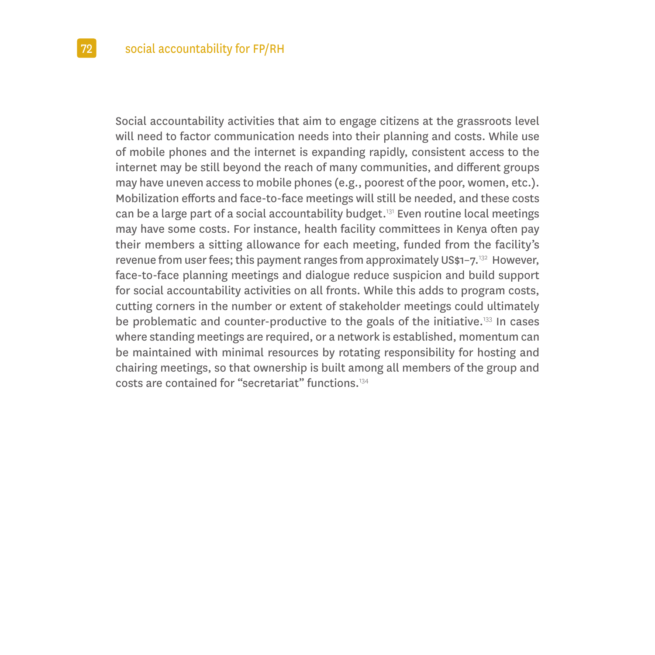Social accountability activities that aim to engage citizens at the grassroots level will need to factor communication needs into their planning and costs. While use of mobile phones and the internet is expanding rapidly, consistent access to the internet may be still beyond the reach of many communities, and different groups may have uneven access to mobile phones (e.g., poorest of the poor, women, etc.). Mobilization efforts and face-to-face meetings will still be needed, and these costs can be a large part of a social accountability budget.<sup>131</sup> Even routine local meetings may have some costs. For instance, health facility committees in Kenya often pay their members a sitting allowance for each meeting, funded from the facility's revenue from user fees; this payment ranges from approximately US\$1-7. $132$  However, face-to-face planning meetings and dialogue reduce suspicion and build support for social accountability activities on all fronts. While this adds to program costs, cutting corners in the number or extent of stakeholder meetings could ultimately be problematic and counter-productive to the goals of the initiative.<sup>133</sup> In cases where standing meetings are required, or a network is established, momentum can be maintained with minimal resources by rotating responsibility for hosting and chairing meetings, so that ownership is built among all members of the group and costs are contained for "secretariat" functions.134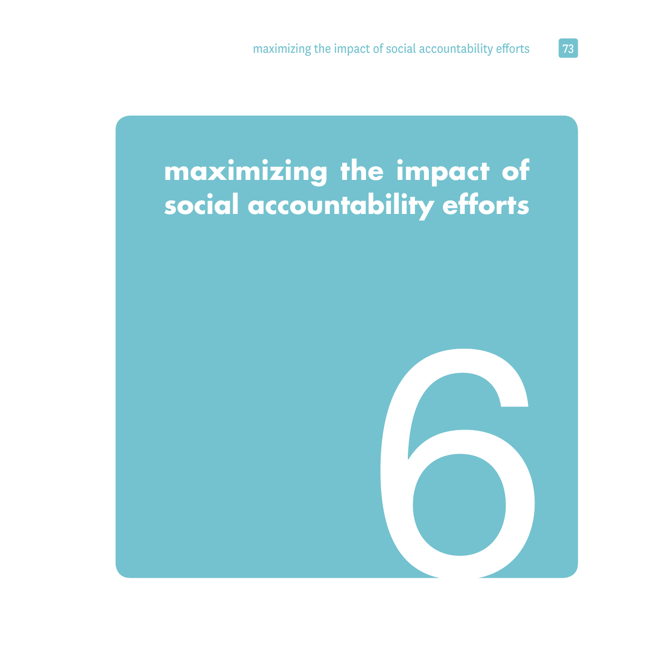## **maximizing the impact of social accountability efforts**

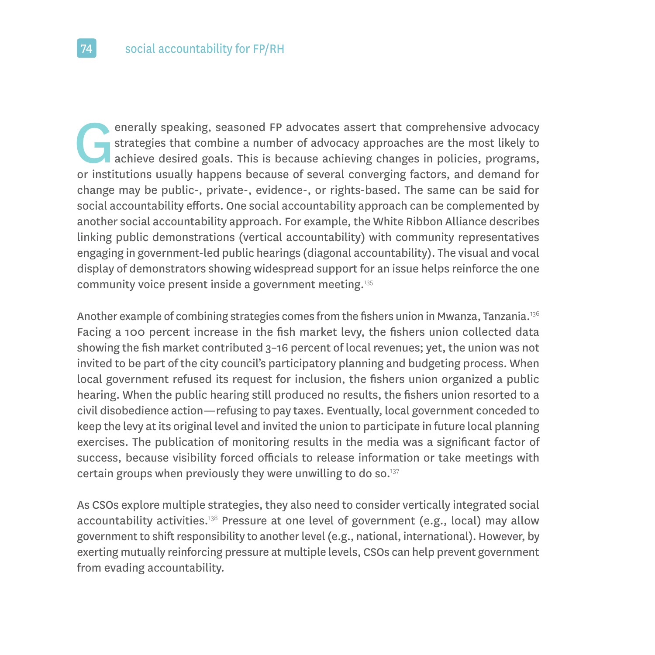enerally speaking, seasoned FP advocates assert that comprehensive advocacy<br>strategies that combine a number of advocacy approaches are the most likely to<br>achieve desired goals. This is because achieving changes in policie strategies that combine a number of advocacy approaches are the most likely to achieve desired goals. This is because achieving changes in policies, programs, or institutions usually happens because of several converging factors, and demand for change may be public-, private-, evidence-, or rights-based. The same can be said for social accountability efforts. One social accountability approach can be complemented by another social accountability approach. For example, the White Ribbon Alliance describes linking public demonstrations (vertical accountability) with community representatives engaging in government-led public hearings (diagonal accountability). The visual and vocal display of demonstrators showing widespread support for an issue helps reinforce the one community voice present inside a government meeting.<sup>135</sup>

Another example of combining strategies comes from the fishers union in Mwanza, Tanzania.<sup>136</sup> Facing a 100 percent increase in the fish market levy, the fishers union collected data showing the fish market contributed 3–16 percent of local revenues; yet, the union was not invited to be part of the city council's participatory planning and budgeting process. When local government refused its request for inclusion, the fishers union organized a public hearing. When the public hearing still produced no results, the fishers union resorted to a civil disobedience action—refusing to pay taxes. Eventually, local government conceded to keep the levy at its original level and invited the union to participate in future local planning exercises. The publication of monitoring results in the media was a significant factor of success, because visibility forced officials to release information or take meetings with certain groups when previously they were unwilling to do so.<sup>137</sup>

As CSOs explore multiple strategies, they also need to consider vertically integrated social accountability activities.<sup>138</sup> Pressure at one level of government (e.g., local) may allow government to shift responsibility to another level (e.g., national, international). However, by exerting mutually reinforcing pressure at multiple levels, CSOs can help prevent government from evading accountability.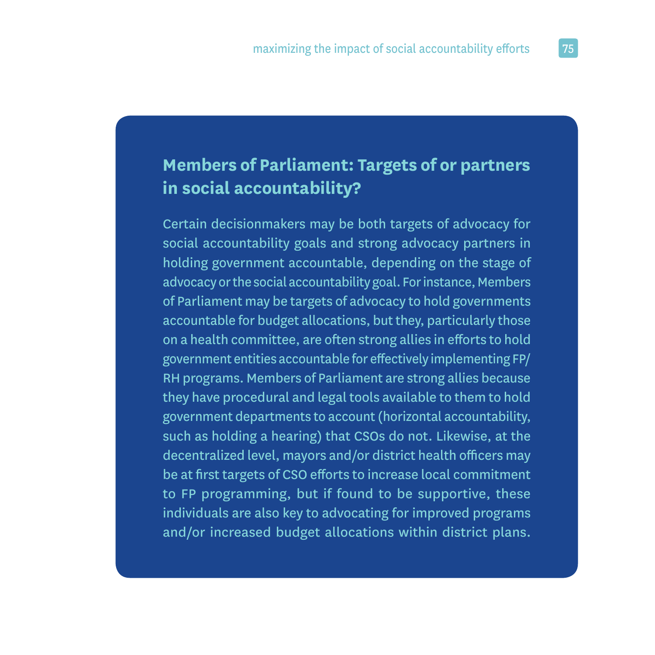### **Members of Parliament: Targets of or partners in social accountability?**

Certain decisionmakers may be both targets of advocacy for social accountability goals and strong advocacy partners in holding government accountable, depending on the stage of advocacy or the social accountability goal. For instance, Members of Parliament may be targets of advocacy to hold governments accountable for budget allocations, but they, particularly those on a health committee, are often strong allies in efforts to hold government entities accountable for effectively implementing FP/ RH programs. Members of Parliament are strong allies because they have procedural and legal tools available to them to hold government departments to account (horizontal accountability, such as holding a hearing) that CSOs do not. Likewise, at the decentralized level, mayors and/or district health officers may be at first targets of CSO efforts to increase local commitment to FP programming, but if found to be supportive, these individuals are also key to advocating for improved programs and/or increased budget allocations within district plans.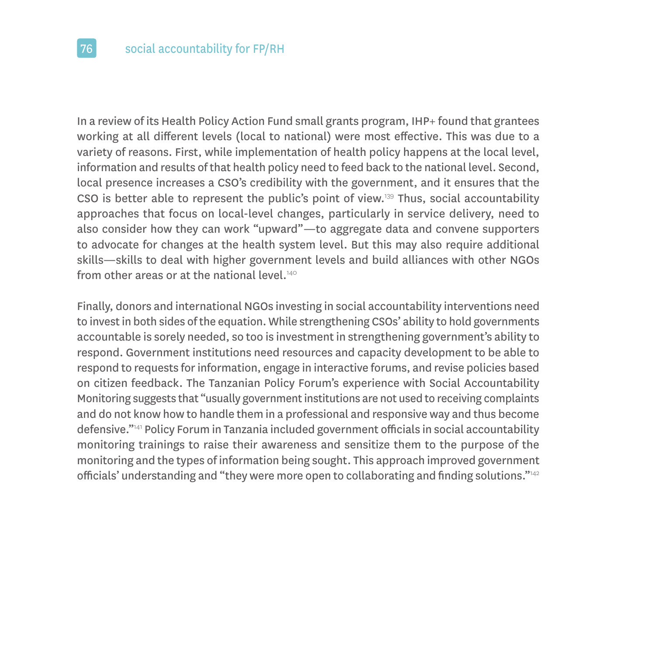In a review of its Health Policy Action Fund small grants program, IHP+ found that grantees working at all different levels (local to national) were most effective. This was due to a variety of reasons. First, while implementation of health policy happens at the local level, information and results of that health policy need to feed back to the national level. Second, local presence increases a CSO's credibility with the government, and it ensures that the CSO is better able to represent the public's point of view.139 Thus, social accountability approaches that focus on local-level changes, particularly in service delivery, need to also consider how they can work "upward"—to aggregate data and convene supporters to advocate for changes at the health system level. But this may also require additional skills—skills to deal with higher government levels and build alliances with other NGOs from other areas or at the national level.<sup>140</sup>

Finally, donors and international NGOs investing in social accountability interventions need to invest in both sides of the equation. While strengthening CSOs' ability to hold governments accountable is sorely needed, so too is investment in strengthening government's ability to respond. Government institutions need resources and capacity development to be able to respond to requests for information, engage in interactive forums, and revise policies based on citizen feedback. The Tanzanian Policy Forum's experience with Social Accountability Monitoring suggests that "usually government institutions are not used to receiving complaints and do not know how to handle them in a professional and responsive way and thus become defensive."<sup>141</sup> Policy Forum in Tanzania included government officials in social accountability monitoring trainings to raise their awareness and sensitize them to the purpose of the monitoring and the types of information being sought. This approach improved government officials' understanding and "they were more open to collaborating and finding solutions."142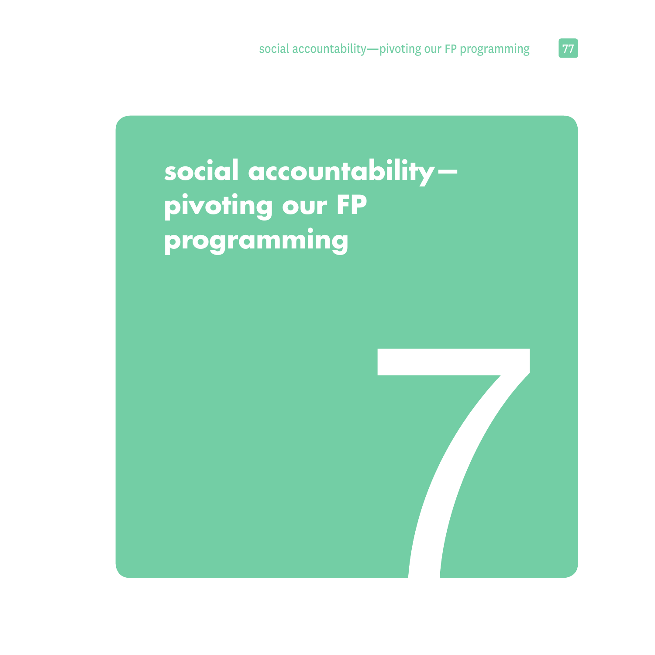# **social accountability pivoting our FP programming**

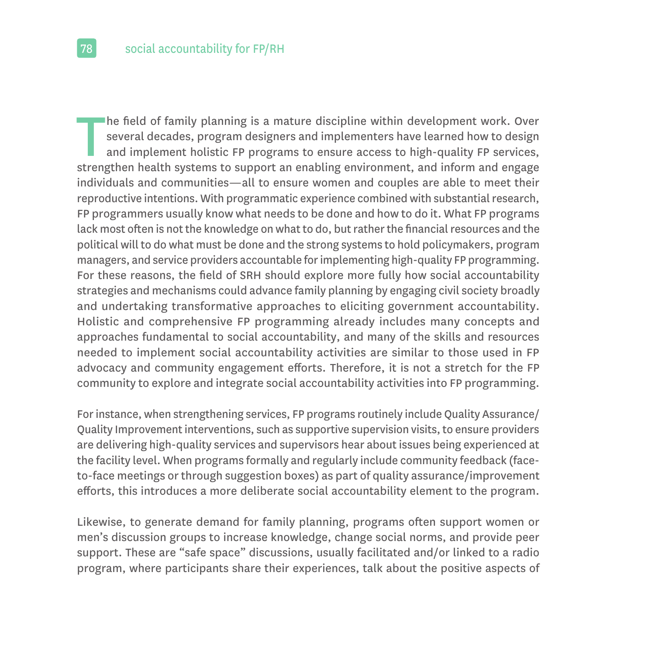The field of family planning is a mature discipline within development work. Over<br>several decades, program designers and implementers have learned how to design<br>and implement holistic FP programs to ensure access to high-q he field of family planning is a mature discipline within development work. Over several decades, program designers and implementers have learned how to design and implement holistic FP programs to ensure access to high-quality FP services, individuals and communities—all to ensure women and couples are able to meet their reproductive intentions. With programmatic experience combined with substantial research, FP programmers usually know what needs to be done and how to do it. What FP programs lack most often is not the knowledge on what to do, but rather the financial resources and the political will to do what must be done and the strong systems to hold policymakers, program managers, and service providers accountable for implementing high-quality FP programming. For these reasons, the field of SRH should explore more fully how social accountability strategies and mechanisms could advance family planning by engaging civil society broadly and undertaking transformative approaches to eliciting government accountability. Holistic and comprehensive FP programming already includes many concepts and approaches fundamental to social accountability, and many of the skills and resources needed to implement social accountability activities are similar to those used in FP advocacy and community engagement efforts. Therefore, it is not a stretch for the FP community to explore and integrate social accountability activities into FP programming.

For instance, when strengthening services, FP programs routinely include Quality Assurance/ Quality Improvement interventions, such as supportive supervision visits, to ensure providers are delivering high-quality services and supervisors hear about issues being experienced at the facility level. When programs formally and regularly include community feedback (faceto-face meetings or through suggestion boxes) as part of quality assurance/improvement efforts, this introduces a more deliberate social accountability element to the program.

Likewise, to generate demand for family planning, programs often support women or men's discussion groups to increase knowledge, change social norms, and provide peer support. These are "safe space" discussions, usually facilitated and/or linked to a radio program, where participants share their experiences, talk about the positive aspects of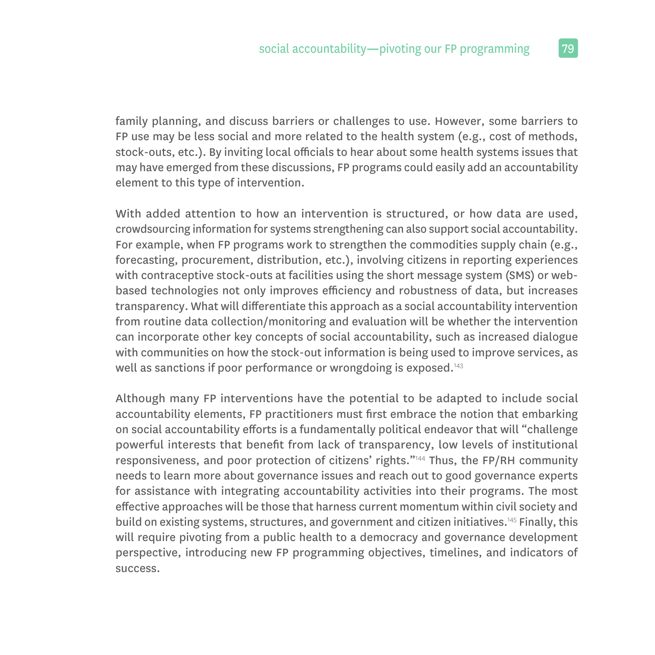family planning, and discuss barriers or challenges to use. However, some barriers to FP use may be less social and more related to the health system (e.g., cost of methods, stock-outs, etc.). By inviting local officials to hear about some health systems issues that may have emerged from these discussions, FP programs could easily add an accountability element to this type of intervention.

With added attention to how an intervention is structured, or how data are used, crowdsourcing information for systems strengthening can also support social accountability. For example, when FP programs work to strengthen the commodities supply chain (e.g., forecasting, procurement, distribution, etc.), involving citizens in reporting experiences with contraceptive stock-outs at facilities using the short message system (SMS) or webbased technologies not only improves efficiency and robustness of data, but increases transparency. What will differentiate this approach as a social accountability intervention from routine data collection/monitoring and evaluation will be whether the intervention can incorporate other key concepts of social accountability, such as increased dialogue with communities on how the stock-out information is being used to improve services, as well as sanctions if poor performance or wrongdoing is exposed.<sup>143</sup>

Although many FP interventions have the potential to be adapted to include social accountability elements, FP practitioners must first embrace the notion that embarking on social accountability efforts is a fundamentally political endeavor that will "challenge powerful interests that benefit from lack of transparency, low levels of institutional responsiveness, and poor protection of citizens' rights."144 Thus, the FP/RH community needs to learn more about governance issues and reach out to good governance experts for assistance with integrating accountability activities into their programs. The most effective approaches will be those that harness current momentum within civil society and build on existing systems, structures, and government and citizen initiatives.<sup>145</sup> Finally, this will require pivoting from a public health to a democracy and governance development perspective, introducing new FP programming objectives, timelines, and indicators of success.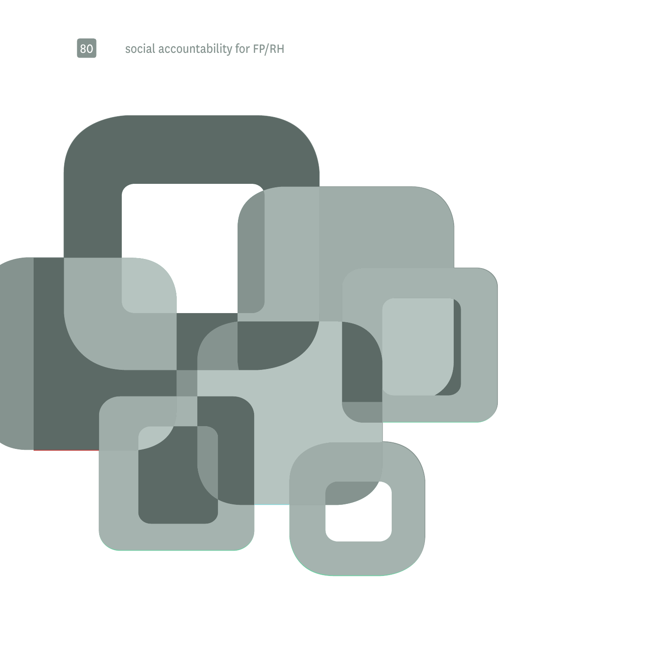

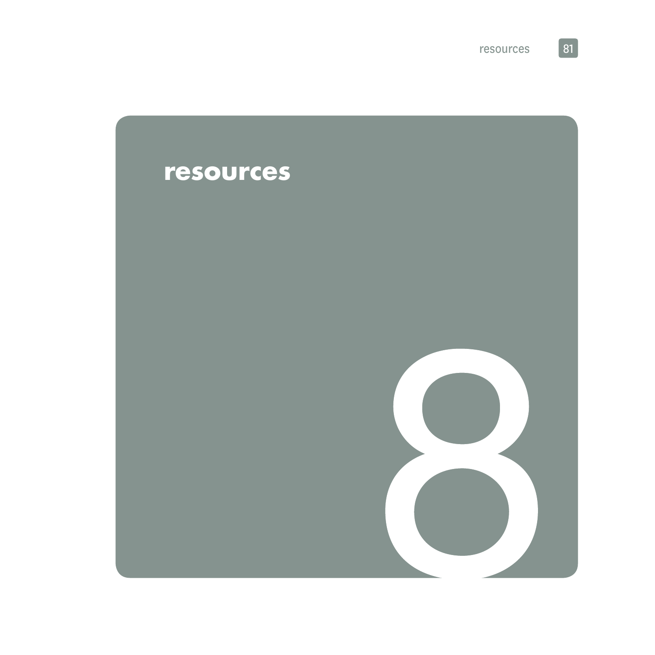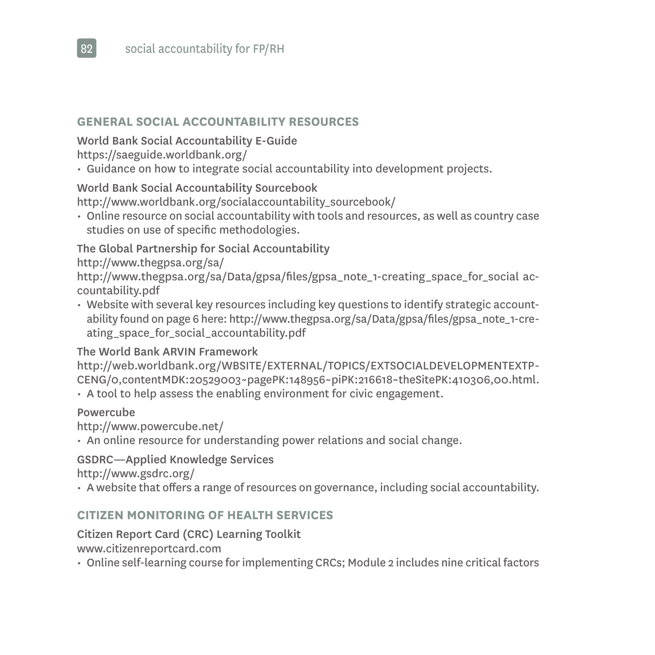#### **GENERAL SOCIAL ACCOUNTABILITY RESOURCES**

World Bank Social Accountability E-Guide

https://saeguide.worldbank.org/

• Guidance on how to integrate social accountability into development projects.

World Bank Social Accountability Sourcebook

http://www.worldbank.org/socialaccountability\_sourcebook/

• Online resource on social accountability with tools and resources, as well as country case studies on use of specific methodologies.

The Global Partnership for Social Accountability

http://www.thegpsa.org/sa/

http://www.thegpsa.org/sa/Data/gpsa/files/gpsa\_note\_1-creating\_space\_for\_social accountability.pdf

• Website with several key resources including key questions to identify strategic accountability found on page 6 here: http://www.thegpsa.org/sa/Data/gpsa/files/gpsa\_note\_1-creating\_space\_for\_social\_accountability.pdf

#### The World Bank ARVIN Framework

http://web.worldbank.org/WBSITE/EXTERNAL/TOPICS/EXTSOCIALDEVELOPMENTEXTP-CENG/0,contentMDK:20529003~pagePK:148956~piPK:216618~theSitePK:410306,00.html.

• A tool to help assess the enabling environment for civic engagement.

Powercube

http://www.powercube.net/

• An online resource for understanding power relations and social change.

GSDRC—Applied Knowledge Services

http://www.gsdrc.org/

• A website that offers a range of resources on governance, including social accountability.

#### **CITIZEN MONITORING OF HEALTH SERVICES**

Citizen Report Card (CRC) Learning Toolkit

www.citizenreportcard.com

• Online self-learning course for implementing CRCs; Module 2 includes nine critical factors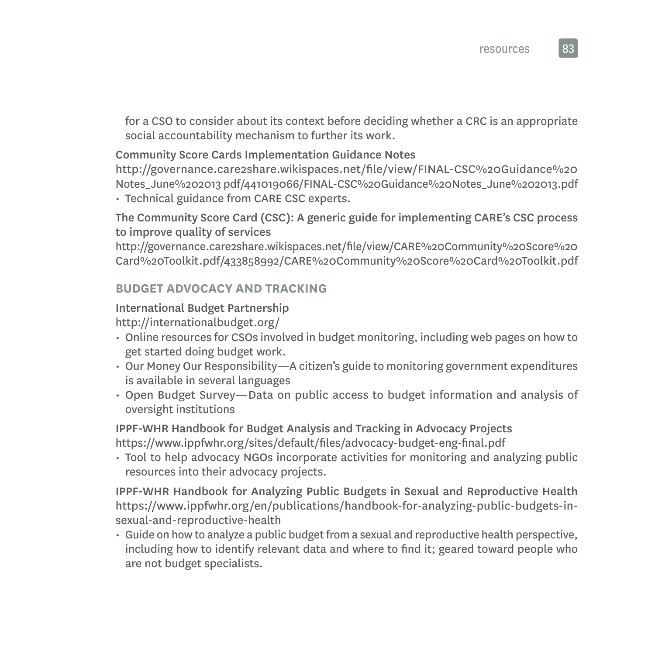for a CSO to consider about its context before deciding whether a CRC is an appropriate social accountability mechanism to further its work.

Community Score Cards Implementation Guidance Notes

http://governance.care2share.wikispaces.net/file/view/FINAL-CSC%20Guidance%20 Notes\_June%202013 pdf/441019066/FINAL-CSC%20Guidance%20Notes\_June%202013.pdf • Technical guidance from CARE CSC experts.

The Community Score Card (CSC): A generic guide for implementing CARE's CSC process to improve quality of services

http://governance.care2share.wikispaces.net/file/view/CARE%20Community%20Score%20 Card%20Toolkit.pdf/433858992/CARE%20Community%20Score%20Card%20Toolkit.pdf

#### **BUDGET ADVOCACY AND TRACKING**

International Budget Partnership

http://internationalbudget.org/

- Online resources for CSOs involved in budget monitoring, including web pages on how to get started doing budget work.
- Our Money Our Responsibility—A citizen's guide to monitoring government expenditures is available in several languages
- Open Budget Survey—Data on public access to budget information and analysis of oversight institutions

IPPF-WHR Handbook for Budget Analysis and Tracking in Advocacy Projects https://www.ippfwhr.org/sites/default/files/advocacy-budget-eng-final.pdf

• Tool to help advocacy NGOs incorporate activities for monitoring and analyzing public resources into their advocacy projects.

IPPF-WHR Handbook for Analyzing Public Budgets in Sexual and Reproductive Health https://www.ippfwhr.org/en/publications/handbook-for-analyzing-public-budgets-insexual-and-reproductive-health

• Guide on how to analyze a public budget from a sexual and reproductive health perspective, including how to identify relevant data and where to find it; geared toward people who are not budget specialists.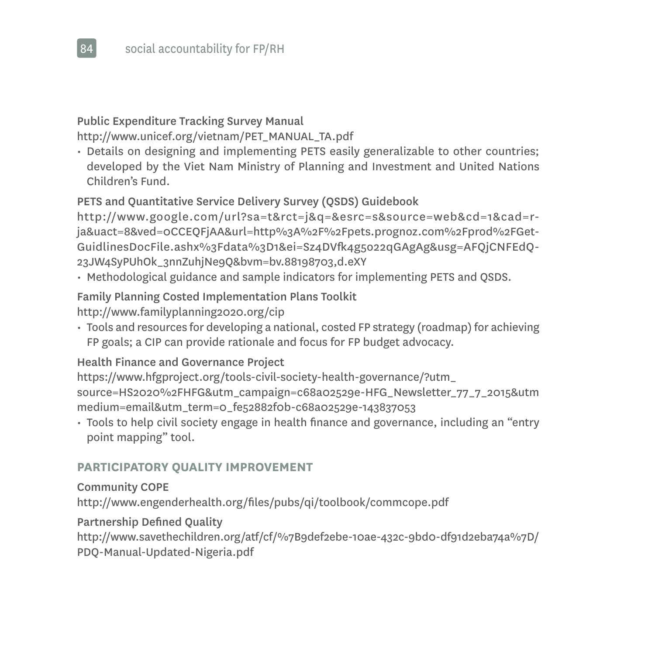Public Expenditure Tracking Survey Manual

http://www.unicef.org/vietnam/PET\_MANUAL\_TA.pdf

• Details on designing and implementing PETS easily generalizable to other countries; developed by the Viet Nam Ministry of Planning and Investment and United Nations Children's Fund.

PETS and Quantitative Service Delivery Survey (QSDS) Guidebook

http://www.google.com/url?sa=t&rct=j&q=&esrc=s&source=web&cd=1&cad=rja&uact=8&ved=0CCEQFjAA&url=http%3A%2F%2Fpets.prognoz.com%2Fprod%2FGet-GuidlinesDocFile.ashx%3Fdata%3D1&ei=Sz4DVfk4g5o22qGAgAg&usg=AFQjCNFEdQ-23JW4SyPUhOk\_3nnZuhjNe9Q&bvm=bv.88198703,d.eXY

• Methodological guidance and sample indicators for implementing PETS and QSDS.

Family Planning Costed Implementation Plans Toolkit

http://www.familyplanning2020.org/cip

• Tools and resources for developing a national, costed FP strategy (roadmap) for achieving FP goals; a CIP can provide rationale and focus for FP budget advocacy.

Health Finance and Governance Project

https://www.hfgproject.org/tools-civil-society-health-governance/?utm\_ source=HS2020%2FHFG&utm\_campaign=c68a02529e-HFG\_Newsletter\_77\_7\_2015&utm medium=email&utm\_term=0\_fe52882f0b-c68a02529e-143837053

• Tools to help civil society engage in health finance and governance, including an "entry point mapping" tool.

#### **PARTICIPATORY QUALITY IMPROVEMENT**

#### Community COPE

http://www.engenderhealth.org/files/pubs/qi/toolbook/commcope.pdf

Partnership Defined Quality

http://www.savethechildren.org/atf/cf/%7B9def2ebe-10ae-432c-9bd0-df91d2eba74a%7D/ PDQ-Manual-Updated-Nigeria.pdf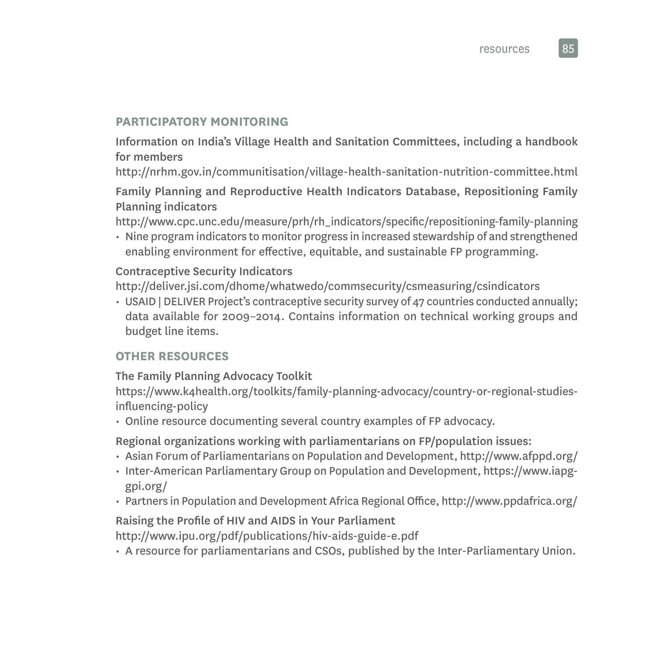#### **PARTICIPATORY MONITORING**

Information on India's Village Health and Sanitation Committees, including a handbook for members

http://nrhm.gov.in/communitisation/village-health-sanitation-nutrition-committee.html

Family Planning and Reproductive Health Indicators Database, Repositioning Family Planning indicators

http://www.cpc.unc.edu/measure/prh/rh\_indicators/specific/repositioning-family-planning

• Nine program indicators to monitor progress in increased stewardship of and strengthened enabling environment for effective, equitable, and sustainable FP programming.

#### Contraceptive Security Indicators

http://deliver.jsi.com/dhome/whatwedo/commsecurity/csmeasuring/csindicators

• USAID | DELIVER Project's contraceptive security survey of 47 countries conducted annually; data available for 2009–2014. Contains information on technical working groups and budget line items.

#### **OTHER RESOURCES**

The Family Planning Advocacy Toolkit

https://www.k4health.org/toolkits/family-planning-advocacy/country-or-regional-studiesinfluencing-policy

• Online resource documenting several country examples of FP advocacy.

Regional organizations working with parliamentarians on FP/population issues:

- Asian Forum of Parliamentarians on Population and Development, http://www.afppd.org/
- Inter-American Parliamentary Group on Population and Development, https://www.iapggpi.org/
- Partners in Population and Development Africa Regional Office, http://www.ppdafrica.org/

Raising the Profile of HIV and AIDS in Your Parliament

http://www.ipu.org/pdf/publications/hiv-aids-guide-e.pdf

• A resource for parliamentarians and CSOs, published by the Inter-Parliamentary Union.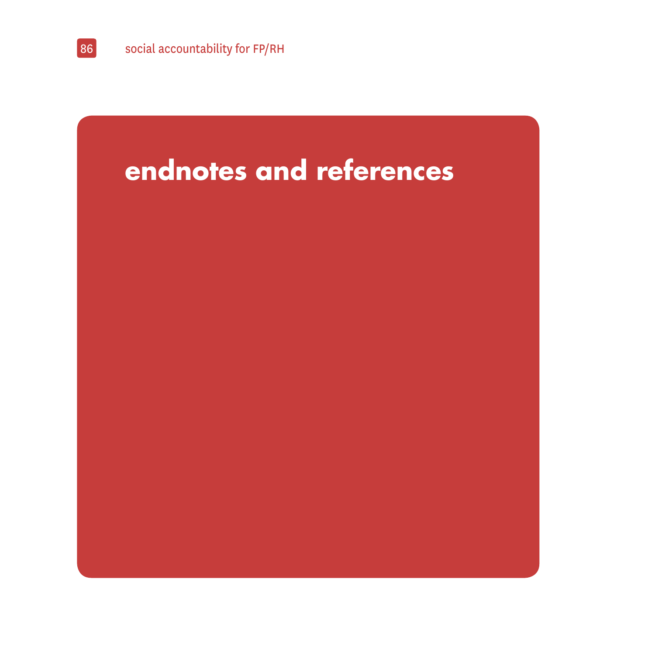## **endnotes and references**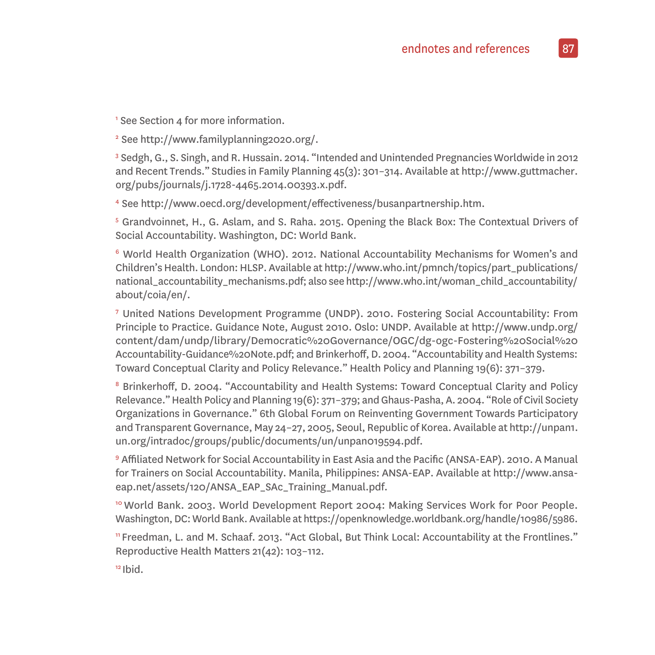<sup>1</sup> See Section 4 for more information.

2 See http://www.familyplanning2020.org/.

3 Sedgh, G., S. Singh, and R. Hussain. 2014. "Intended and Unintended Pregnancies Worldwide in 2012 and Recent Trends." Studies in Family Planning 45(3): 301–314. Available at http://www.guttmacher. org/pubs/journals/j.1728-4465.2014.00393.x.pdf.

4 See http://www.oecd.org/development/effectiveness/busanpartnership.htm.

5 Grandvoinnet, H., G. Aslam, and S. Raha. 2015. Opening the Black Box: The Contextual Drivers of Social Accountability. Washington, DC: World Bank.

 $6$  World Health Organization (WHO). 2012. National Accountability Mechanisms for Women's and Children's Health. London: HLSP. Available at http://www.who.int/pmnch/topics/part\_publications/ national\_accountability\_mechanisms.pdf; also see http://www.who.int/woman\_child\_accountability/ about/coia/en/.

7 United Nations Development Programme (UNDP). 2010. Fostering Social Accountability: From Principle to Practice. Guidance Note, August 2010. Oslo: UNDP. Available at http://www.undp.org/ content/dam/undp/library/Democratic%20Governance/OGC/dg-ogc-Fostering%20Social%20 Accountability-Guidance%20Note.pdf; and Brinkerhoff, D. 2004. "Accountability and Health Systems: Toward Conceptual Clarity and Policy Relevance." Health Policy and Planning 19(6): 371–379.

<sup>8</sup> Brinkerhoff, D. 2004. "Accountability and Health Systems: Toward Conceptual Clarity and Policy Relevance." Health Policy and Planning 19(6): 371–379; and Ghaus-Pasha, A. 2004. "Role of Civil Society Organizations in Governance." 6th Global Forum on Reinventing Government Towards Participatory and Transparent Governance, May 24–27, 2005, Seoul, Republic of Korea. Available at http://unpan1. un.org/intradoc/groups/public/documents/un/unpan019594.pdf.

9 Affiliated Network for Social Accountability in East Asia and the Pacific (ANSA-EAP). 2010. A Manual for Trainers on Social Accountability. Manila, Philippines: ANSA-EAP. Available at http://www.ansaeap.net/assets/120/ANSA\_EAP\_SAc\_Training\_Manual.pdf.

<sup>10</sup> World Bank. 2003. World Development Report 2004: Making Services Work for Poor People. Washington, DC: World Bank. Available at https://openknowledge.worldbank.org/handle/10986/5986.

<sup>11</sup> Freedman, L. and M. Schaaf. 2013. "Act Global, But Think Local: Accountability at the Frontlines." Reproductive Health Matters 21(42): 103–112.

 $12$  Ibid.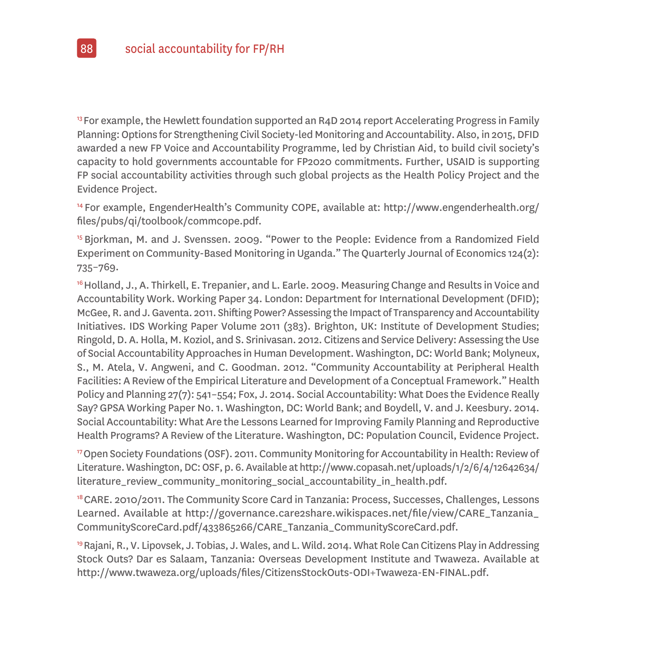<sup>13</sup> For example, the Hewlett foundation supported an R4D 2014 report Accelerating Progress in Family Planning: Options for Strengthening Civil Society-led Monitoring and Accountability. Also, in 2015, DFID awarded a new FP Voice and Accountability Programme, led by Christian Aid, to build civil society's capacity to hold governments accountable for FP2020 commitments. Further, USAID is supporting FP social accountability activities through such global projects as the Health Policy Project and the Evidence Project.

14 For example, EngenderHealth's Community COPE, available at: http://www.engenderhealth.org/ files/pubs/qi/toolbook/commcope.pdf.

15 Bjorkman, M. and J. Svenssen. 2009. "Power to the People: Evidence from a Randomized Field Experiment on Community-Based Monitoring in Uganda." The Quarterly Journal of Economics 124(2): 735–769.

<sup>16</sup> Holland, J., A. Thirkell, E. Trepanier, and L. Earle. 2009. Measuring Change and Results in Voice and Accountability Work. Working Paper 34. London: Department for International Development (DFID); McGee, R. and J. Gaventa. 2011. Shifting Power? Assessing the Impact of Transparency and Accountability Initiatives. IDS Working Paper Volume 2011 (383). Brighton, UK: Institute of Development Studies; Ringold, D. A. Holla, M. Koziol, and S. Srinivasan. 2012. Citizens and Service Delivery: Assessing the Use of Social Accountability Approaches in Human Development. Washington, DC: World Bank; Molyneux, S., M. Atela, V. Angweni, and C. Goodman. 2012. "Community Accountability at Peripheral Health Facilities: A Review of the Empirical Literature and Development of a Conceptual Framework." Health Policy and Planning 27(7): 541–554; Fox, J. 2014. Social Accountability: What Does the Evidence Really Say? GPSA Working Paper No. 1. Washington, DC: World Bank; and Boydell, V. and J. Keesbury. 2014. Social Accountability: What Are the Lessons Learned for Improving Family Planning and Reproductive Health Programs? A Review of the Literature. Washington, DC: Population Council, Evidence Project.

17 Open Society Foundations (OSF). 2011. Community Monitoring for Accountability in Health: Review of Literature. Washington, DC: OSF, p. 6. Available at http://www.copasah.net/uploads/1/2/6/4/12642634/ literature\_review\_community\_monitoring\_social\_accountability\_in\_health.pdf.

<sup>18</sup> CARE. 2010/2011. The Community Score Card in Tanzania: Process, Successes, Challenges, Lessons Learned. Available at http://governance.care2share.wikispaces.net/file/view/CARE\_Tanzania\_ CommunityScoreCard.pdf/433865266/CARE\_Tanzania\_CommunityScoreCard.pdf.

19 Rajani, R., V. Lipovsek, J. Tobias, J. Wales, and L. Wild. 2014. What Role Can Citizens Play in Addressing Stock Outs? Dar es Salaam, Tanzania: Overseas Development Institute and Twaweza. Available at http://www.twaweza.org/uploads/files/CitizensStockOuts-ODI+Twaweza-EN-FINAL.pdf.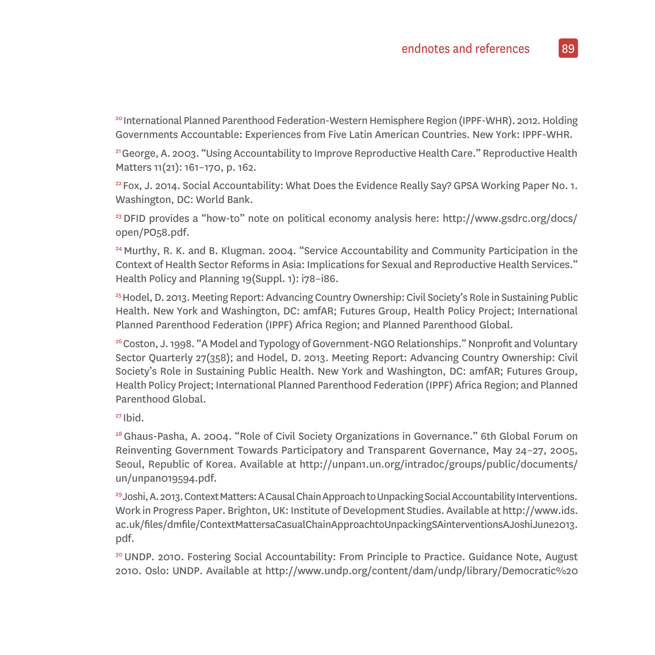20 International Planned Parenthood Federation-Western Hemisphere Region (IPPF-WHR). 2012. Holding Governments Accountable: Experiences from Five Latin American Countries. New York: IPPF-WHR.

<sup>21</sup> George, A. 2003. "Using Accountability to Improve Reproductive Health Care." Reproductive Health Matters 11(21): 161–170, p. 162.

<sup>22</sup> Fox, J. 2014. Social Accountability: What Does the Evidence Really Say? GPSA Working Paper No. 1. Washington, DC: World Bank.

23 DFID provides a "how-to" note on political economy analysis here: http://www.gsdrc.org/docs/ open/PO58.pdf.

<sup>24</sup> Murthy, R. K. and B. Klugman. 2004. "Service Accountability and Community Participation in the Context of Health Sector Reforms in Asia: Implications for Sexual and Reproductive Health Services." Health Policy and Planning 19(Suppl. 1): i78–i86.

25 Hodel, D. 2013. Meeting Report: Advancing Country Ownership: Civil Society's Role in Sustaining Public Health. New York and Washington, DC: amfAR; Futures Group, Health Policy Project; International Planned Parenthood Federation (IPPF) Africa Region; and Planned Parenthood Global.

 $26$  Coston, J. 1998. "A Model and Typology of Government-NGO Relationships." Nonprofit and Voluntary Sector Quarterly 27(358); and Hodel, D. 2013. Meeting Report: Advancing Country Ownership: Civil Society's Role in Sustaining Public Health. New York and Washington, DC: amfAR; Futures Group, Health Policy Project; International Planned Parenthood Federation (IPPF) Africa Region; and Planned Parenthood Global.

 $27$  Ibid.

<sup>28</sup> Ghaus-Pasha, A. 2004. "Role of Civil Society Organizations in Governance." 6th Global Forum on Reinventing Government Towards Participatory and Transparent Governance, May 24–27, 2005, Seoul, Republic of Korea. Available at http://unpan1.un.org/intradoc/groups/public/documents/ un/unpan019594.pdf.

29 Joshi, A. 2013. Context Matters: A Causal Chain Approach to Unpacking Social Accountability Interventions. Work in Progress Paper. Brighton, UK: Institute of Development Studies. Available at http://www.ids. ac.uk/files/dmfile/ContextMattersaCasualChainApproachtoUnpackingSAinterventionsAJoshiJune2013. pdf.

3º UNDP. 2010. Fostering Social Accountability: From Principle to Practice. Guidance Note, August 2010. Oslo: UNDP. Available at http://www.undp.org/content/dam/undp/library/Democratic%20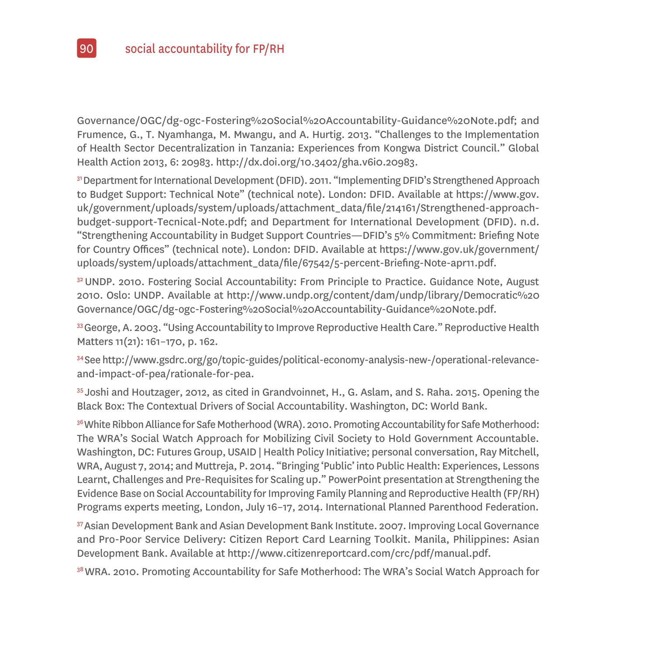Governance/OGC/dg-ogc-Fostering%20Social%20Accountability-Guidance%20Note.pdf; and Frumence, G., T. Nyamhanga, M. Mwangu, and A. Hurtig. 2013. "Challenges to the Implementation of Health Sector Decentralization in Tanzania: Experiences from Kongwa District Council." Global Health Action 2013, 6: 20983. http://dx.doi.org/10.3402/gha.v6i0.20983.

31 Department for International Development (DFID). 2011. "Implementing DFID's Strengthened Approach to Budget Support: Technical Note" (technical note). London: DFID. Available at https://www.gov. uk/government/uploads/system/uploads/attachment\_data/file/214161/Strengthened-approachbudget-support-Tecnical-Note.pdf; and Department for International Development (DFID). n.d. "Strengthening Accountability in Budget Support Countries—DFID's 5% Commitment: Briefing Note for Country Offices" (technical note). London: DFID. Available at https://www.gov.uk/government/ uploads/system/uploads/attachment\_data/file/67542/5-percent-Briefing-Note-apr11.pdf.

32 UNDP. 2010. Fostering Social Accountability: From Principle to Practice. Guidance Note, August 2010. Oslo: UNDP. Available at http://www.undp.org/content/dam/undp/library/Democratic%20 Governance/OGC/dg-ogc-Fostering%20Social%20Accountability-Guidance%20Note.pdf.

33 George, A. 2003. "Using Accountability to Improve Reproductive Health Care." Reproductive Health Matters 11(21): 161–170, p. 162.

34 See http://www.gsdrc.org/go/topic-guides/political-economy-analysis-new-/operational-relevanceand-impact-of-pea/rationale-for-pea.

35 Joshi and Houtzager, 2012, as cited in Grandvoinnet, H., G. Aslam, and S. Raha. 2015. Opening the Black Box: The Contextual Drivers of Social Accountability. Washington, DC: World Bank.

36 White Ribbon Alliance for Safe Motherhood (WRA). 2010. Promoting Accountability for Safe Motherhood: The WRA's Social Watch Approach for Mobilizing Civil Society to Hold Government Accountable. Washington, DC: Futures Group, USAID | Health Policy Initiative; personal conversation, Ray Mitchell, WRA, August 7, 2014; and Muttreja, P. 2014. "Bringing 'Public' into Public Health: Experiences, Lessons Learnt, Challenges and Pre-Requisites for Scaling up." PowerPoint presentation at Strengthening the Evidence Base on Social Accountability for Improving Family Planning and Reproductive Health (FP/RH) Programs experts meeting, London, July 16–17, 2014. International Planned Parenthood Federation.

37 Asian Development Bank and Asian Development Bank Institute. 2007. Improving Local Governance and Pro-Poor Service Delivery: Citizen Report Card Learning Toolkit. Manila, Philippines: Asian Development Bank. Available at http://www.citizenreportcard.com/crc/pdf/manual.pdf.

38 WRA. 2010. Promoting Accountability for Safe Motherhood: The WRA's Social Watch Approach for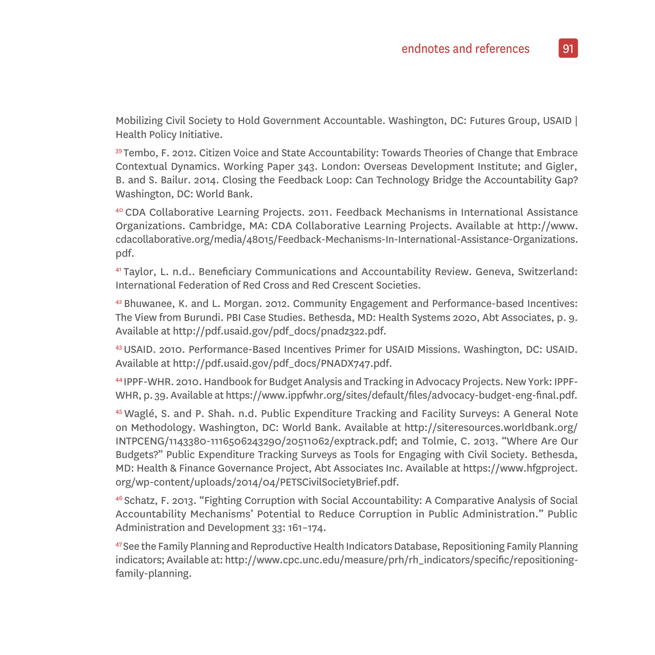Mobilizing Civil Society to Hold Government Accountable. Washington, DC: Futures Group, USAID | Health Policy Initiative.

39 Tembo, F. 2012. Citizen Voice and State Accountability: Towards Theories of Change that Embrace Contextual Dynamics. Working Paper 343. London: Overseas Development Institute; and Gigler, B. and S. Bailur. 2014. Closing the Feedback Loop: Can Technology Bridge the Accountability Gap? Washington, DC: World Bank.

40 CDA Collaborative Learning Projects. 2011. Feedback Mechanisms in International Assistance Organizations. Cambridge, MA: CDA Collaborative Learning Projects. Available at http://www. cdacollaborative.org/media/48015/Feedback-Mechanisms-In-International-Assistance-Organizations. pdf.

41 Taylor, L. n.d.. Beneficiary Communications and Accountability Review. Geneva, Switzerland: International Federation of Red Cross and Red Crescent Societies.

42 Bhuwanee, K. and L. Morgan. 2012. Community Engagement and Performance-based Incentives: The View from Burundi. PBI Case Studies. Bethesda, MD: Health Systems 2020, Abt Associates, p. 9. Available at http://pdf.usaid.gov/pdf\_docs/pnadz322.pdf.

43 USAID. 2010. Performance-Based Incentives Primer for USAID Missions. Washington, DC: USAID. Available at http://pdf.usaid.gov/pdf\_docs/PNADX747.pdf.

44 IPPF-WHR. 2010. Handbook for Budget Analysis and Tracking in Advocacy Projects. New York: IPPF-WHR, p. 39. Available at https://www.ippfwhr.org/sites/default/files/advocacy-budget-eng-final.pdf.

45 Waglé, S. and P. Shah. n.d. Public Expenditure Tracking and Facility Surveys: A General Note on Methodology. Washington, DC: World Bank. Available at http://siteresources.worldbank.org/ INTPCENG/1143380-1116506243290/20511062/exptrack.pdf; and Tolmie, C. 2013. "Where Are Our Budgets?" Public Expenditure Tracking Surveys as Tools for Engaging with Civil Society. Bethesda, MD: Health & Finance Governance Project, Abt Associates Inc. Available at https://www.hfgproject. org/wp-content/uploads/2014/04/PETSCivilSocietyBrief.pdf.

46 Schatz, F. 2013. "Fighting Corruption with Social Accountability: A Comparative Analysis of Social Accountability Mechanisms' Potential to Reduce Corruption in Public Administration." Public Administration and Development 33: 161–174.

47 See the Family Planning and Reproductive Health Indicators Database, Repositioning Family Planning indicators; Available at: http://www.cpc.unc.edu/measure/prh/rh\_indicators/specific/repositioningfamily-planning.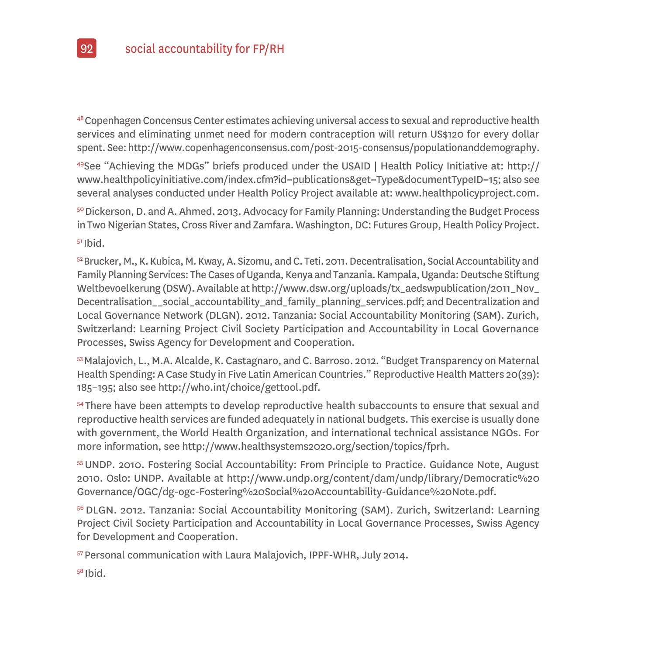48 Copenhagen Concensus Center estimates achieving universal access to sexual and reproductive health services and eliminating unmet need for modern contraception will return US\$120 for every dollar spent. See: http://www.copenhagenconsensus.com/post-2015-consensus/populationanddemography.

49See "Achieving the MDGs" briefs produced under the USAID | Health Policy Initiative at: http:// www.healthpolicyinitiative.com/index.cfm?id=publications&get=Type&documentTypeID=15; also see several analyses conducted under Health Policy Project available at: www.healthpolicyproject.com.

<sup>50</sup> Dickerson, D. and A. Ahmed. 2013. Advocacy for Family Planning: Understanding the Budget Process in Two Nigerian States, Cross River and Zamfara. Washington, DC: Futures Group, Health Policy Project.  $51$  Ibid.

52 Brucker, M., K. Kubica, M. Kway, A. Sizomu, and C. Teti. 2011. Decentralisation, Social Accountability and Family Planning Services: The Cases of Uganda, Kenya and Tanzania. Kampala, Uganda: Deutsche Stiftung Weltbevoelkerung (DSW). Available at http://www.dsw.org/uploads/tx\_aedswpublication/2011\_Nov\_ Decentralisation\_\_social\_accountability\_and\_family\_planning\_services.pdf; and Decentralization and Local Governance Network (DLGN). 2012. Tanzania: Social Accountability Monitoring (SAM). Zurich, Switzerland: Learning Project Civil Society Participation and Accountability in Local Governance Processes, Swiss Agency for Development and Cooperation.

53 Malajovich, L., M.A. Alcalde, K. Castagnaro, and C. Barroso. 2012. "Budget Transparency on Maternal Health Spending: A Case Study in Five Latin American Countries." Reproductive Health Matters 20(39): 185–195; also see http://who.int/choice/gettool.pdf.

54 There have been attempts to develop reproductive health subaccounts to ensure that sexual and reproductive health services are funded adequately in national budgets. This exercise is usually done with government, the World Health Organization, and international technical assistance NGOs. For more information, see http://www.healthsystems2020.org/section/topics/fprh.

55 UNDP. 2010. Fostering Social Accountability: From Principle to Practice. Guidance Note, August 2010. Oslo: UNDP. Available at http://www.undp.org/content/dam/undp/library/Democratic%20 Governance/OGC/dg-ogc-Fostering%20Social%20Accountability-Guidance%20Note.pdf.

<sup>56</sup> DLGN. 2012. Tanzania: Social Accountability Monitoring (SAM). Zurich, Switzerland: Learning Project Civil Society Participation and Accountability in Local Governance Processes, Swiss Agency for Development and Cooperation.

57 Personal communication with Laura Malajovich, IPPF-WHR, July 2014.

 $58$  Ibid.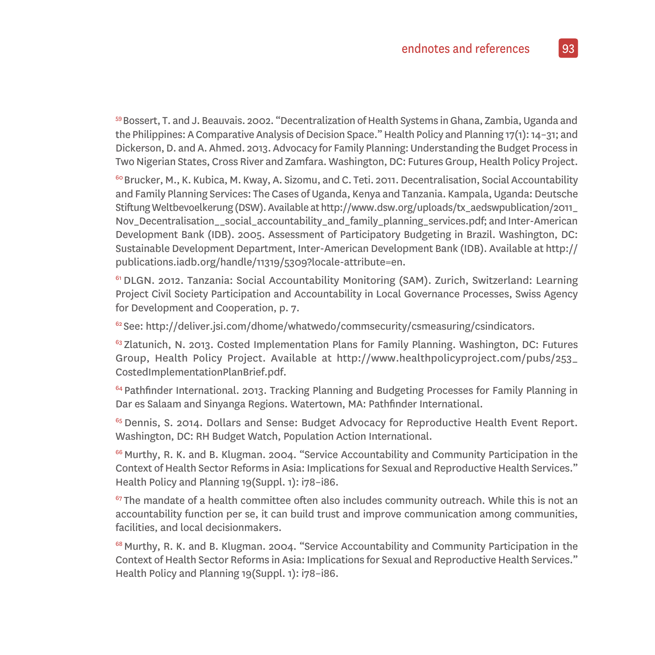59 Bossert, T. and J. Beauvais. 2002. "Decentralization of Health Systems in Ghana, Zambia, Uganda and the Philippines: A Comparative Analysis of Decision Space." Health Policy and Planning 17(1): 14–31; and Dickerson, D. and A. Ahmed. 2013. Advocacy for Family Planning: Understanding the Budget Process in Two Nigerian States, Cross River and Zamfara. Washington, DC: Futures Group, Health Policy Project.

60 Brucker, M., K. Kubica, M. Kway, A. Sizomu, and C. Teti. 2011. Decentralisation, Social Accountability and Family Planning Services: The Cases of Uganda, Kenya and Tanzania. Kampala, Uganda: Deutsche Stiftung Weltbevoelkerung (DSW). Available at http://www.dsw.org/uploads/tx\_aedswpublication/2011\_ Nov\_Decentralisation\_\_social\_accountability\_and\_family\_planning\_services.pdf; and Inter-American Development Bank (IDB). 2005. Assessment of Participatory Budgeting in Brazil. Washington, DC: Sustainable Development Department, Inter-American Development Bank (IDB). Available at http:// publications.iadb.org/handle/11319/5309?locale-attribute=en.

<sup>61</sup> DLGN. 2012. Tanzania: Social Accountability Monitoring (SAM). Zurich, Switzerland: Learning Project Civil Society Participation and Accountability in Local Governance Processes, Swiss Agency for Development and Cooperation, p. 7.

 $62$  See: http://deliver.jsi.com/dhome/whatwedo/commsecurity/csmeasuring/csindicators.

<sup>63</sup> Zlatunich, N. 2013. Costed Implementation Plans for Family Planning. Washington, DC: Futures Group, Health Policy Project. Available at http://www.healthpolicyproject.com/pubs/253\_ CostedImplementationPlanBrief.pdf.

<sup>64</sup> Pathfinder International. 2013. Tracking Planning and Budgeting Processes for Family Planning in Dar es Salaam and Sinyanga Regions. Watertown, MA: Pathfinder International.

<sup>65</sup> Dennis, S. 2014. Dollars and Sense: Budget Advocacy for Reproductive Health Event Report. Washington, DC: RH Budget Watch, Population Action International.

<sup>66</sup> Murthy, R. K. and B. Klugman. 2004. "Service Accountability and Community Participation in the Context of Health Sector Reforms in Asia: Implications for Sexual and Reproductive Health Services." Health Policy and Planning 19(Suppl. 1): i78–i86.

 $67$  The mandate of a health committee often also includes community outreach. While this is not an accountability function per se, it can build trust and improve communication among communities, facilities, and local decisionmakers.

<sup>68</sup> Murthy, R. K. and B. Klugman. 2004. "Service Accountability and Community Participation in the Context of Health Sector Reforms in Asia: Implications for Sexual and Reproductive Health Services." Health Policy and Planning 19(Suppl. 1): i78–i86.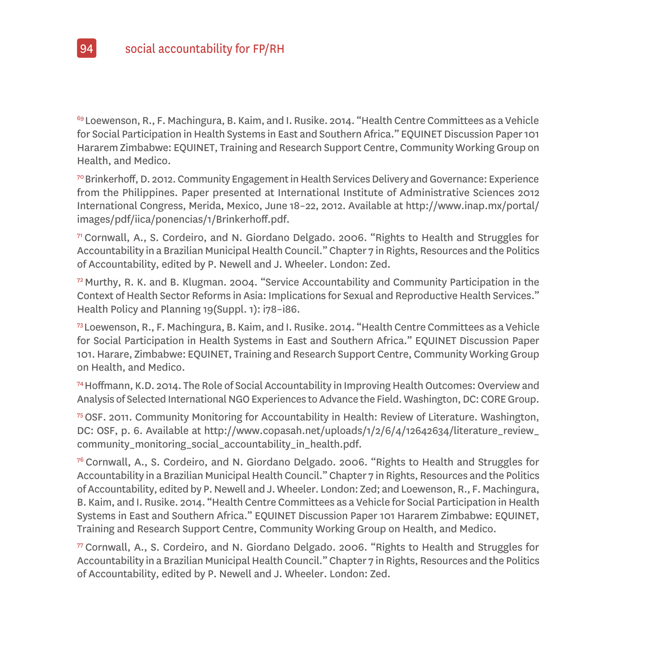69 Loewenson, R., F. Machingura, B. Kaim, and I. Rusike. 2014. "Health Centre Committees as a Vehicle for Social Participation in Health Systems in East and Southern Africa." EQUINET Discussion Paper 101 Hararem Zimbabwe: EQUINET, Training and Research Support Centre, Community Working Group on Health, and Medico.

70 Brinkerhoff, D. 2012. Community Engagement in Health Services Delivery and Governance: Experience from the Philippines. Paper presented at International Institute of Administrative Sciences 2012 International Congress, Merida, Mexico, June 18–22, 2012. Available at http://www.inap.mx/portal/ images/pdf/iica/ponencias/1/Brinkerhoff.pdf.

71 Cornwall, A., S. Cordeiro, and N. Giordano Delgado. 2006. "Rights to Health and Struggles for Accountability in a Brazilian Municipal Health Council." Chapter 7 in Rights, Resources and the Politics of Accountability, edited by P. Newell and J. Wheeler. London: Zed.

 $72$  Murthy, R. K. and B. Klugman. 2004. "Service Accountability and Community Participation in the Context of Health Sector Reforms in Asia: Implications for Sexual and Reproductive Health Services." Health Policy and Planning 19(Suppl. 1): i78–i86.

73 Loewenson, R., F. Machingura, B. Kaim, and I. Rusike. 2014. "Health Centre Committees as a Vehicle for Social Participation in Health Systems in East and Southern Africa." EQUINET Discussion Paper 101. Harare, Zimbabwe: EQUINET, Training and Research Support Centre, Community Working Group on Health, and Medico.

74 Hoffmann, K.D. 2014. The Role of Social Accountability in Improving Health Outcomes: Overview and Analysis of Selected International NGO Experiences to Advance the Field. Washington, DC: CORE Group.

75 OSF. 2011. Community Monitoring for Accountability in Health: Review of Literature. Washington, DC: OSF, p. 6. Available at http://www.copasah.net/uploads/1/2/6/4/12642634/literature\_review\_ community\_monitoring\_social\_accountability\_in\_health.pdf.

 $76$  Cornwall, A., S. Cordeiro, and N. Giordano Delgado. 2006. "Rights to Health and Struggles for Accountability in a Brazilian Municipal Health Council." Chapter 7 in Rights, Resources and the Politics of Accountability, edited by P. Newell and J. Wheeler. London: Zed; and Loewenson, R., F. Machingura, B. Kaim, and I. Rusike. 2014. "Health Centre Committees as a Vehicle for Social Participation in Health Systems in East and Southern Africa." EQUINET Discussion Paper 101 Hararem Zimbabwe: EQUINET, Training and Research Support Centre, Community Working Group on Health, and Medico.

77 Cornwall, A., S. Cordeiro, and N. Giordano Delgado. 2006. "Rights to Health and Struggles for Accountability in a Brazilian Municipal Health Council." Chapter 7 in Rights, Resources and the Politics of Accountability, edited by P. Newell and J. Wheeler. London: Zed.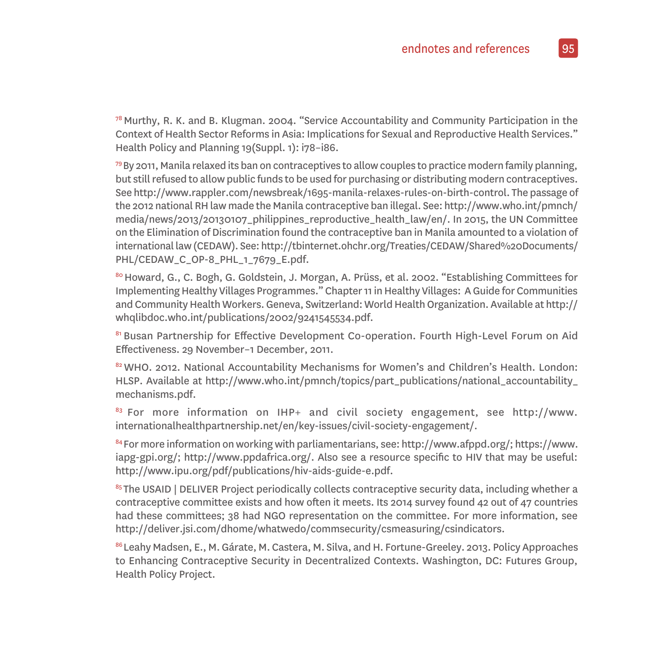$78$  Murthy, R. K. and B. Klugman. 2004. "Service Accountability and Community Participation in the Context of Health Sector Reforms in Asia: Implications for Sexual and Reproductive Health Services." Health Policy and Planning 19(Suppl. 1): i78–i86.

79 By 2011, Manila relaxed its ban on contraceptives to allow couples to practice modern family planning, but still refused to allow public funds to be used for purchasing or distributing modern contraceptives. See http://www.rappler.com/newsbreak/1695-manila-relaxes-rules-on-birth-control. The passage of the 2012 national RH law made the Manila contraceptive ban illegal. See: http://www.who.int/pmnch/ media/news/2013/20130107\_philippines\_reproductive\_health\_law/en/. In 2015, the UN Committee on the Elimination of Discrimination found the contraceptive ban in Manila amounted to a violation of international law (CEDAW). See: http://tbinternet.ohchr.org/Treaties/CEDAW/Shared%20Documents/ PHL/CEDAW\_C\_OP-8\_PHL\_1\_7679\_E.pdf.

80 Howard, G., C. Bogh, G. Goldstein, J. Morgan, A. Prüss, et al. 2002. "Establishing Committees for Implementing Healthy Villages Programmes." Chapter 11 in Healthy Villages: A Guide for Communities and Community Health Workers. Geneva, Switzerland: World Health Organization. Available at http:// whqlibdoc.who.int/publications/2002/9241545534.pdf.

<sup>81</sup> Busan Partnership for Effective Development Co-operation. Fourth High-Level Forum on Aid Effectiveness. 29 November–1 December, 2011.

82 WHO. 2012. National Accountability Mechanisms for Women's and Children's Health. London: HLSP. Available at http://www.who.int/pmnch/topics/part\_publications/national\_accountability\_ mechanisms.pdf.

 $83$  For more information on IHP+ and civil society engagement, see http://www. internationalhealthpartnership.net/en/key-issues/civil-society-engagement/.

84 For more information on working with parliamentarians, see: http://www.afppd.org/; https://www. iapg-gpi.org/; http://www.ppdafrica.org/. Also see a resource specific to HIV that may be useful: http://www.ipu.org/pdf/publications/hiv-aids-guide-e.pdf.

85 The USAID | DELIVER Project periodically collects contraceptive security data, including whether a contraceptive committee exists and how often it meets. Its 2014 survey found 42 out of 47 countries had these committees; 38 had NGO representation on the committee. For more information, see http://deliver.jsi.com/dhome/whatwedo/commsecurity/csmeasuring/csindicators.

86 Leahy Madsen, E., M. Gárate, M. Castera, M. Silva, and H. Fortune-Greeley. 2013. Policy Approaches to Enhancing Contraceptive Security in Decentralized Contexts. Washington, DC: Futures Group, Health Policy Project.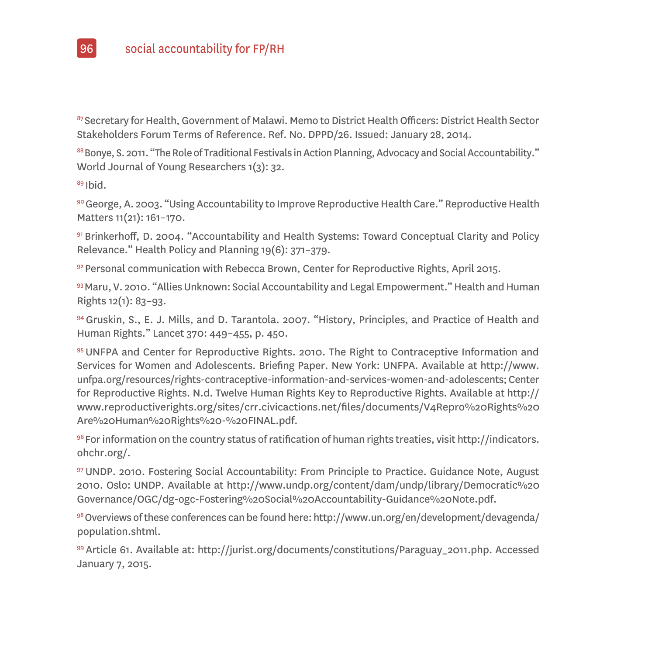87 Secretary for Health, Government of Malawi. Memo to District Health Officers: District Health Sector Stakeholders Forum Terms of Reference. Ref. No. DPPD/26. Issued: January 28, 2014.

88 Bonye, S. 2011. "The Role of Traditional Festivals in Action Planning, Advocacy and Social Accountability." World Journal of Young Researchers 1(3): 32.

 $89$  Ibid.

90 George, A. 2003. "Using Accountability to Improve Reproductive Health Care." Reproductive Health Matters 11(21): 161–170.

91 Brinkerhoff, D. 2004. "Accountability and Health Systems: Toward Conceptual Clarity and Policy Relevance." Health Policy and Planning 19(6): 371–379.

92 Personal communication with Rebecca Brown, Center for Reproductive Rights, April 2015.

93 Maru, V. 2010. "Allies Unknown: Social Accountability and Legal Empowerment." Health and Human Rights 12(1): 83–93.

94 Gruskin, S., E. J. Mills, and D. Tarantola. 2007. "History, Principles, and Practice of Health and Human Rights." Lancet 370: 449–455, p. 450.

95 UNFPA and Center for Reproductive Rights. 2010. The Right to Contraceptive Information and Services for Women and Adolescents. Briefing Paper. New York: UNFPA. Available at http://www. unfpa.org/resources/rights-contraceptive-information-and-services-women-and-adolescents; Center for Reproductive Rights. N.d. Twelve Human Rights Key to Reproductive Rights. Available at http:// www.reproductiverights.org/sites/crr.civicactions.net/files/documents/V4Repro%20Rights%20 Are%20Human%20Rights%20-%20FINAL.pdf.

96 For information on the country status of ratification of human rights treaties, visit http://indicators. ohchr.org/.

97 UNDP. 2010. Fostering Social Accountability: From Principle to Practice. Guidance Note, August 2010. Oslo: UNDP. Available at http://www.undp.org/content/dam/undp/library/Democratic%20 Governance/OGC/dg-ogc-Fostering%20Social%20Accountability-Guidance%20Note.pdf.

98 Overviews of these conferences can be found here: http://www.un.org/en/development/devagenda/ population.shtml.

99 Article 61. Available at: http://jurist.org/documents/constitutions/Paraguay\_2011.php. Accessed January 7, 2015.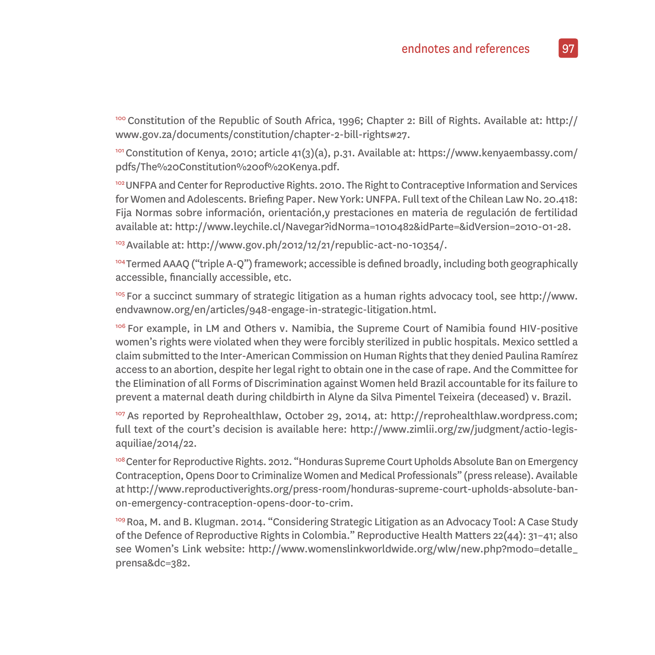100 Constitution of the Republic of South Africa, 1996; Chapter 2: Bill of Rights. Available at: http:// www.gov.za/documents/constitution/chapter-2-bill-rights#27.

101 Constitution of Kenya, 2010; article 41(3)(a), p.31. Available at: https://www.kenyaembassy.com/ pdfs/The%20Constitution%20of%20Kenya.pdf.

102 UNFPA and Center for Reproductive Rights. 2010. The Right to Contraceptive Information and Services for Women and Adolescents. Briefing Paper. New York: UNFPA. Full text of the Chilean Law No. 20.418: Fija Normas sobre información, orientación,y prestaciones en materia de regulación de fertilidad available at: http://www.leychile.cl/Navegar?idNorma=1010482&idParte=&idVersion=2010-01-28.

103 Available at: http://www.gov.ph/2012/12/21/republic-act-no-10354/.

104 Termed AAAQ ("triple A-Q") framework; accessible is defined broadly, including both geographically accessible, financially accessible, etc.

105 For a succinct summary of strategic litigation as a human rights advocacy tool, see http://www. endvawnow.org/en/articles/948-engage-in-strategic-litigation.html.

<sup>106</sup> For example, in LM and Others v. Namibia, the Supreme Court of Namibia found HIV-positive women's rights were violated when they were forcibly sterilized in public hospitals. Mexico settled a claim submitted to the Inter-American Commission on Human Rights that they denied Paulina Ramírez access to an abortion, despite her legal right to obtain one in the case of rape. And the Committee for the Elimination of all Forms of Discrimination against Women held Brazil accountable for its failure to prevent a maternal death during childbirth in Alyne da Silva Pimentel Teixeira (deceased) v. Brazil.

<sup>107</sup> As reported by Reprohealthlaw, October 29, 2014, at: http://reprohealthlaw.wordpress.com; full text of the court's decision is available here: http://www.zimlii.org/zw/judgment/actio-legisaquiliae/2014/22.

<sup>108</sup> Center for Reproductive Rights. 2012. "Honduras Supreme Court Upholds Absolute Ban on Emergency Contraception, Opens Door to Criminalize Women and Medical Professionals" (press release). Available at http://www.reproductiverights.org/press-room/honduras-supreme-court-upholds-absolute-banon-emergency-contraception-opens-door-to-crim.

109 Roa, M. and B. Klugman. 2014. "Considering Strategic Litigation as an Advocacy Tool: A Case Study of the Defence of Reproductive Rights in Colombia." Reproductive Health Matters 22(44): 31–41; also see Women's Link website: http://www.womenslinkworldwide.org/wlw/new.php?modo=detalle\_ prensa&dc=382.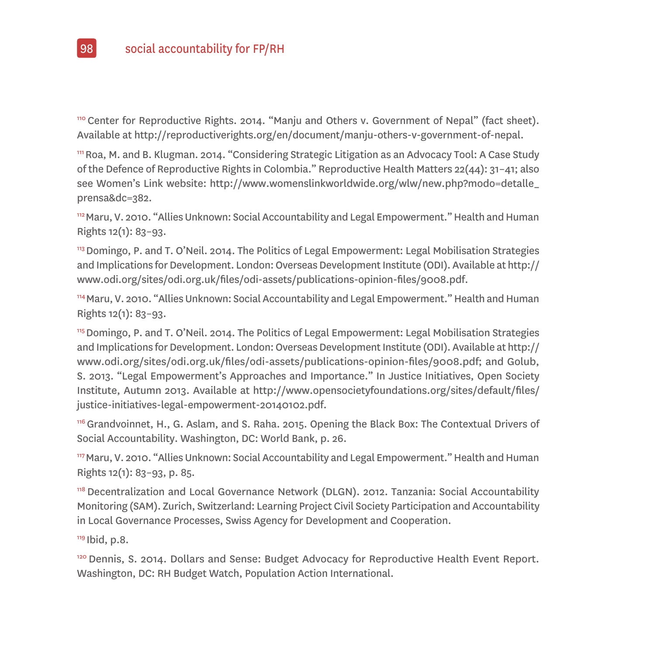110 Center for Reproductive Rights. 2014. "Manju and Others v. Government of Nepal" (fact sheet). Available at http://reproductiverights.org/en/document/manju-others-v-government-of-nepal.

111 Roa, M. and B. Klugman. 2014. "Considering Strategic Litigation as an Advocacy Tool: A Case Study of the Defence of Reproductive Rights in Colombia." Reproductive Health Matters 22(44): 31–41; also see Women's Link website: http://www.womenslinkworldwide.org/wlw/new.php?modo=detalle\_ prensa&dc=382.

112 Maru, V. 2010. "Allies Unknown: Social Accountability and Legal Empowerment." Health and Human Rights 12(1): 83–93.

113 Domingo, P. and T. O'Neil. 2014. The Politics of Legal Empowerment: Legal Mobilisation Strategies and Implications for Development. London: Overseas Development Institute (ODI). Available at http:// www.odi.org/sites/odi.org.uk/files/odi-assets/publications-opinion-files/9008.pdf.

114 Maru, V. 2010. "Allies Unknown: Social Accountability and Legal Empowerment." Health and Human Rights 12(1): 83–93.

115 Domingo, P. and T. O'Neil. 2014. The Politics of Legal Empowerment: Legal Mobilisation Strategies and Implications for Development. London: Overseas Development Institute (ODI). Available at http:// www.odi.org/sites/odi.org.uk/files/odi-assets/publications-opinion-files/9008.pdf; and Golub, S. 2013. "Legal Empowerment's Approaches and Importance." In Justice Initiatives, Open Society Institute, Autumn 2013. Available at http://www.opensocietyfoundations.org/sites/default/files/ justice-initiatives-legal-empowerment-20140102.pdf.

<sup>116</sup> Grandvoinnet, H., G. Aslam, and S. Raha. 2015. Opening the Black Box: The Contextual Drivers of Social Accountability. Washington, DC: World Bank, p. 26.

117 Maru, V. 2010. "Allies Unknown: Social Accountability and Legal Empowerment." Health and Human Rights 12(1): 83–93, p. 85.

118 Decentralization and Local Governance Network (DLGN). 2012. Tanzania: Social Accountability Monitoring (SAM). Zurich, Switzerland: Learning Project Civil Society Participation and Accountability in Local Governance Processes, Swiss Agency for Development and Cooperation.

 $119$  Ibid, p.8.

<sup>120</sup> Dennis, S. 2014. Dollars and Sense: Budget Advocacy for Reproductive Health Event Report. Washington, DC: RH Budget Watch, Population Action International.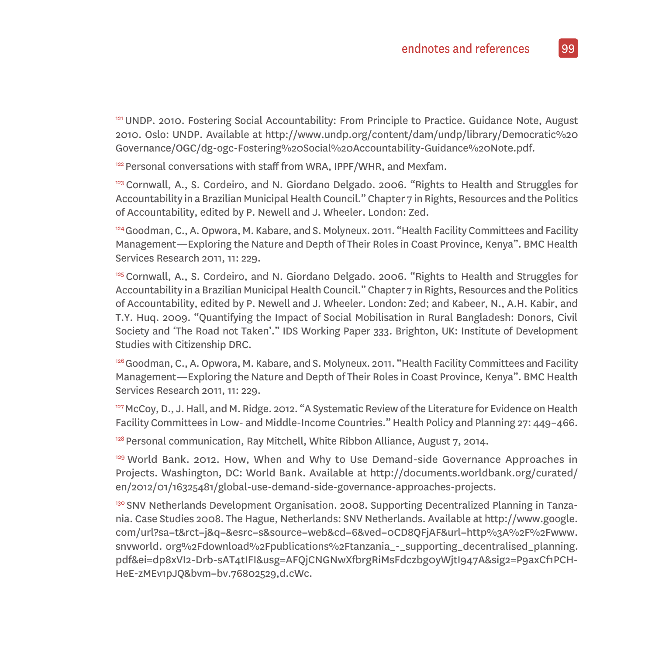121 UNDP. 2010. Fostering Social Accountability: From Principle to Practice. Guidance Note, August 2010. Oslo: UNDP. Available at http://www.undp.org/content/dam/undp/library/Democratic%20 Governance/OGC/dg-ogc-Fostering%20Social%20Accountability-Guidance%20Note.pdf.

<sup>122</sup> Personal conversations with staff from WRA, IPPF/WHR, and Mexfam.

<sup>123</sup> Cornwall, A., S. Cordeiro, and N. Giordano Delgado. 2006. "Rights to Health and Struggles for Accountability in a Brazilian Municipal Health Council." Chapter 7 in Rights, Resources and the Politics of Accountability, edited by P. Newell and J. Wheeler. London: Zed.

124 Goodman, C., A. Opwora, M. Kabare, and S. Molyneux. 2011. "Health Facility Committees and Facility Management—Exploring the Nature and Depth of Their Roles in Coast Province, Kenya". BMC Health Services Research 2011, 11: 229.

<sup>125</sup> Cornwall, A., S. Cordeiro, and N. Giordano Delgado. 2006. "Rights to Health and Struggles for Accountability in a Brazilian Municipal Health Council." Chapter 7 in Rights, Resources and the Politics of Accountability, edited by P. Newell and J. Wheeler. London: Zed; and Kabeer, N., A.H. Kabir, and T.Y. Huq. 2009. "Quantifying the Impact of Social Mobilisation in Rural Bangladesh: Donors, Civil Society and 'The Road not Taken'." IDS Working Paper 333. Brighton, UK: Institute of Development Studies with Citizenship DRC.

126 Goodman, C., A. Opwora, M. Kabare, and S. Molyneux. 2011. "Health Facility Committees and Facility Management—Exploring the Nature and Depth of Their Roles in Coast Province, Kenya". BMC Health Services Research 2011, 11: 229.

<sup>127</sup> McCoy, D., J. Hall, and M. Ridge. 2012. "A Systematic Review of the Literature for Evidence on Health Facility Committees in Low- and Middle-Income Countries." Health Policy and Planning 27: 449–466.

<sup>128</sup> Personal communication, Ray Mitchell, White Ribbon Alliance, August 7, 2014.

<sup>129</sup> World Bank. 2012. How, When and Why to Use Demand-side Governance Approaches in Projects. Washington, DC: World Bank. Available at http://documents.worldbank.org/curated/ en/2012/01/16325481/global-use-demand-side-governance-approaches-projects.

130 SNV Netherlands Development Organisation. 2008. Supporting Decentralized Planning in Tanzania. Case Studies 2008. The Hague, Netherlands: SNV Netherlands. Available at http://www.google. com/url?sa=t&rct=j&q=&esrc=s&source=web&cd=6&ved=0CD8QFjAF&url=http%3A%2F%2Fwww. snvworld. org%2Fdownload%2Fpublications%2Ftanzania\_-\_supporting\_decentralised\_planning. pdf&ei=dp8xVI2-Drb-sAT4tIFI&usg=AFQjCNGNwXfbrgRiMsFdczbg0yWjtI947A&sig2=P9axCf1PCH-HeE-zMEv1pJQ&bvm=bv.76802529,d.cWc.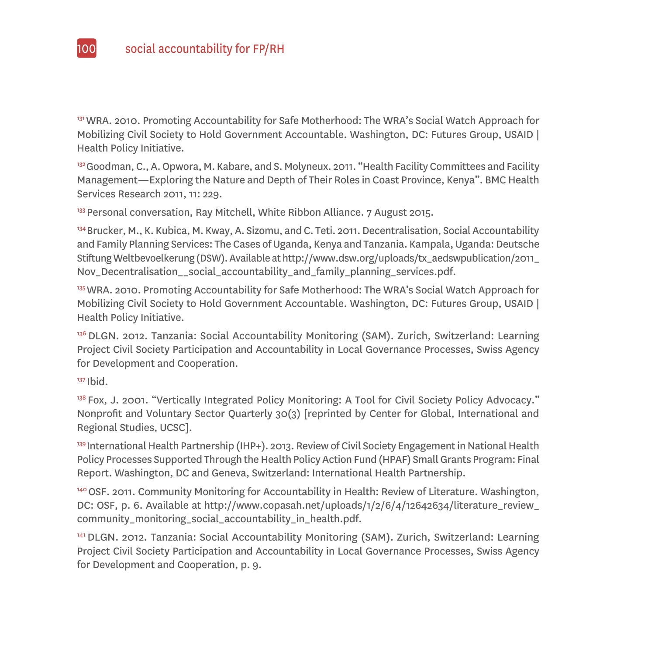<sup>131</sup> WRA. 2010. Promoting Accountability for Safe Motherhood: The WRA's Social Watch Approach for Mobilizing Civil Society to Hold Government Accountable. Washington, DC: Futures Group, USAID | Health Policy Initiative.

132 Goodman, C., A. Opwora, M. Kabare, and S. Molyneux. 2011. "Health Facility Committees and Facility Management—Exploring the Nature and Depth of Their Roles in Coast Province, Kenya". BMC Health Services Research 2011, 11: 229.

<sup>133</sup> Personal conversation, Ray Mitchell, White Ribbon Alliance. 7 August 2015.

<sup>134</sup> Brucker, M., K. Kubica, M. Kway, A. Sizomu, and C. Teti. 2011. Decentralisation, Social Accountability and Family Planning Services: The Cases of Uganda, Kenya and Tanzania. Kampala, Uganda: Deutsche Stiftung Weltbevoelkerung (DSW). Available at http://www.dsw.org/uploads/tx\_aedswpublication/2011\_ Nov\_Decentralisation\_\_social\_accountability\_and\_family\_planning\_services.pdf.

<sup>135</sup> WRA. 2010. Promoting Accountability for Safe Motherhood: The WRA's Social Watch Approach for Mobilizing Civil Society to Hold Government Accountable. Washington, DC: Futures Group, USAID | Health Policy Initiative.

136 DLGN. 2012. Tanzania: Social Accountability Monitoring (SAM). Zurich, Switzerland: Learning Project Civil Society Participation and Accountability in Local Governance Processes, Swiss Agency for Development and Cooperation.

 $137$  Ibid.

<sup>138</sup> Fox, J. 2001. "Vertically Integrated Policy Monitoring: A Tool for Civil Society Policy Advocacy." Nonprofit and Voluntary Sector Quarterly 30(3) [reprinted by Center for Global, International and Regional Studies, UCSC].

<sup>139</sup> International Health Partnership (IHP+). 2013. Review of Civil Society Engagement in National Health Policy Processes Supported Through the Health Policy Action Fund (HPAF) Small Grants Program: Final Report. Washington, DC and Geneva, Switzerland: International Health Partnership.

140 OSF. 2011. Community Monitoring for Accountability in Health: Review of Literature. Washington, DC: OSF, p. 6. Available at http://www.copasah.net/uploads/1/2/6/4/12642634/literature\_review\_ community\_monitoring\_social\_accountability\_in\_health.pdf.

141 DLGN. 2012. Tanzania: Social Accountability Monitoring (SAM). Zurich, Switzerland: Learning Project Civil Society Participation and Accountability in Local Governance Processes, Swiss Agency for Development and Cooperation, p. 9.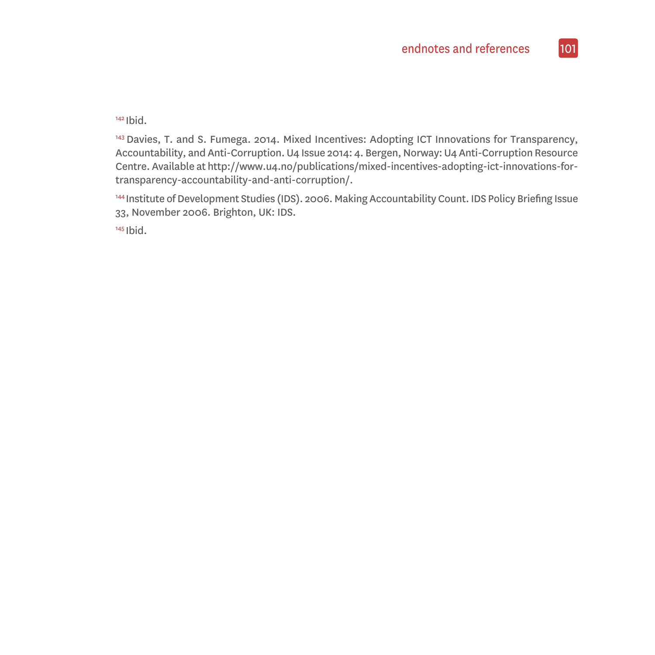$142$  Ibid.

143 Davies, T. and S. Fumega. 2014. Mixed Incentives: Adopting ICT Innovations for Transparency, Accountability, and Anti-Corruption. U4 Issue 2014: 4. Bergen, Norway: U4 Anti-Corruption Resource Centre. Available at http://www.u4.no/publications/mixed-incentives-adopting-ict-innovations-fortransparency-accountability-and-anti-corruption/.

144 Institute of Development Studies (IDS). 2006. Making Accountability Count. IDS Policy Briefing Issue 33, November 2006. Brighton, UK: IDS.

 $145$  Ibid.